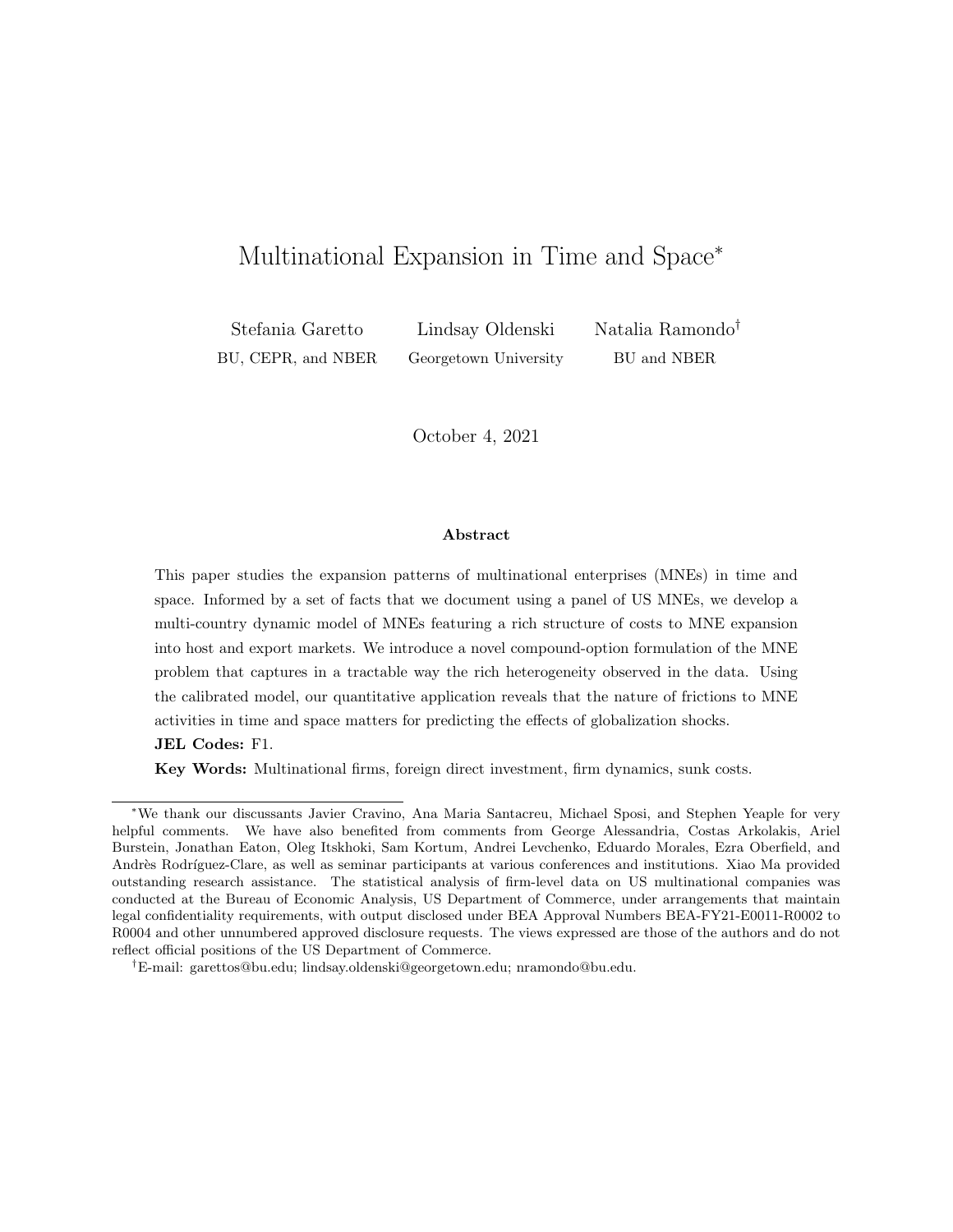# <span id="page-0-0"></span>Multinational Expansion in Time and Space<sup>∗</sup>

BU, CEPR, and NBER Georgetown University BU and NBER

Stefania Garetto Lindsay Oldenski Natalia Ramondo†

October 4, 2021

#### Abstract

This paper studies the expansion patterns of multinational enterprises (MNEs) in time and space. Informed by a set of facts that we document using a panel of US MNEs, we develop a multi-country dynamic model of MNEs featuring a rich structure of costs to MNE expansion into host and export markets. We introduce a novel compound-option formulation of the MNE problem that captures in a tractable way the rich heterogeneity observed in the data. Using the calibrated model, our quantitative application reveals that the nature of frictions to MNE activities in time and space matters for predicting the effects of globalization shocks.

JEL Codes: F1.

Key Words: Multinational firms, foreign direct investment, firm dynamics, sunk costs.

<sup>∗</sup>We thank our discussants Javier Cravino, Ana Maria Santacreu, Michael Sposi, and Stephen Yeaple for very helpful comments. We have also benefited from comments from George Alessandria, Costas Arkolakis, Ariel Burstein, Jonathan Eaton, Oleg Itskhoki, Sam Kortum, Andrei Levchenko, Eduardo Morales, Ezra Oberfield, and Andrès Rodríguez-Clare, as well as seminar participants at various conferences and institutions. Xiao Ma provided outstanding research assistance. The statistical analysis of firm-level data on US multinational companies was conducted at the Bureau of Economic Analysis, US Department of Commerce, under arrangements that maintain legal confidentiality requirements, with output disclosed under BEA Approval Numbers BEA-FY21-E0011-R0002 to R0004 and other unnumbered approved disclosure requests. The views expressed are those of the authors and do not reflect official positions of the US Department of Commerce.

<sup>†</sup>E-mail: garettos@bu.edu; lindsay.oldenski@georgetown.edu; nramondo@bu.edu.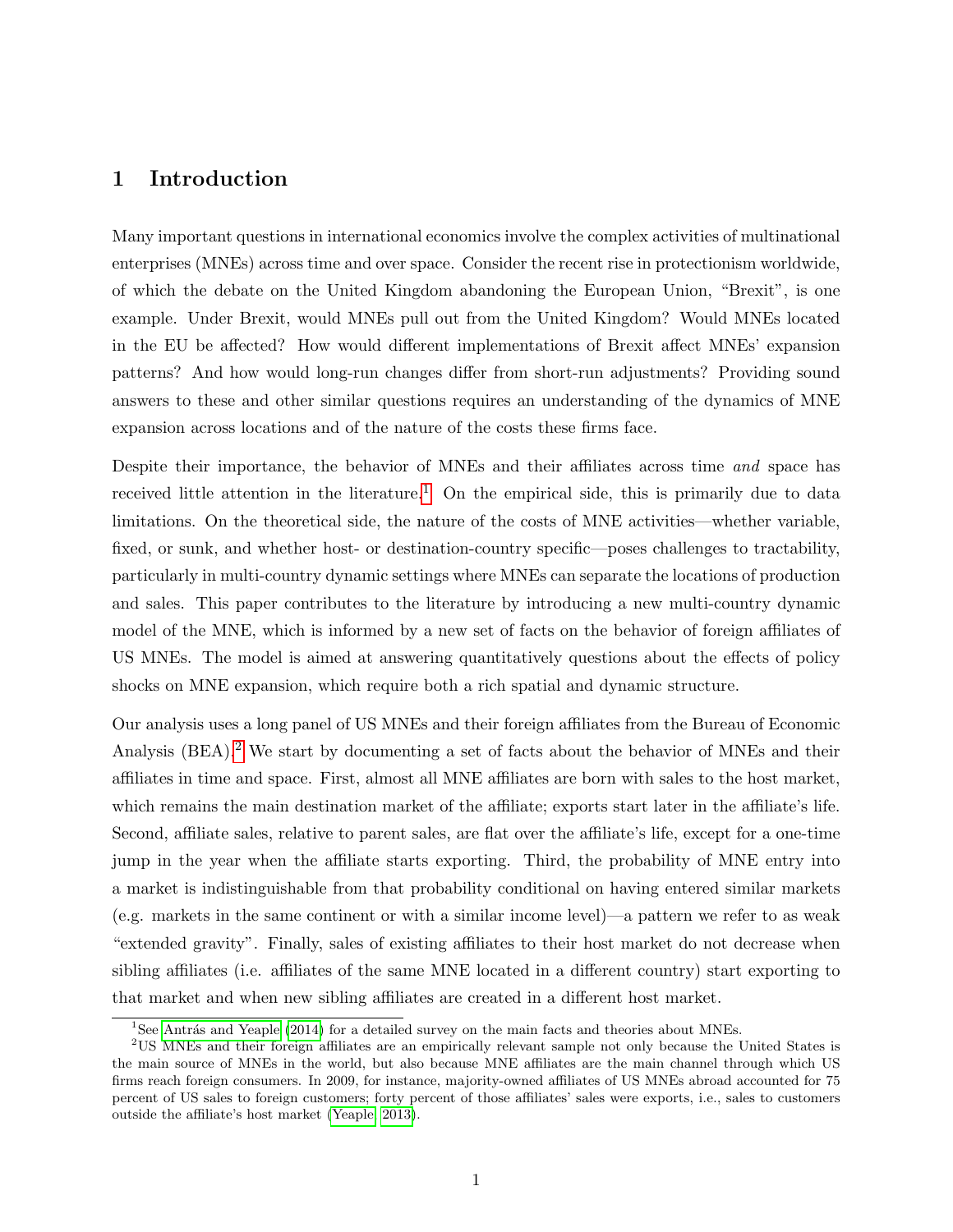## <span id="page-1-2"></span>1 Introduction

Many important questions in international economics involve the complex activities of multinational enterprises (MNEs) across time and over space. Consider the recent rise in protectionism worldwide, of which the debate on the United Kingdom abandoning the European Union, "Brexit", is one example. Under Brexit, would MNEs pull out from the United Kingdom? Would MNEs located in the EU be affected? How would different implementations of Brexit affect MNEs' expansion patterns? And how would long-run changes differ from short-run adjustments? Providing sound answers to these and other similar questions requires an understanding of the dynamics of MNE expansion across locations and of the nature of the costs these firms face.

Despite their importance, the behavior of MNEs and their affiliates across time and space has received little attention in the literature.<sup>[1](#page-1-0)</sup> On the empirical side, this is primarily due to data limitations. On the theoretical side, the nature of the costs of MNE activities—whether variable, fixed, or sunk, and whether host- or destination-country specific—poses challenges to tractability, particularly in multi-country dynamic settings where MNEs can separate the locations of production and sales. This paper contributes to the literature by introducing a new multi-country dynamic model of the MNE, which is informed by a new set of facts on the behavior of foreign affiliates of US MNEs. The model is aimed at answering quantitatively questions about the effects of policy shocks on MNE expansion, which require both a rich spatial and dynamic structure.

Our analysis uses a long panel of US MNEs and their foreign affiliates from the Bureau of Economic Analysis (BEA).[2](#page-1-1) We start by documenting a set of facts about the behavior of MNEs and their affiliates in time and space. First, almost all MNE affiliates are born with sales to the host market, which remains the main destination market of the affiliate; exports start later in the affiliate's life. Second, affiliate sales, relative to parent sales, are flat over the affiliate's life, except for a one-time jump in the year when the affiliate starts exporting. Third, the probability of MNE entry into a market is indistinguishable from that probability conditional on having entered similar markets (e.g. markets in the same continent or with a similar income level)—a pattern we refer to as weak "extended gravity". Finally, sales of existing affiliates to their host market do not decrease when sibling affiliates (i.e. affiliates of the same MNE located in a different country) start exporting to that market and when new sibling affiliates are created in a different host market.

<span id="page-1-1"></span><span id="page-1-0"></span> $1$ See Antrás and Yeaple [\(2014\)](#page-41-0) for a detailed survey on the main facts and theories about MNEs.

<sup>2</sup>US MNEs and their foreign affiliates are an empirically relevant sample not only because the United States is the main source of MNEs in the world, but also because MNE affiliates are the main channel through which US firms reach foreign consumers. In 2009, for instance, majority-owned affiliates of US MNEs abroad accounted for 75 percent of US sales to foreign customers; forty percent of those affiliates' sales were exports, i.e., sales to customers outside the affiliate's host market [\(Yeaple, 2013\)](#page-43-0).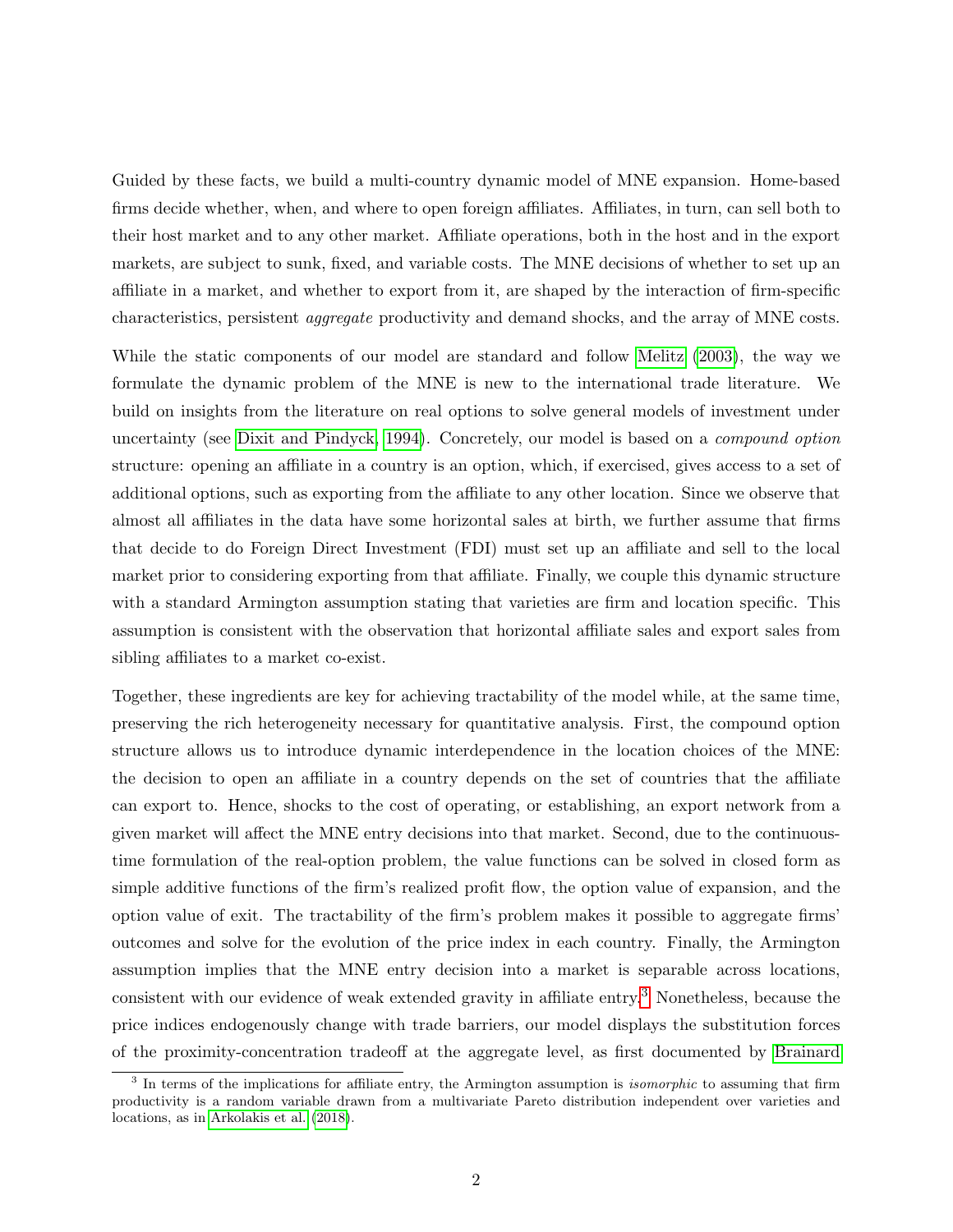Guided by these facts, we build a multi-country dynamic model of MNE expansion. Home-based firms decide whether, when, and where to open foreign affiliates. Affiliates, in turn, can sell both to their host market and to any other market. Affiliate operations, both in the host and in the export markets, are subject to sunk, fixed, and variable costs. The MNE decisions of whether to set up an affiliate in a market, and whether to export from it, are shaped by the interaction of firm-specific characteristics, persistent aggregate productivity and demand shocks, and the array of MNE costs.

While the static components of our model are standard and follow [Melitz](#page-43-1) [\(2003\)](#page-43-1), the way we formulate the dynamic problem of the MNE is new to the international trade literature. We build on insights from the literature on real options to solve general models of investment under uncertainty (see [Dixit and Pindyck, 1994\)](#page-42-0). Concretely, our model is based on a compound option structure: opening an affiliate in a country is an option, which, if exercised, gives access to a set of additional options, such as exporting from the affiliate to any other location. Since we observe that almost all affiliates in the data have some horizontal sales at birth, we further assume that firms that decide to do Foreign Direct Investment (FDI) must set up an affiliate and sell to the local market prior to considering exporting from that affiliate. Finally, we couple this dynamic structure with a standard Armington assumption stating that varieties are firm and location specific. This assumption is consistent with the observation that horizontal affiliate sales and export sales from sibling affiliates to a market co-exist.

Together, these ingredients are key for achieving tractability of the model while, at the same time, preserving the rich heterogeneity necessary for quantitative analysis. First, the compound option structure allows us to introduce dynamic interdependence in the location choices of the MNE: the decision to open an affiliate in a country depends on the set of countries that the affiliate can export to. Hence, shocks to the cost of operating, or establishing, an export network from a given market will affect the MNE entry decisions into that market. Second, due to the continuoustime formulation of the real-option problem, the value functions can be solved in closed form as simple additive functions of the firm's realized profit flow, the option value of expansion, and the option value of exit. The tractability of the firm's problem makes it possible to aggregate firms' outcomes and solve for the evolution of the price index in each country. Finally, the Armington assumption implies that the MNE entry decision into a market is separable across locations, consistent with our evidence of weak extended gravity in affiliate entry.[3](#page-2-0) Nonetheless, because the price indices endogenously change with trade barriers, our model displays the substitution forces of the proximity-concentration tradeoff at the aggregate level, as first documented by [Brainard](#page-41-1)

<span id="page-2-0"></span><sup>&</sup>lt;sup>3</sup> In terms of the implications for affiliate entry, the Armington assumption is *isomorphic* to assuming that firm productivity is a random variable drawn from a multivariate Pareto distribution independent over varieties and locations, as in [Arkolakis et al.](#page-41-2) [\(2018\)](#page-41-2).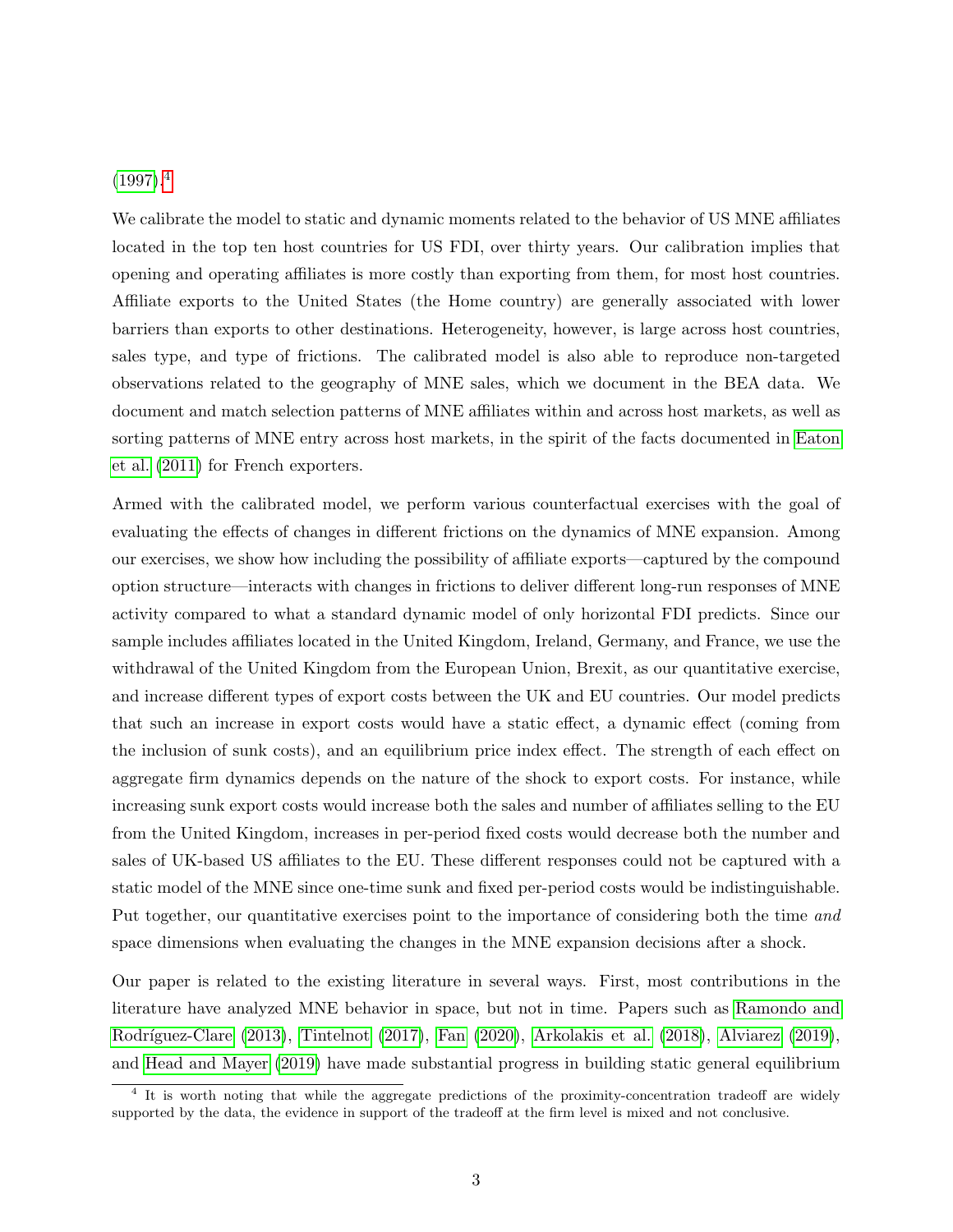## $(1997).<sup>4</sup>$  $(1997).<sup>4</sup>$  $(1997).<sup>4</sup>$  $(1997).<sup>4</sup>$

We calibrate the model to static and dynamic moments related to the behavior of US MNE affiliates located in the top ten host countries for US FDI, over thirty years. Our calibration implies that opening and operating affiliates is more costly than exporting from them, for most host countries. Affiliate exports to the United States (the Home country) are generally associated with lower barriers than exports to other destinations. Heterogeneity, however, is large across host countries, sales type, and type of frictions. The calibrated model is also able to reproduce non-targeted observations related to the geography of MNE sales, which we document in the BEA data. We document and match selection patterns of MNE affiliates within and across host markets, as well as sorting patterns of MNE entry across host markets, in the spirit of the facts documented in [Eaton](#page-42-1) [et al.](#page-42-1) [\(2011\)](#page-42-1) for French exporters.

Armed with the calibrated model, we perform various counterfactual exercises with the goal of evaluating the effects of changes in different frictions on the dynamics of MNE expansion. Among our exercises, we show how including the possibility of affiliate exports—captured by the compound option structure—interacts with changes in frictions to deliver different long-run responses of MNE activity compared to what a standard dynamic model of only horizontal FDI predicts. Since our sample includes affiliates located in the United Kingdom, Ireland, Germany, and France, we use the withdrawal of the United Kingdom from the European Union, Brexit, as our quantitative exercise, and increase different types of export costs between the UK and EU countries. Our model predicts that such an increase in export costs would have a static effect, a dynamic effect (coming from the inclusion of sunk costs), and an equilibrium price index effect. The strength of each effect on aggregate firm dynamics depends on the nature of the shock to export costs. For instance, while increasing sunk export costs would increase both the sales and number of affiliates selling to the EU from the United Kingdom, increases in per-period fixed costs would decrease both the number and sales of UK-based US affiliates to the EU. These different responses could not be captured with a static model of the MNE since one-time sunk and fixed per-period costs would be indistinguishable. Put together, our quantitative exercises point to the importance of considering both the time and space dimensions when evaluating the changes in the MNE expansion decisions after a shock.

Our paper is related to the existing literature in several ways. First, most contributions in the literature have analyzed MNE behavior in space, but not in time. Papers such as [Ramondo and](#page-43-2) Rodríguez-Clare [\(2013\)](#page-43-2), [Tintelnot](#page-43-3) [\(2017\)](#page-43-3), [Fan](#page-42-2) [\(2020\)](#page-42-2), [Arkolakis et al.](#page-41-2) [\(2018\)](#page-41-2), [Alviarez](#page-41-3) [\(2019\)](#page-41-3), and [Head and Mayer](#page-42-3) [\(2019\)](#page-42-3) have made substantial progress in building static general equilibrium

<span id="page-3-0"></span><sup>&</sup>lt;sup>4</sup> It is worth noting that while the aggregate predictions of the proximity-concentration tradeoff are widely supported by the data, the evidence in support of the tradeoff at the firm level is mixed and not conclusive.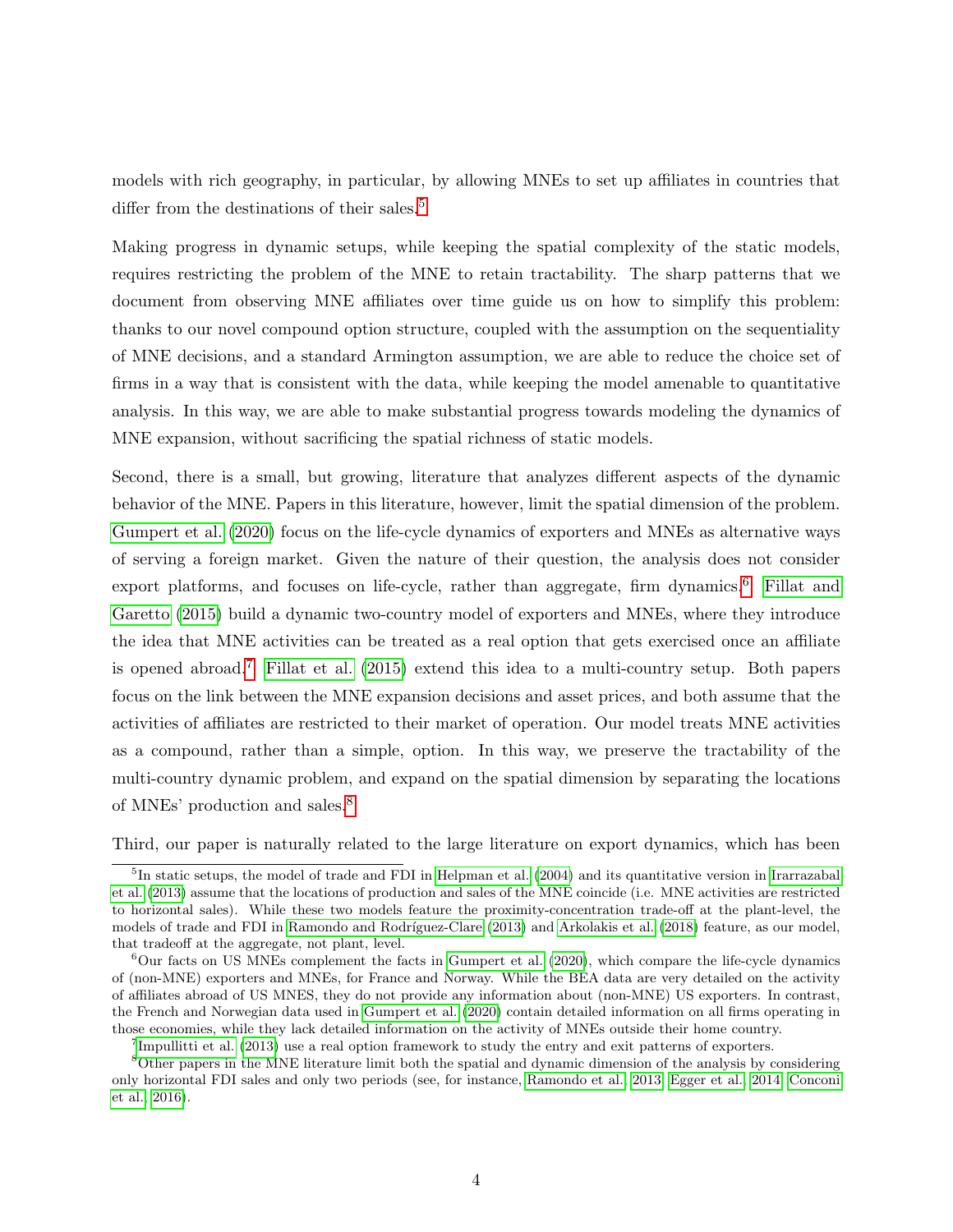models with rich geography, in particular, by allowing MNEs to set up affiliates in countries that differ from the destinations of their sales.<sup>[5](#page-4-0)</sup>

Making progress in dynamic setups, while keeping the spatial complexity of the static models, requires restricting the problem of the MNE to retain tractability. The sharp patterns that we document from observing MNE affiliates over time guide us on how to simplify this problem: thanks to our novel compound option structure, coupled with the assumption on the sequentiality of MNE decisions, and a standard Armington assumption, we are able to reduce the choice set of firms in a way that is consistent with the data, while keeping the model amenable to quantitative analysis. In this way, we are able to make substantial progress towards modeling the dynamics of MNE expansion, without sacrificing the spatial richness of static models.

Second, there is a small, but growing, literature that analyzes different aspects of the dynamic behavior of the MNE. Papers in this literature, however, limit the spatial dimension of the problem. [Gumpert et al.](#page-42-4) [\(2020\)](#page-42-4) focus on the life-cycle dynamics of exporters and MNEs as alternative ways of serving a foreign market. Given the nature of their question, the analysis does not consider export platforms, and focuses on life-cycle, rather than aggregate, firm dynamics.<sup>[6](#page-4-1)</sup> [Fillat and](#page-42-5) [Garetto](#page-42-5) [\(2015\)](#page-42-5) build a dynamic two-country model of exporters and MNEs, where they introduce the idea that MNE activities can be treated as a real option that gets exercised once an affiliate is opened abroad.<sup>[7](#page-4-2)</sup> [Fillat et al.](#page-42-6) [\(2015\)](#page-42-6) extend this idea to a multi-country setup. Both papers focus on the link between the MNE expansion decisions and asset prices, and both assume that the activities of affiliates are restricted to their market of operation. Our model treats MNE activities as a compound, rather than a simple, option. In this way, we preserve the tractability of the multi-country dynamic problem, and expand on the spatial dimension by separating the locations of MNEs' production and sales.[8](#page-4-3)

Third, our paper is naturally related to the large literature on export dynamics, which has been

<span id="page-4-0"></span><sup>&</sup>lt;sup>5</sup>In static setups, the model of trade and FDI in [Helpman et al.](#page-42-7) [\(2004\)](#page-42-7) and its quantitative version in [Irarrazabal](#page-43-4) [et al.](#page-43-4) [\(2013\)](#page-43-4) assume that the locations of production and sales of the MNE coincide (i.e. MNE activities are restricted to horizontal sales). While these two models feature the proximity-concentration trade-off at the plant-level, the models of trade and FDI in Ramondo and Rodríguez-Clare [\(2013\)](#page-43-2) and [Arkolakis et al.](#page-41-2) [\(2018\)](#page-41-2) feature, as our model, that tradeoff at the aggregate, not plant, level.

<span id="page-4-1"></span> $6$ Our facts on US MNEs complement the facts in [Gumpert et al.](#page-42-4) [\(2020\)](#page-42-4), which compare the life-cycle dynamics of (non-MNE) exporters and MNEs, for France and Norway. While the BEA data are very detailed on the activity of affiliates abroad of US MNES, they do not provide any information about (non-MNE) US exporters. In contrast, the French and Norwegian data used in [Gumpert et al.](#page-42-4) [\(2020\)](#page-42-4) contain detailed information on all firms operating in those economies, while they lack detailed information on the activity of MNEs outside their home country.

<span id="page-4-3"></span><span id="page-4-2"></span><sup>&</sup>lt;sup>7</sup>[Impullitti et al.](#page-43-5) [\(2013\)](#page-43-5) use a real option framework to study the entry and exit patterns of exporters.

<sup>8</sup>Other papers in the MNE literature limit both the spatial and dynamic dimension of the analysis by considering only horizontal FDI sales and only two periods (see, for instance, [Ramondo et al., 2013;](#page-43-6) [Egger et al., 2014;](#page-42-8) [Conconi](#page-41-4) [et al., 2016\)](#page-41-4).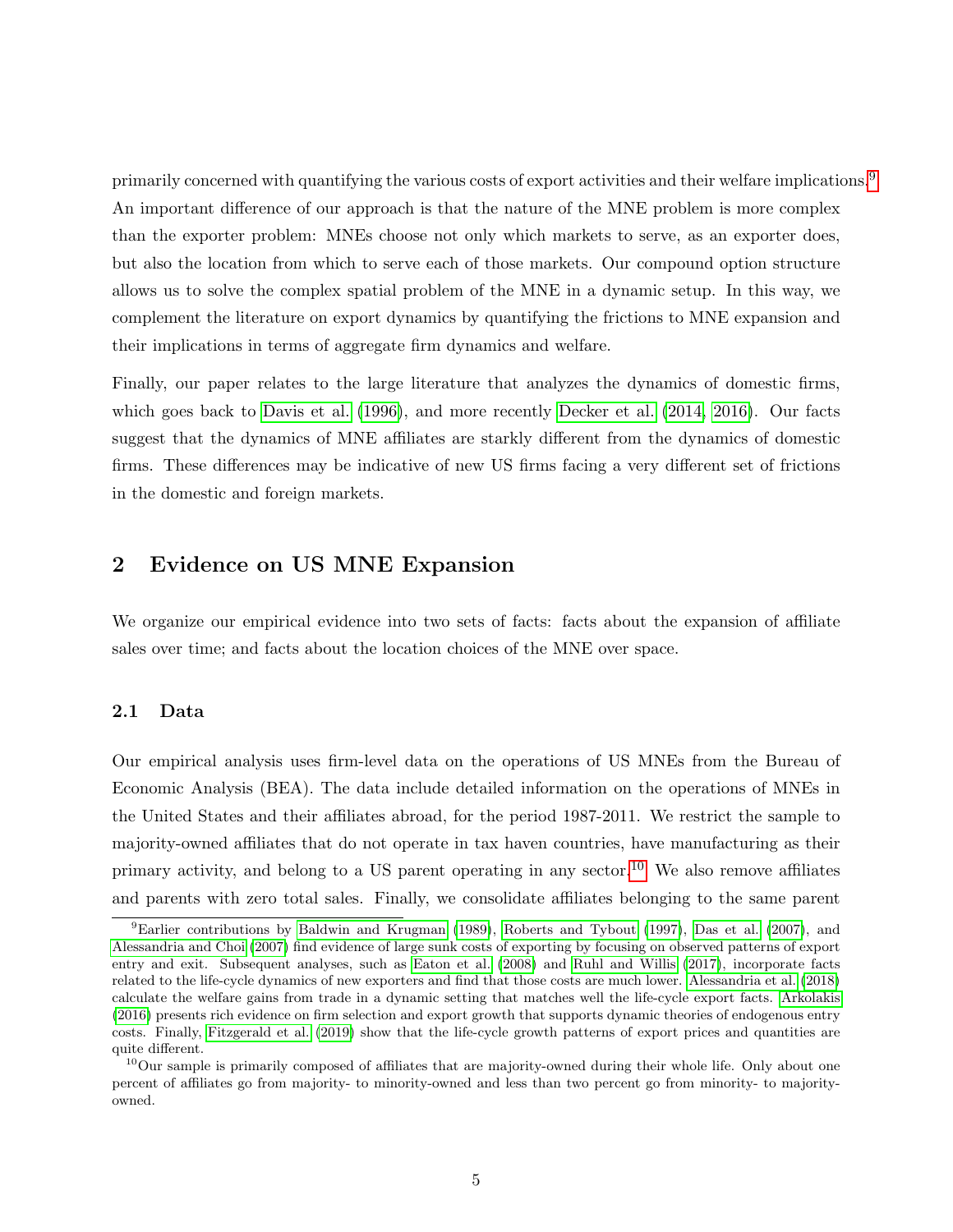primarily concerned with quantifying the various costs of export activities and their welfare implications.<sup>[9](#page-5-0)</sup> An important difference of our approach is that the nature of the MNE problem is more complex than the exporter problem: MNEs choose not only which markets to serve, as an exporter does, but also the location from which to serve each of those markets. Our compound option structure allows us to solve the complex spatial problem of the MNE in a dynamic setup. In this way, we complement the literature on export dynamics by quantifying the frictions to MNE expansion and their implications in terms of aggregate firm dynamics and welfare.

Finally, our paper relates to the large literature that analyzes the dynamics of domestic firms, which goes back to [Davis et al.](#page-41-5) [\(1996\)](#page-41-5), and more recently [Decker et al.](#page-42-9) [\(2014,](#page-42-9) [2016\)](#page-42-10). Our facts suggest that the dynamics of MNE affiliates are starkly different from the dynamics of domestic firms. These differences may be indicative of new US firms facing a very different set of frictions in the domestic and foreign markets.

## <span id="page-5-2"></span>2 Evidence on US MNE Expansion

We organize our empirical evidence into two sets of facts: facts about the expansion of affiliate sales over time; and facts about the location choices of the MNE over space.

#### 2.1 Data

Our empirical analysis uses firm-level data on the operations of US MNEs from the Bureau of Economic Analysis (BEA). The data include detailed information on the operations of MNEs in the United States and their affiliates abroad, for the period 1987-2011. We restrict the sample to majority-owned affiliates that do not operate in tax haven countries, have manufacturing as their primary activity, and belong to a US parent operating in any sector.<sup>[10](#page-5-1)</sup> We also remove affiliates and parents with zero total sales. Finally, we consolidate affiliates belonging to the same parent

<span id="page-5-0"></span> ${}^{9}$ Earlier contributions by [Baldwin and Krugman](#page-41-6) [\(1989\)](#page-41-6), [Roberts and Tybout](#page-43-7) [\(1997\)](#page-43-7), [Das et al.](#page-41-7) [\(2007\)](#page-41-7), and [Alessandria and Choi](#page-41-8) [\(2007\)](#page-41-8) find evidence of large sunk costs of exporting by focusing on observed patterns of export entry and exit. Subsequent analyses, such as [Eaton et al.](#page-42-11) [\(2008\)](#page-42-11) and [Ruhl and Willis](#page-43-8) [\(2017\)](#page-43-8), incorporate facts related to the life-cycle dynamics of new exporters and find that those costs are much lower. [Alessandria et al.](#page-41-9) [\(2018\)](#page-41-9) calculate the welfare gains from trade in a dynamic setting that matches well the life-cycle export facts. [Arkolakis](#page-41-10) [\(2016\)](#page-41-10) presents rich evidence on firm selection and export growth that supports dynamic theories of endogenous entry costs. Finally, [Fitzgerald et al.](#page-42-12) [\(2019\)](#page-42-12) show that the life-cycle growth patterns of export prices and quantities are quite different.

<span id="page-5-1"></span> $10$ Our sample is primarily composed of affiliates that are majority-owned during their whole life. Only about one percent of affiliates go from majority- to minority-owned and less than two percent go from minority- to majorityowned.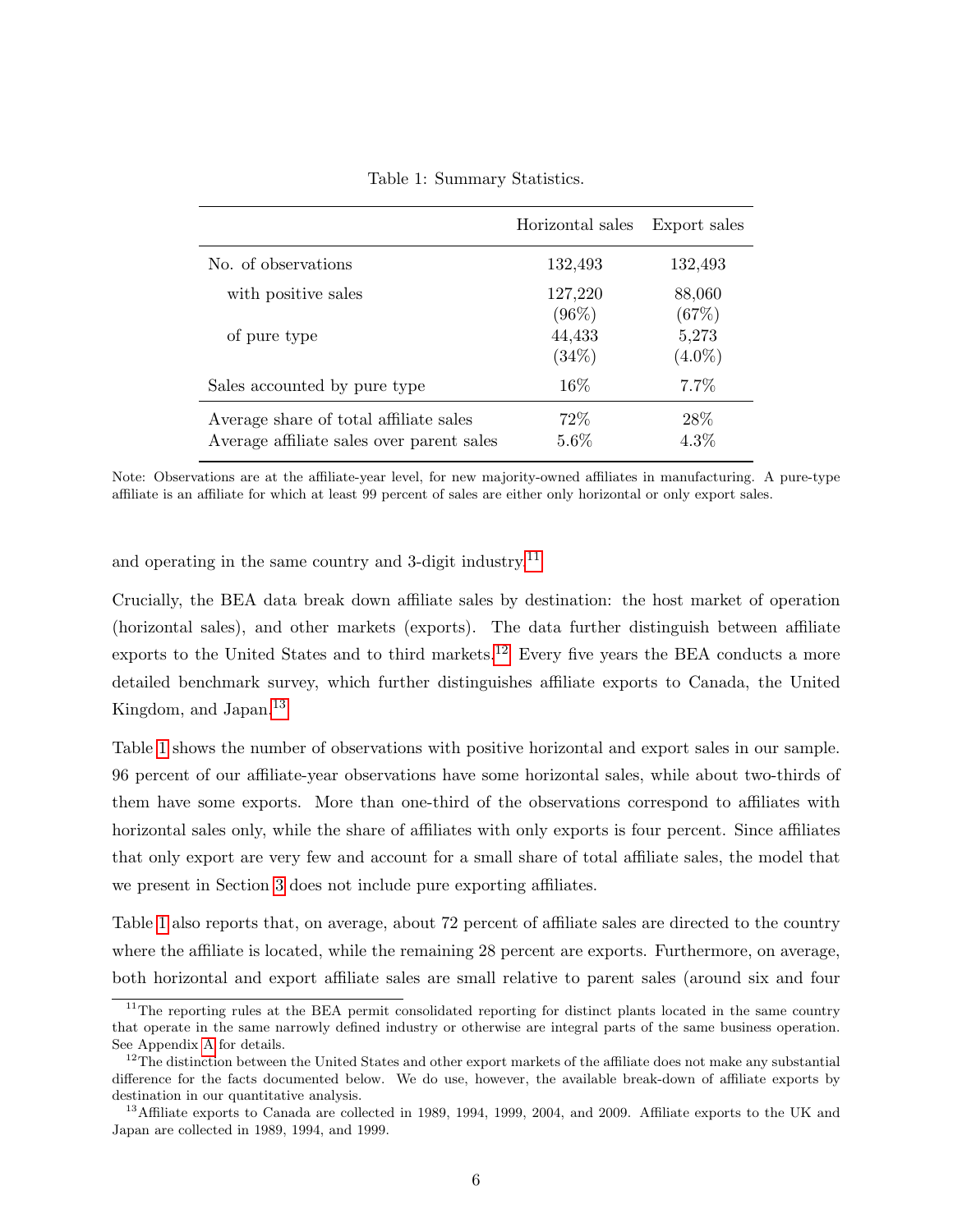<span id="page-6-3"></span>

|                                                                                     | Horizontal sales    | Export sales       |
|-------------------------------------------------------------------------------------|---------------------|--------------------|
| No. of observations                                                                 | 132,493             | 132,493            |
| with positive sales                                                                 | 127,220<br>$(96\%)$ | 88,060<br>(67%)    |
| of pure type                                                                        | 44,433<br>$(34\%)$  | 5,273<br>$(4.0\%)$ |
| Sales accounted by pure type                                                        | 16\%                | $7.7\%$            |
| Average share of total affiliate sales<br>Average affiliate sales over parent sales | 72\%<br>5.6%        | 28\%<br>$4.3\%$    |

Table 1: Summary Statistics.

Note: Observations are at the affiliate-year level, for new majority-owned affiliates in manufacturing. A pure-type affiliate is an affiliate for which at least 99 percent of sales are either only horizontal or only export sales.

and operating in the same country and 3-digit industry.<sup>[11](#page-6-0)</sup>

Crucially, the BEA data break down affiliate sales by destination: the host market of operation (horizontal sales), and other markets (exports). The data further distinguish between affiliate exports to the United States and to third markets.<sup>[12](#page-6-1)</sup> Every five years the BEA conducts a more detailed benchmark survey, which further distinguishes affiliate exports to Canada, the United Kingdom, and Japan.<sup>[13](#page-6-2)</sup>

Table [1](#page-6-3) shows the number of observations with positive horizontal and export sales in our sample. 96 percent of our affiliate-year observations have some horizontal sales, while about two-thirds of them have some exports. More than one-third of the observations correspond to affiliates with horizontal sales only, while the share of affiliates with only exports is four percent. Since affiliates that only export are very few and account for a small share of total affiliate sales, the model that we present in Section [3](#page-12-0) does not include pure exporting affiliates.

Table [1](#page-6-3) also reports that, on average, about 72 percent of affiliate sales are directed to the country where the affiliate is located, while the remaining 28 percent are exports. Furthermore, on average, both horizontal and export affiliate sales are small relative to parent sales (around six and four

<span id="page-6-0"></span><sup>&</sup>lt;sup>11</sup>The reporting rules at the BEA permit consolidated reporting for distinct plants located in the same country that operate in the same narrowly defined industry or otherwise are integral parts of the same business operation. See Appendix [A](#page-1-2) for details.

<span id="page-6-1"></span> $12$ The distinction between the United States and other export markets of the affiliate does not make any substantial difference for the facts documented below. We do use, however, the available break-down of affiliate exports by destination in our quantitative analysis.

<span id="page-6-2"></span><sup>&</sup>lt;sup>13</sup>Affiliate exports to Canada are collected in 1989, 1994, 1999, 2004, and 2009. Affiliate exports to the UK and Japan are collected in 1989, 1994, and 1999.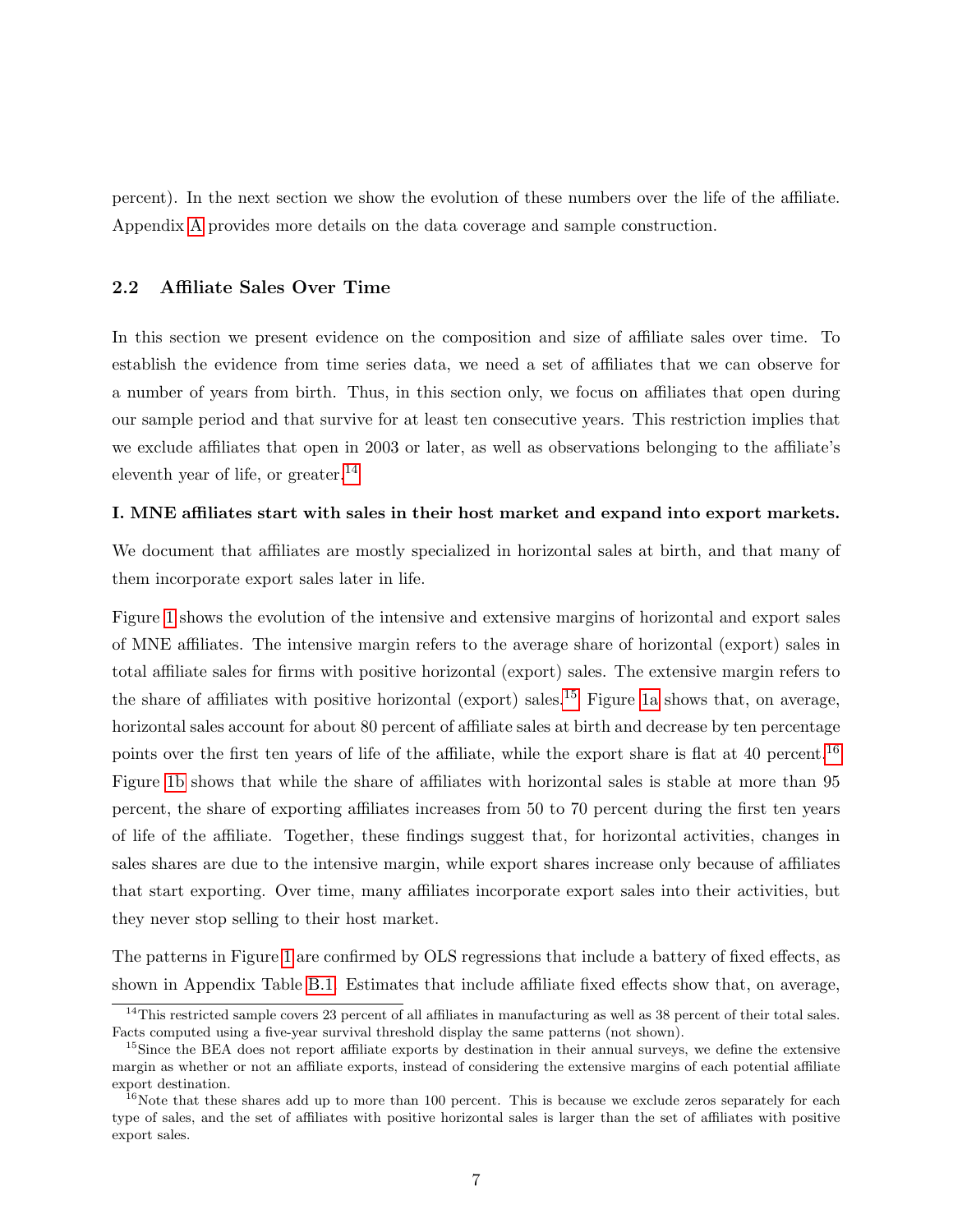percent). In the next section we show the evolution of these numbers over the life of the affiliate. Appendix [A](#page-1-2) provides more details on the data coverage and sample construction.

#### <span id="page-7-3"></span>2.2 Affiliate Sales Over Time

In this section we present evidence on the composition and size of affiliate sales over time. To establish the evidence from time series data, we need a set of affiliates that we can observe for a number of years from birth. Thus, in this section only, we focus on affiliates that open during our sample period and that survive for at least ten consecutive years. This restriction implies that we exclude affiliates that open in 2003 or later, as well as observations belonging to the affiliate's eleventh year of life, or greater.<sup>[14](#page-7-0)</sup>

### I. MNE affiliates start with sales in their host market and expand into export markets.

We document that affiliates are mostly specialized in horizontal sales at birth, and that many of them incorporate export sales later in life.

Figure [1](#page-8-0) shows the evolution of the intensive and extensive margins of horizontal and export sales of MNE affiliates. The intensive margin refers to the average share of horizontal (export) sales in total affiliate sales for firms with positive horizontal (export) sales. The extensive margin refers to the share of affiliates with positive horizontal (export) sales.<sup>[15](#page-7-1)</sup> Figure [1a](#page-8-1) shows that, on average, horizontal sales account for about 80 percent of affiliate sales at birth and decrease by ten percentage points over the first ten years of life of the affiliate, while the export share is flat at 40 percent.<sup>[16](#page-7-2)</sup> Figure [1b](#page-8-2) shows that while the share of affiliates with horizontal sales is stable at more than 95 percent, the share of exporting affiliates increases from 50 to 70 percent during the first ten years of life of the affiliate. Together, these findings suggest that, for horizontal activities, changes in sales shares are due to the intensive margin, while export shares increase only because of affiliates that start exporting. Over time, many affiliates incorporate export sales into their activities, but they never stop selling to their host market.

The patterns in Figure [1](#page-8-0) are confirmed by OLS regressions that include a battery of fixed effects, as shown in Appendix Table [B.1.](#page-0-0) Estimates that include affiliate fixed effects show that, on average,

<span id="page-7-0"></span><sup>&</sup>lt;sup>14</sup>This restricted sample covers 23 percent of all affiliates in manufacturing as well as  $38$  percent of their total sales. Facts computed using a five-year survival threshold display the same patterns (not shown).

<span id="page-7-1"></span><sup>&</sup>lt;sup>15</sup>Since the BEA does not report affiliate exports by destination in their annual surveys, we define the extensive margin as whether or not an affiliate exports, instead of considering the extensive margins of each potential affiliate export destination.

<span id="page-7-2"></span><sup>&</sup>lt;sup>16</sup>Note that these shares add up to more than 100 percent. This is because we exclude zeros separately for each type of sales, and the set of affiliates with positive horizontal sales is larger than the set of affiliates with positive export sales.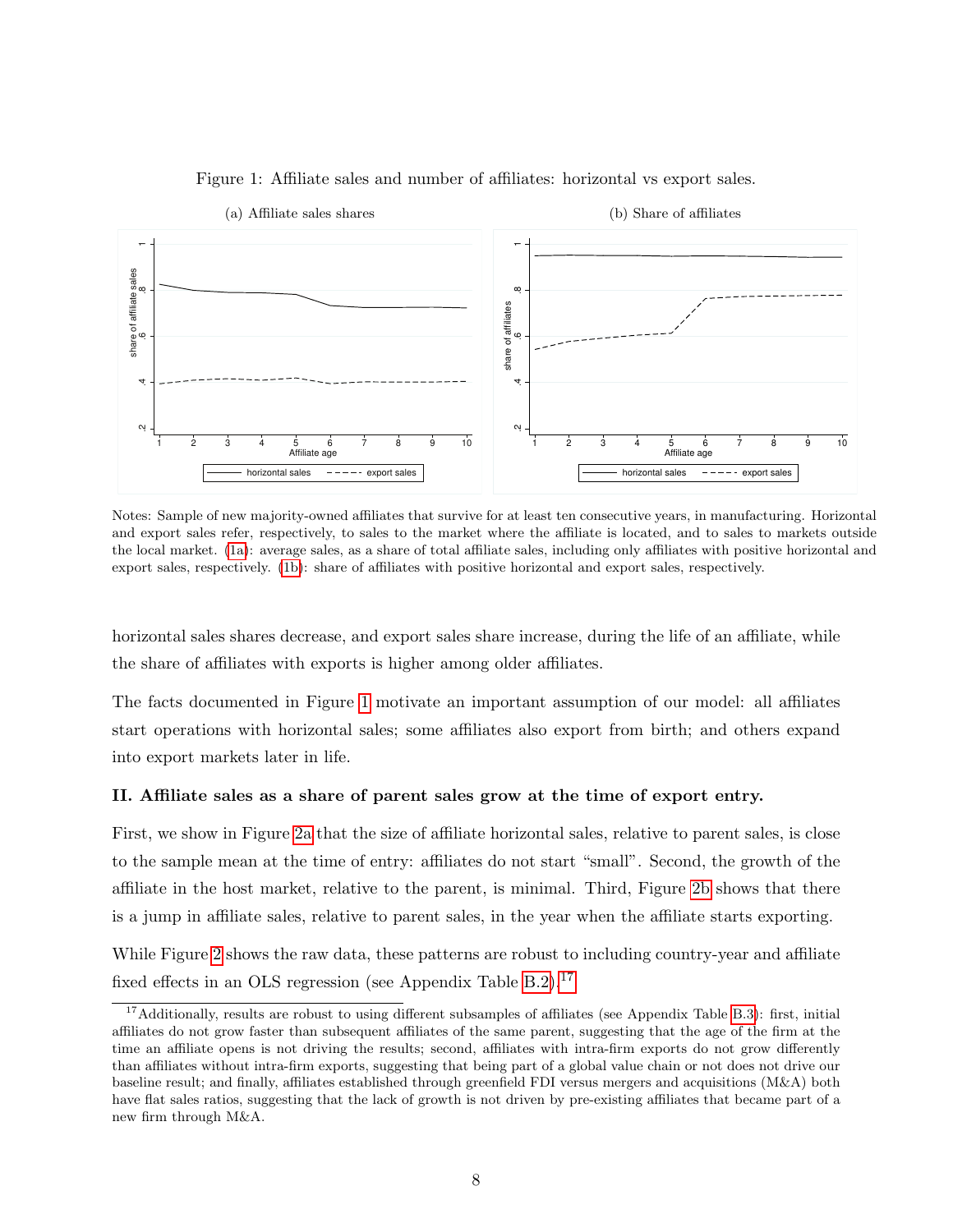<span id="page-8-1"></span><span id="page-8-0"></span>

### <span id="page-8-2"></span>Figure 1: Affiliate sales and number of affiliates: horizontal vs export sales.

Notes: Sample of new majority-owned affiliates that survive for at least ten consecutive years, in manufacturing. Horizontal and export sales refer, respectively, to sales to the market where the affiliate is located, and to sales to markets outside the local market. [\(1a\)](#page-8-1): average sales, as a share of total affiliate sales, including only affiliates with positive horizontal and export sales, respectively. [\(1b\)](#page-8-2): share of affiliates with positive horizontal and export sales, respectively.

horizontal sales shares decrease, and export sales share increase, during the life of an affiliate, while the share of affiliates with exports is higher among older affiliates.

The facts documented in Figure [1](#page-8-0) motivate an important assumption of our model: all affiliates start operations with horizontal sales; some affiliates also export from birth; and others expand into export markets later in life.

### II. Affiliate sales as a share of parent sales grow at the time of export entry.

First, we show in Figure [2a](#page-9-0) that the size of affiliate horizontal sales, relative to parent sales, is close to the sample mean at the time of entry: affiliates do not start "small". Second, the growth of the affiliate in the host market, relative to the parent, is minimal. Third, Figure [2b](#page-9-1) shows that there is a jump in affiliate sales, relative to parent sales, in the year when the affiliate starts exporting.

While Figure [2](#page-9-2) shows the raw data, these patterns are robust to including country-year and affiliate fixed effects in an OLS regression (see Appendix Table  $B.2$ ).<sup>[17](#page-8-3)</sup>

<span id="page-8-3"></span> $17$ Additionally, results are robust to using different subsamples of affiliates (see Appendix Table [B.3\)](#page-0-0): first, initial affiliates do not grow faster than subsequent affiliates of the same parent, suggesting that the age of the firm at the time an affiliate opens is not driving the results; second, affiliates with intra-firm exports do not grow differently than affiliates without intra-firm exports, suggesting that being part of a global value chain or not does not drive our baseline result; and finally, affiliates established through greenfield FDI versus mergers and acquisitions (M&A) both have flat sales ratios, suggesting that the lack of growth is not driven by pre-existing affiliates that became part of a new firm through M&A.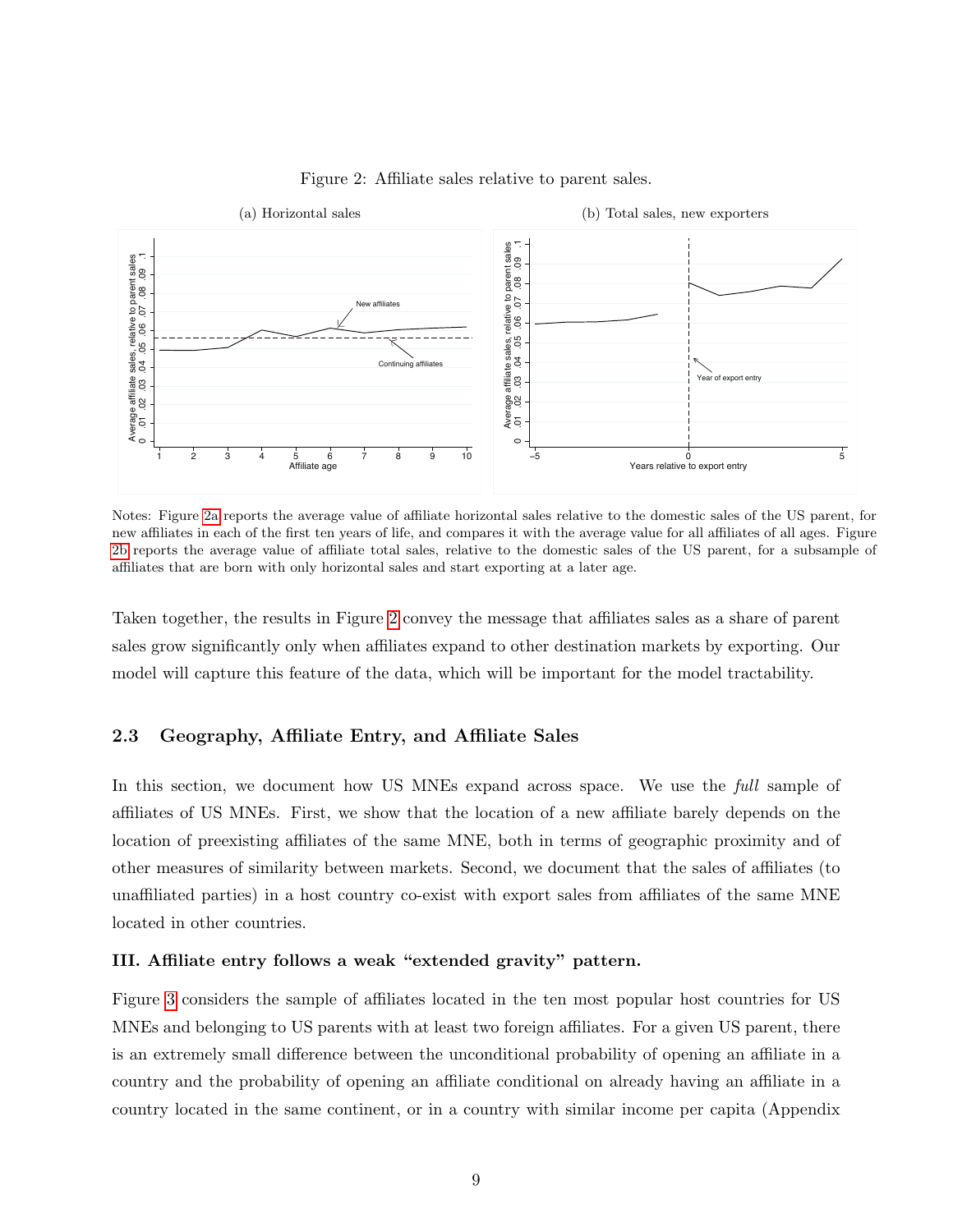<span id="page-9-2"></span><span id="page-9-0"></span>

<span id="page-9-1"></span>Figure 2: Affiliate sales relative to parent sales.

Notes: Figure [2a](#page-9-0) reports the average value of affiliate horizontal sales relative to the domestic sales of the US parent, for new affiliates in each of the first ten years of life, and compares it with the average value for all affiliates of all ages. Figure [2b](#page-9-1) reports the average value of affiliate total sales, relative to the domestic sales of the US parent, for a subsample of affiliates that are born with only horizontal sales and start exporting at a later age.

Taken together, the results in Figure [2](#page-9-2) convey the message that affiliates sales as a share of parent sales grow significantly only when affiliates expand to other destination markets by exporting. Our model will capture this feature of the data, which will be important for the model tractability.

## 2.3 Geography, Affiliate Entry, and Affiliate Sales

In this section, we document how US MNEs expand across space. We use the *full* sample of affiliates of US MNEs. First, we show that the location of a new affiliate barely depends on the location of preexisting affiliates of the same MNE, both in terms of geographic proximity and of other measures of similarity between markets. Second, we document that the sales of affiliates (to unaffiliated parties) in a host country co-exist with export sales from affiliates of the same MNE located in other countries.

### III. Affiliate entry follows a weak "extended gravity" pattern.

Figure [3](#page-10-0) considers the sample of affiliates located in the ten most popular host countries for US MNEs and belonging to US parents with at least two foreign affiliates. For a given US parent, there is an extremely small difference between the unconditional probability of opening an affiliate in a country and the probability of opening an affiliate conditional on already having an affiliate in a country located in the same continent, or in a country with similar income per capita (Appendix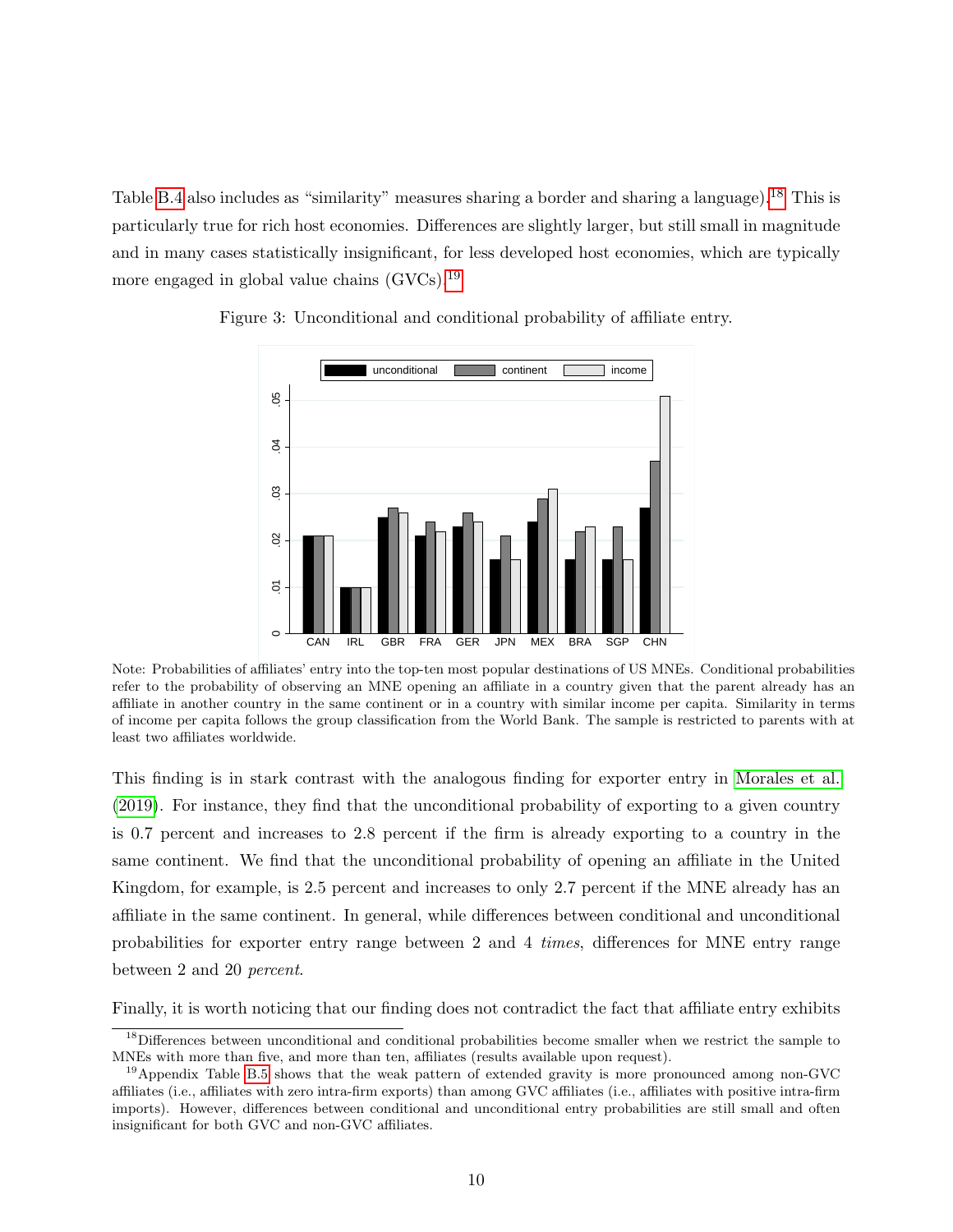Table [B.4](#page-0-0) also includes as "similarity" measures sharing a border and sharing a language).<sup>[18](#page-10-1)</sup> This is particularly true for rich host economies. Differences are slightly larger, but still small in magnitude and in many cases statistically insignificant, for less developed host economies, which are typically more engaged in global value chains (GVCs).<sup>[19](#page-10-2)</sup>



<span id="page-10-0"></span>Figure 3: Unconditional and conditional probability of affiliate entry.

Note: Probabilities of affiliates' entry into the top-ten most popular destinations of US MNEs. Conditional probabilities refer to the probability of observing an MNE opening an affiliate in a country given that the parent already has an affiliate in another country in the same continent or in a country with similar income per capita. Similarity in terms of income per capita follows the group classification from the World Bank. The sample is restricted to parents with at least two affiliates worldwide.

This finding is in stark contrast with the analogous finding for exporter entry in [Morales et al.](#page-43-9) [\(2019\)](#page-43-9). For instance, they find that the unconditional probability of exporting to a given country is 0.7 percent and increases to 2.8 percent if the firm is already exporting to a country in the same continent. We find that the unconditional probability of opening an affiliate in the United Kingdom, for example, is 2.5 percent and increases to only 2.7 percent if the MNE already has an affiliate in the same continent. In general, while differences between conditional and unconditional probabilities for exporter entry range between 2 and 4 times, differences for MNE entry range between 2 and 20 percent.

Finally, it is worth noticing that our finding does not contradict the fact that affiliate entry exhibits

<span id="page-10-1"></span><sup>&</sup>lt;sup>18</sup>Differences between unconditional and conditional probabilities become smaller when we restrict the sample to MNEs with more than five, and more than ten, affiliates (results available upon request).

<span id="page-10-2"></span> $19$ Appendix Table [B.5](#page-27-0) shows that the weak pattern of extended gravity is more pronounced among non-GVC affiliates (i.e., affiliates with zero intra-firm exports) than among GVC affiliates (i.e., affiliates with positive intra-firm imports). However, differences between conditional and unconditional entry probabilities are still small and often insignificant for both GVC and non-GVC affiliates.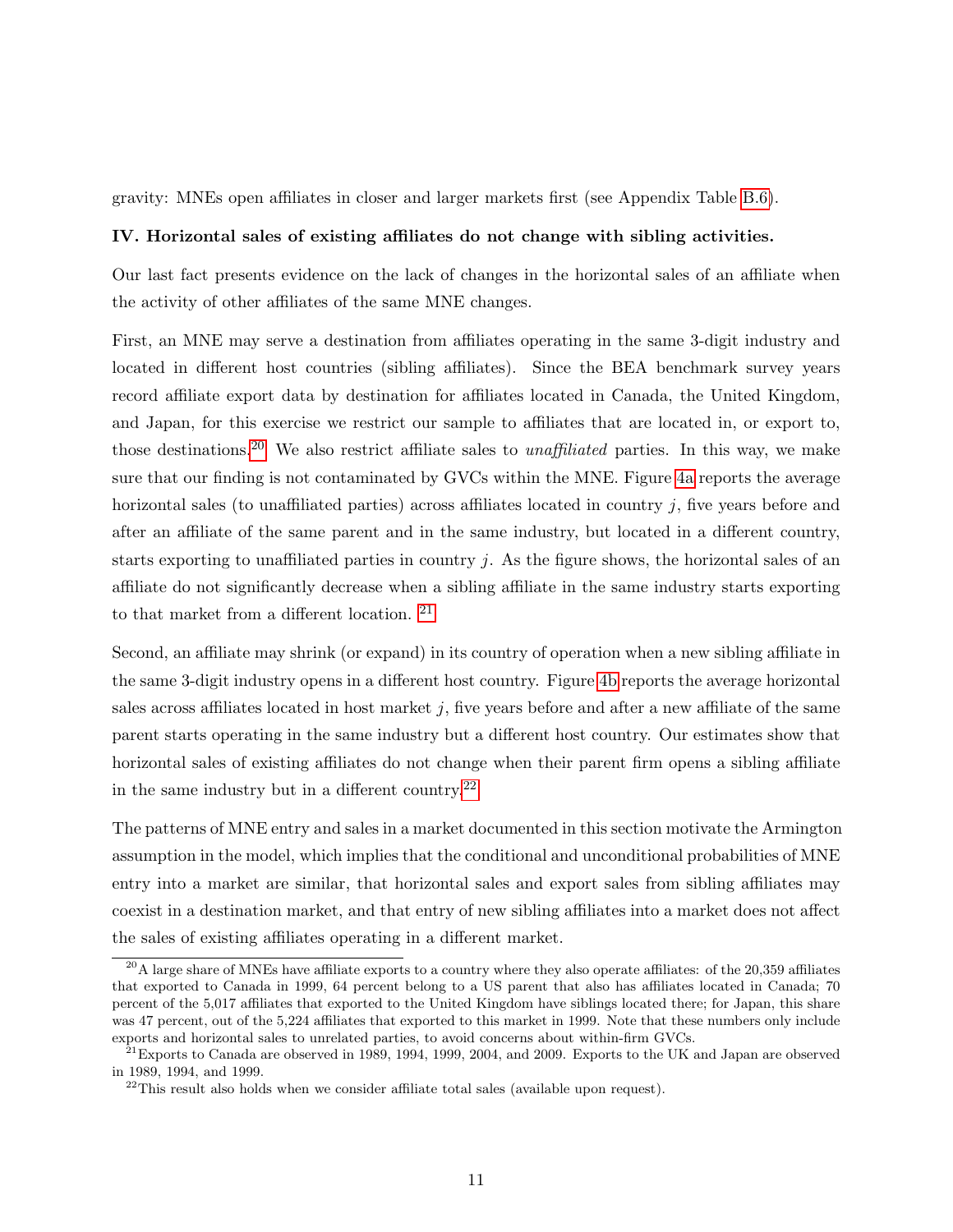gravity: MNEs open affiliates in closer and larger markets first (see Appendix Table [B.6\)](#page-0-0).

#### IV. Horizontal sales of existing affiliates do not change with sibling activities.

Our last fact presents evidence on the lack of changes in the horizontal sales of an affiliate when the activity of other affiliates of the same MNE changes.

First, an MNE may serve a destination from affiliates operating in the same 3-digit industry and located in different host countries (sibling affiliates). Since the BEA benchmark survey years record affiliate export data by destination for affiliates located in Canada, the United Kingdom, and Japan, for this exercise we restrict our sample to affiliates that are located in, or export to, those destinations.<sup>[20](#page-11-0)</sup> We also restrict affiliate sales to *unaffiliated* parties. In this way, we make sure that our finding is not contaminated by GVCs within the MNE. Figure [4a](#page-12-1) reports the average horizontal sales (to unaffiliated parties) across affiliates located in country j, five years before and after an affiliate of the same parent and in the same industry, but located in a different country, starts exporting to unaffiliated parties in country  $j$ . As the figure shows, the horizontal sales of an affiliate do not significantly decrease when a sibling affiliate in the same industry starts exporting to that market from a different location. [21](#page-11-1)

Second, an affiliate may shrink (or expand) in its country of operation when a new sibling affiliate in the same 3-digit industry opens in a different host country. Figure [4b](#page-12-2) reports the average horizontal sales across affiliates located in host market  $j$ , five years before and after a new affiliate of the same parent starts operating in the same industry but a different host country. Our estimates show that horizontal sales of existing affiliates do not change when their parent firm opens a sibling affiliate in the same industry but in a different country.<sup>[22](#page-11-2)</sup>

The patterns of MNE entry and sales in a market documented in this section motivate the Armington assumption in the model, which implies that the conditional and unconditional probabilities of MNE entry into a market are similar, that horizontal sales and export sales from sibling affiliates may coexist in a destination market, and that entry of new sibling affiliates into a market does not affect the sales of existing affiliates operating in a different market.

<span id="page-11-0"></span> $^{20}$ A large share of MNEs have affiliate exports to a country where they also operate affiliates: of the 20,359 affiliates that exported to Canada in 1999, 64 percent belong to a US parent that also has affiliates located in Canada; 70 percent of the 5,017 affiliates that exported to the United Kingdom have siblings located there; for Japan, this share was 47 percent, out of the 5,224 affiliates that exported to this market in 1999. Note that these numbers only include exports and horizontal sales to unrelated parties, to avoid concerns about within-firm GVCs.

<span id="page-11-1"></span><sup>&</sup>lt;sup>21</sup> Exports to Canada are observed in 1989, 1994, 1999, 2004, and 2009. Exports to the UK and Japan are observed in 1989, 1994, and 1999.

<span id="page-11-2"></span> $22$ This result also holds when we consider affiliate total sales (available upon request).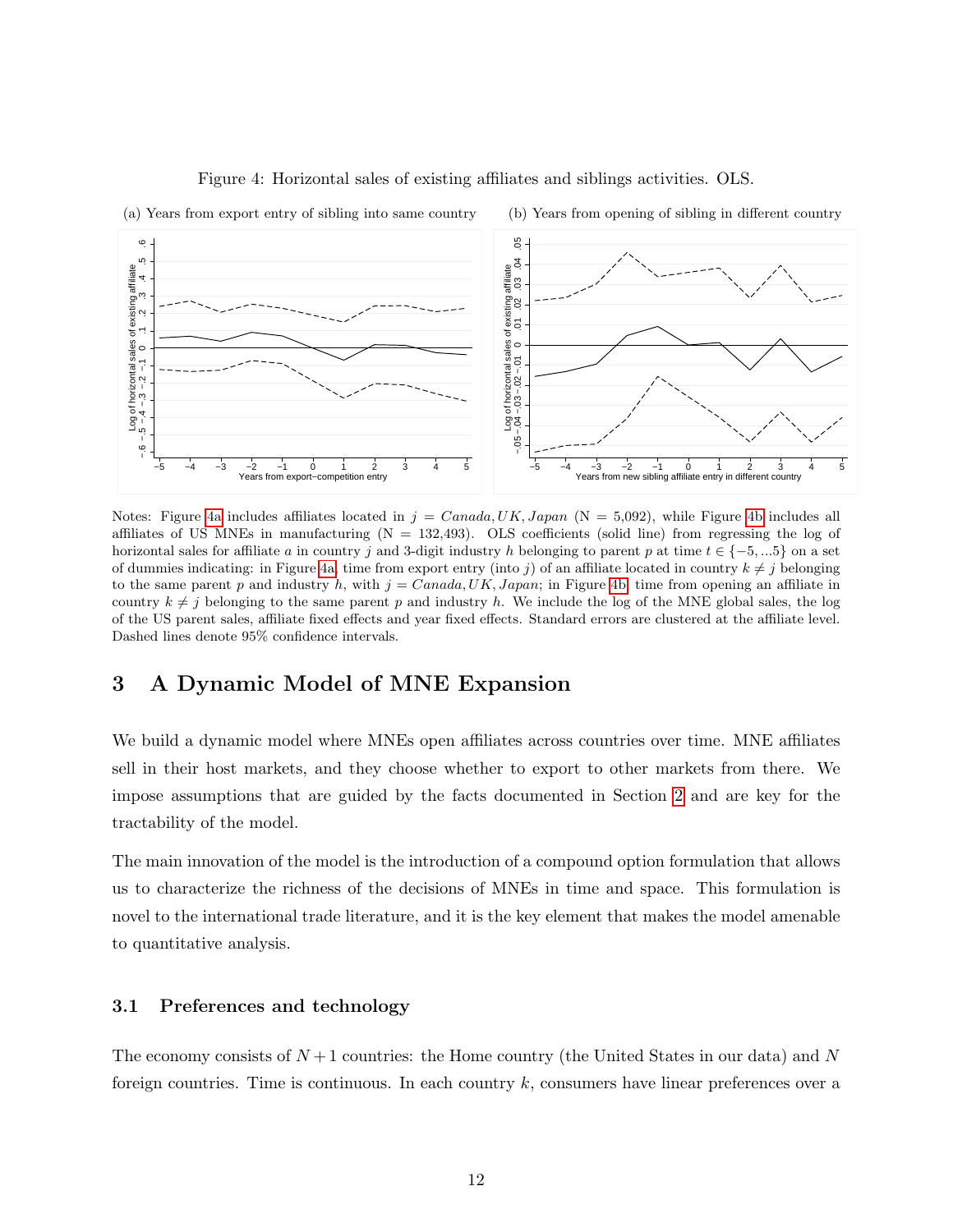<span id="page-12-1"></span>

<span id="page-12-2"></span>Figure 4: Horizontal sales of existing affiliates and siblings activities. OLS.

Notes: Figure [4a](#page-12-1) includes affiliates located in  $j = Canada, UK, Japan$  (N = 5,092), while Figure [4b](#page-12-2) includes all affiliates of US MNEs in manufacturing  $(N = 132,493)$ . OLS coefficients (solid line) from regressing the log of horizontal sales for affiliate a in country j and 3-digit industry h belonging to parent p at time  $t \in \{-5, ...5\}$  on a set of dummies indicating: in Figure [4a,](#page-12-1) time from export entry (into j) of an affiliate located in country  $k \neq j$  belonging to the same parent p and industry h, with  $j = Canada, UK, Japan;$  in Figure [4b,](#page-12-2) time from opening an affiliate in country  $k \neq j$  belonging to the same parent p and industry h. We include the log of the MNE global sales, the log of the US parent sales, affiliate fixed effects and year fixed effects. Standard errors are clustered at the affiliate level. Dashed lines denote 95% confidence intervals.

## <span id="page-12-0"></span>3 A Dynamic Model of MNE Expansion

We build a dynamic model where MNEs open affiliates across countries over time. MNE affiliates sell in their host markets, and they choose whether to export to other markets from there. We impose assumptions that are guided by the facts documented in Section [2](#page-5-2) and are key for the tractability of the model.

The main innovation of the model is the introduction of a compound option formulation that allows us to characterize the richness of the decisions of MNEs in time and space. This formulation is novel to the international trade literature, and it is the key element that makes the model amenable to quantitative analysis.

### 3.1 Preferences and technology

The economy consists of  $N+1$  countries: the Home country (the United States in our data) and N foreign countries. Time is continuous. In each country  $k$ , consumers have linear preferences over a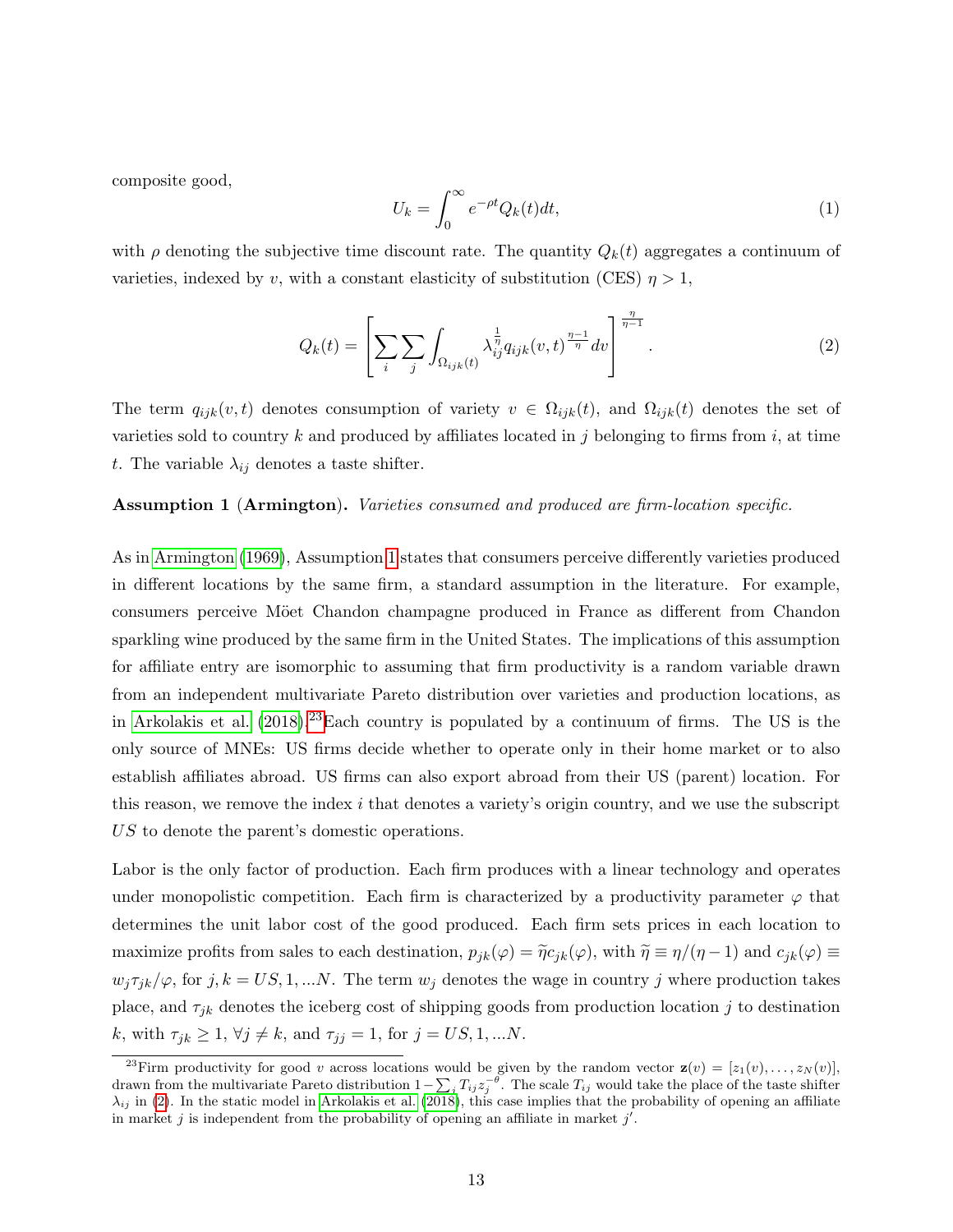composite good,

$$
U_k = \int_0^\infty e^{-\rho t} Q_k(t) dt,\tag{1}
$$

with  $\rho$  denoting the subjective time discount rate. The quantity  $Q_k(t)$  aggregates a continuum of varieties, indexed by v, with a constant elasticity of substitution (CES)  $\eta > 1$ ,

<span id="page-13-2"></span>
$$
Q_k(t) = \left[ \sum_i \sum_j \int_{\Omega_{ijk}(t)} \lambda_{ij}^{\frac{1}{\eta}} q_{ijk}(v,t)^{\frac{\eta-1}{\eta}} dv \right]^{\frac{\eta}{\eta-1}}.
$$
 (2)

The term  $q_{ijk}(v, t)$  denotes consumption of variety  $v \in \Omega_{ijk}(t)$ , and  $\Omega_{ijk}(t)$  denotes the set of varieties sold to country k and produced by affiliates located in j belonging to firms from i, at time t. The variable  $\lambda_{ij}$  denotes a taste shifter.

### <span id="page-13-0"></span>Assumption 1 (Armington). Varieties consumed and produced are firm-location specific.

As in [Armington](#page-41-11) [\(1969\)](#page-41-11), Assumption [1](#page-13-0) states that consumers perceive differently varieties produced in different locations by the same firm, a standard assumption in the literature. For example, consumers perceive Möet Chandon champagne produced in France as different from Chandon sparkling wine produced by the same firm in the United States. The implications of this assumption for affiliate entry are isomorphic to assuming that firm productivity is a random variable drawn from an independent multivariate Pareto distribution over varieties and production locations, as in [Arkolakis et al.](#page-41-2)  $(2018).^{23}$  $(2018).^{23}$  $(2018).^{23}$  $(2018).^{23}$ Each country is populated by a continuum of firms. The US is the only source of MNEs: US firms decide whether to operate only in their home market or to also establish affiliates abroad. US firms can also export abroad from their US (parent) location. For this reason, we remove the index  $i$  that denotes a variety's origin country, and we use the subscript US to denote the parent's domestic operations.

Labor is the only factor of production. Each firm produces with a linear technology and operates under monopolistic competition. Each firm is characterized by a productivity parameter  $\varphi$  that determines the unit labor cost of the good produced. Each firm sets prices in each location to maximize profits from sales to each destination,  $p_{jk}(\varphi) = \tilde{\eta} c_{jk}(\varphi)$ , with  $\tilde{\eta} \equiv \eta/(\eta - 1)$  and  $c_{jk}(\varphi) \equiv$  $w_j \tau_{jk}/\varphi$ , for  $j, k = US, 1, ...N$ . The term  $w_j$  denotes the wage in country j where production takes place, and  $\tau_{jk}$  denotes the iceberg cost of shipping goods from production location j to destination k, with  $\tau_{jk} \ge 1$ ,  $\forall j \ne k$ , and  $\tau_{jj} = 1$ , for  $j = US, 1, ...N$ .

<span id="page-13-1"></span><sup>&</sup>lt;sup>23</sup>Firm productivity for good v across locations would be given by the random vector  $\mathbf{z}(v) = [z_1(v), \ldots, z_N(v)],$ drawn from the multivariate Pareto distribution  $1-\sum_j T_{ij}z_j^{-\theta}$ . The scale  $T_{ij}$  would take the place of the taste shifter  $\lambda_{ij}$  in [\(2\)](#page-13-2). In the static model in [Arkolakis et al.](#page-41-2) [\(2018\)](#page-41-2), this case implies that the probability of opening an affiliate in market  $j$  is independent from the probability of opening an affiliate in market  $j'$ .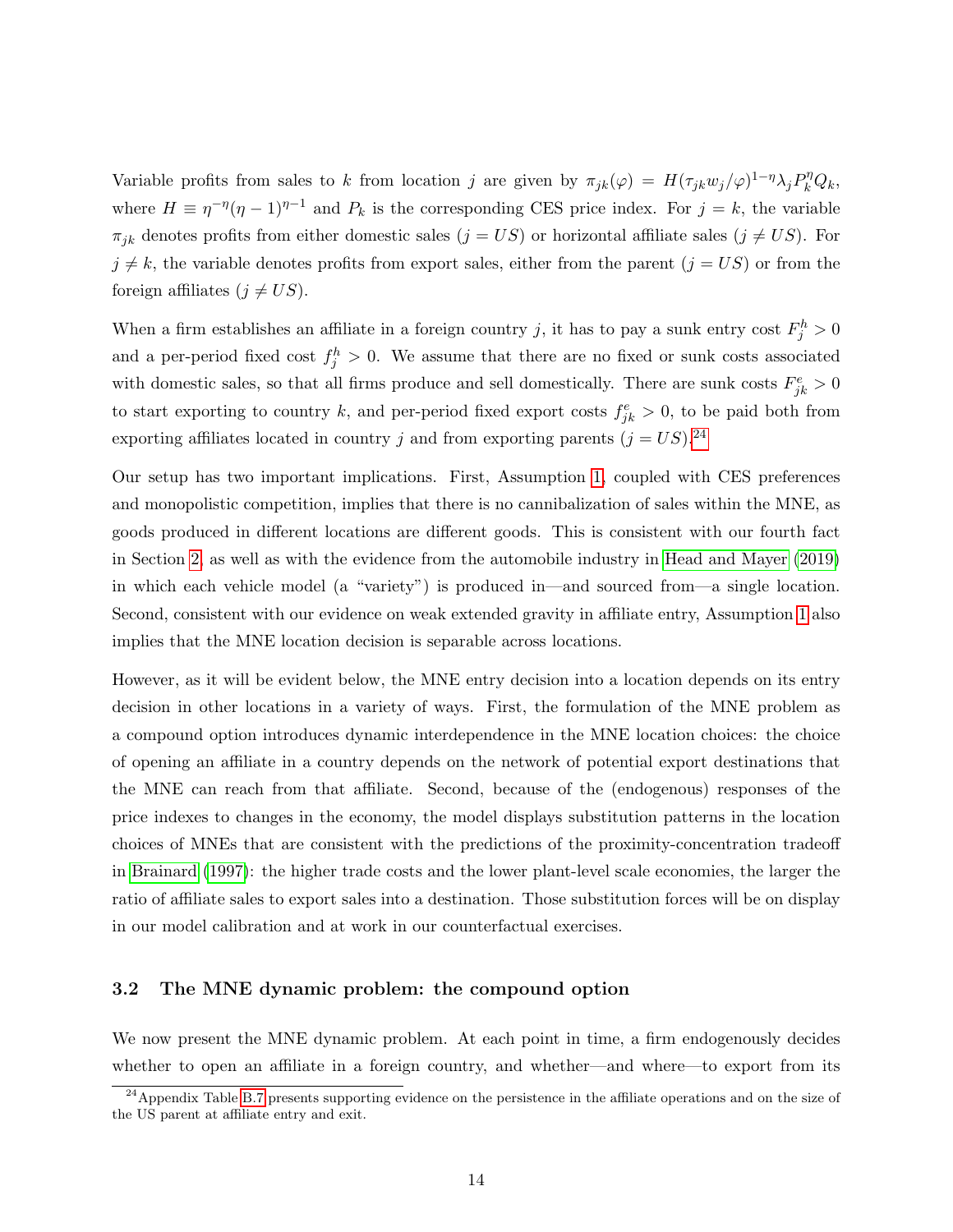Variable profits from sales to k from location j are given by  $\pi_{jk}(\varphi) = H(\tau_{jk}w_j/\varphi)^{1-\eta}\lambda_j P_k^{\eta}Q_k$ , where  $H \equiv \eta^{-\eta}(\eta - 1)^{\eta - 1}$  and  $P_k$  is the corresponding CES price index. For  $j = k$ , the variable  $\pi_{jk}$  denotes profits from either domestic sales  $(j = US)$  or horizontal affiliate sales  $(j \neq US)$ . For  $j \neq k$ , the variable denotes profits from export sales, either from the parent  $(j = US)$  or from the foreign affiliates  $(j \neq US)$ .

When a firm establishes an affiliate in a foreign country j, it has to pay a sunk entry cost  $F_j^h > 0$ and a per-period fixed cost  $f_j^h > 0$ . We assume that there are no fixed or sunk costs associated with domestic sales, so that all firms produce and sell domestically. There are sunk costs  $F_{jk}^e > 0$ to start exporting to country k, and per-period fixed export costs  $f_{jk}^e > 0$ , to be paid both from exporting affiliates located in country j and from exporting parents  $(j = US)^{24}$  $(j = US)^{24}$  $(j = US)^{24}$ 

Our setup has two important implications. First, Assumption [1,](#page-13-0) coupled with CES preferences and monopolistic competition, implies that there is no cannibalization of sales within the MNE, as goods produced in different locations are different goods. This is consistent with our fourth fact in Section [2,](#page-5-2) as well as with the evidence from the automobile industry in [Head and Mayer](#page-42-3) [\(2019\)](#page-42-3) in which each vehicle model (a "variety") is produced in—and sourced from—a single location. Second, consistent with our evidence on weak extended gravity in affiliate entry, Assumption [1](#page-13-0) also implies that the MNE location decision is separable across locations.

However, as it will be evident below, the MNE entry decision into a location depends on its entry decision in other locations in a variety of ways. First, the formulation of the MNE problem as a compound option introduces dynamic interdependence in the MNE location choices: the choice of opening an affiliate in a country depends on the network of potential export destinations that the MNE can reach from that affiliate. Second, because of the (endogenous) responses of the price indexes to changes in the economy, the model displays substitution patterns in the location choices of MNEs that are consistent with the predictions of the proximity-concentration tradeoff in [Brainard](#page-41-1) [\(1997\)](#page-41-1): the higher trade costs and the lower plant-level scale economies, the larger the ratio of affiliate sales to export sales into a destination. Those substitution forces will be on display in our model calibration and at work in our counterfactual exercises.

#### 3.2 The MNE dynamic problem: the compound option

We now present the MNE dynamic problem. At each point in time, a firm endogenously decides whether to open an affiliate in a foreign country, and whether—and where—to export from its

<span id="page-14-0"></span> $^{24}$ Appendix Table [B.7](#page-0-0) presents supporting evidence on the persistence in the affiliate operations and on the size of the US parent at affiliate entry and exit.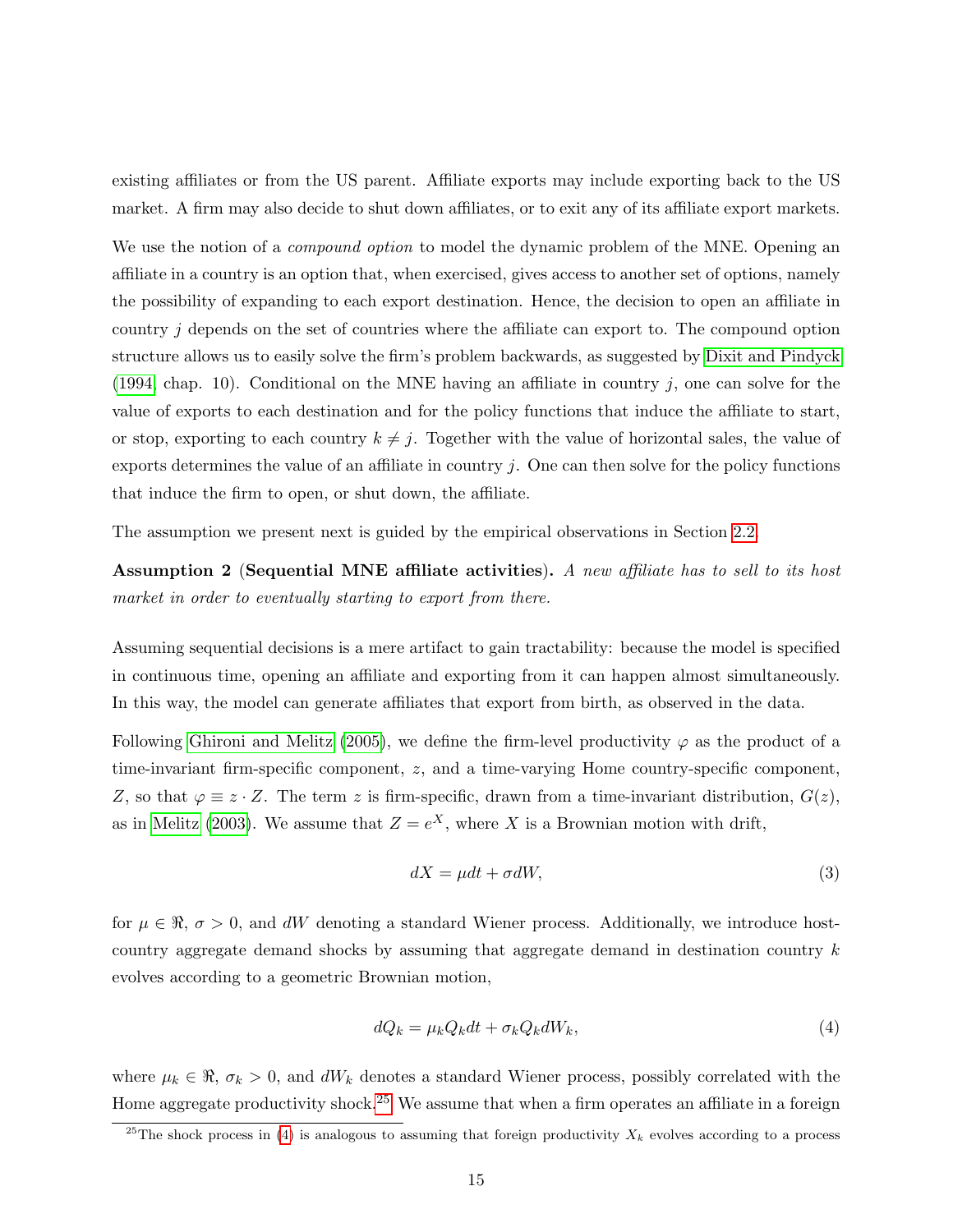existing affiliates or from the US parent. Affiliate exports may include exporting back to the US market. A firm may also decide to shut down affiliates, or to exit any of its affiliate export markets.

We use the notion of a *compound option* to model the dynamic problem of the MNE. Opening an affiliate in a country is an option that, when exercised, gives access to another set of options, namely the possibility of expanding to each export destination. Hence, the decision to open an affiliate in country j depends on the set of countries where the affiliate can export to. The compound option structure allows us to easily solve the firm's problem backwards, as suggested by [Dixit and Pindyck](#page-42-0)  $(1994,$  chap. 10). Conditional on the MNE having an affiliate in country j, one can solve for the value of exports to each destination and for the policy functions that induce the affiliate to start, or stop, exporting to each country  $k \neq j$ . Together with the value of horizontal sales, the value of exports determines the value of an affiliate in country  $j$ . One can then solve for the policy functions that induce the firm to open, or shut down, the affiliate.

The assumption we present next is guided by the empirical observations in Section [2.2.](#page-7-3)

<span id="page-15-3"></span>Assumption 2 (Sequential MNE affiliate activities). A new affiliate has to sell to its host market in order to eventually starting to export from there.

Assuming sequential decisions is a mere artifact to gain tractability: because the model is specified in continuous time, opening an affiliate and exporting from it can happen almost simultaneously. In this way, the model can generate affiliates that export from birth, as observed in the data.

Following [Ghironi and Melitz](#page-42-13) [\(2005\)](#page-42-13), we define the firm-level productivity  $\varphi$  as the product of a time-invariant firm-specific component, z, and a time-varying Home country-specific component, Z, so that  $\varphi \equiv z \cdot Z$ . The term z is firm-specific, drawn from a time-invariant distribution,  $G(z)$ , as in [Melitz](#page-43-1) [\(2003\)](#page-43-1). We assume that  $Z = e^X$ , where X is a Brownian motion with drift,

<span id="page-15-2"></span>
$$
dX = \mu dt + \sigma dW,\tag{3}
$$

for  $\mu \in \Re$ ,  $\sigma > 0$ , and dW denoting a standard Wiener process. Additionally, we introduce hostcountry aggregate demand shocks by assuming that aggregate demand in destination country k evolves according to a geometric Brownian motion,

<span id="page-15-1"></span>
$$
dQ_k = \mu_k Q_k dt + \sigma_k Q_k dW_k, \qquad (4)
$$

where  $\mu_k \in \Re$ ,  $\sigma_k > 0$ , and  $dW_k$  denotes a standard Wiener process, possibly correlated with the Home aggregate productivity shock.[25](#page-15-0) We assume that when a firm operates an affiliate in a foreign

<span id="page-15-0"></span><sup>&</sup>lt;sup>25</sup>The shock process in [\(4\)](#page-15-1) is analogous to assuming that foreign productivity  $X_k$  evolves according to a process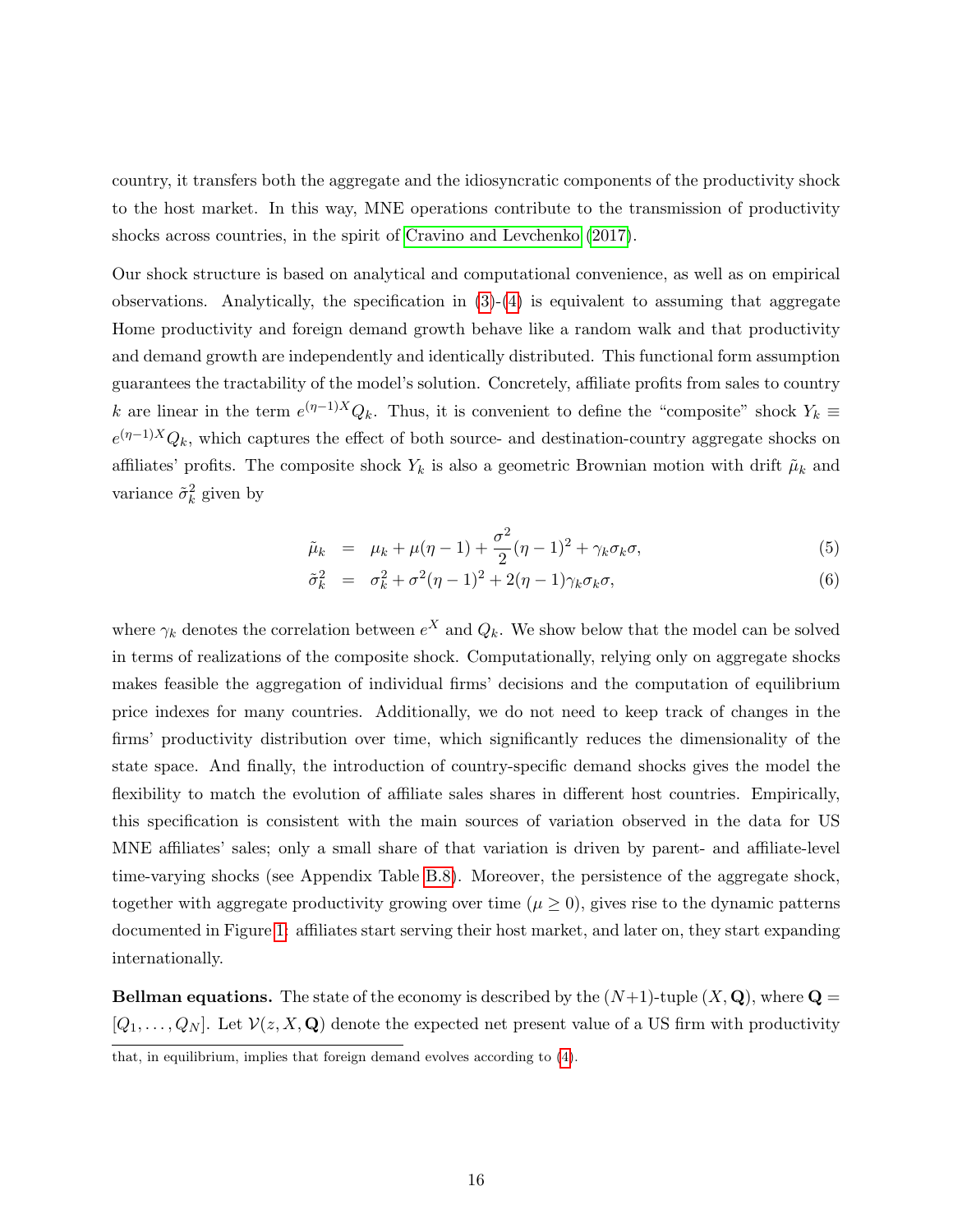country, it transfers both the aggregate and the idiosyncratic components of the productivity shock to the host market. In this way, MNE operations contribute to the transmission of productivity shocks across countries, in the spirit of [Cravino and Levchenko](#page-41-12) [\(2017\)](#page-41-12).

Our shock structure is based on analytical and computational convenience, as well as on empirical observations. Analytically, the specification in  $(3)-(4)$  $(3)-(4)$  $(3)-(4)$  is equivalent to assuming that aggregate Home productivity and foreign demand growth behave like a random walk and that productivity and demand growth are independently and identically distributed. This functional form assumption guarantees the tractability of the model's solution. Concretely, affiliate profits from sales to country k are linear in the term  $e^{(\eta-1)X}Q_k$ . Thus, it is convenient to define the "composite" shock  $Y_k \equiv$  $e^{(\eta-1)X}Q_k$ , which captures the effect of both source- and destination-country aggregate shocks on affiliates' profits. The composite shock  $Y_k$  is also a geometric Brownian motion with drift  $\tilde{\mu}_k$  and variance  $\tilde{\sigma}_k^2$  given by

<span id="page-16-0"></span>
$$
\tilde{\mu}_k = \mu_k + \mu(\eta - 1) + \frac{\sigma^2}{2}(\eta - 1)^2 + \gamma_k \sigma_k \sigma,
$$
\n(5)

$$
\tilde{\sigma}_k^2 = \sigma_k^2 + \sigma^2 (\eta - 1)^2 + 2(\eta - 1)\gamma_k \sigma_k \sigma,
$$
\n(6)

where  $\gamma_k$  denotes the correlation between  $e^X$  and  $Q_k$ . We show below that the model can be solved in terms of realizations of the composite shock. Computationally, relying only on aggregate shocks makes feasible the aggregation of individual firms' decisions and the computation of equilibrium price indexes for many countries. Additionally, we do not need to keep track of changes in the firms' productivity distribution over time, which significantly reduces the dimensionality of the state space. And finally, the introduction of country-specific demand shocks gives the model the flexibility to match the evolution of affiliate sales shares in different host countries. Empirically, this specification is consistent with the main sources of variation observed in the data for US MNE affiliates' sales; only a small share of that variation is driven by parent- and affiliate-level time-varying shocks (see Appendix Table [B.8\)](#page-30-0). Moreover, the persistence of the aggregate shock, together with aggregate productivity growing over time ( $\mu \geq 0$ ), gives rise to the dynamic patterns documented in Figure [1:](#page-8-0) affiliates start serving their host market, and later on, they start expanding internationally.

**Bellman equations.** The state of the economy is described by the  $(N+1)$ -tuple  $(X, \mathbf{Q})$ , where  $\mathbf{Q} =$  $[Q_1, \ldots, Q_N]$ . Let  $\mathcal{V}(z, X, \mathbf{Q})$  denote the expected net present value of a US firm with productivity

that, in equilibrium, implies that foreign demand evolves according to [\(4\)](#page-15-1).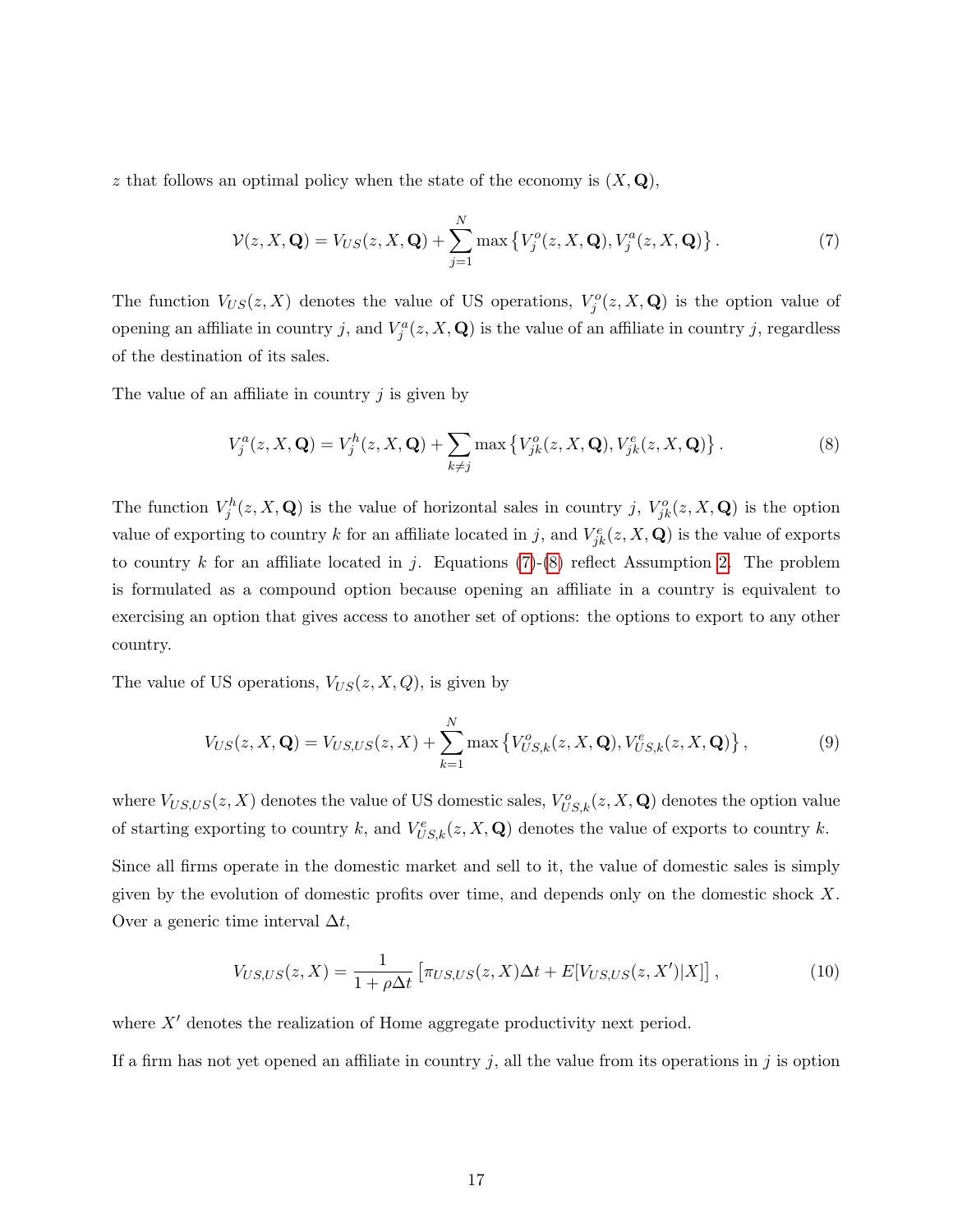z that follows an optimal policy when the state of the economy is  $(X, \mathbf{Q}),$ 

<span id="page-17-0"></span>
$$
\mathcal{V}(z, X, \mathbf{Q}) = V_{US}(z, X, \mathbf{Q}) + \sum_{j=1}^{N} \max \left\{ V_j^o(z, X, \mathbf{Q}), V_j^a(z, X, \mathbf{Q}) \right\}.
$$
 (7)

The function  $V_{US}(z, X)$  denotes the value of US operations,  $V_j^o(z, X, \mathbf{Q})$  is the option value of opening an affiliate in country j, and  $V_j^a(z, X, \mathbf{Q})$  is the value of an affiliate in country j, regardless of the destination of its sales.

The value of an affiliate in country  $j$  is given by

<span id="page-17-1"></span>
$$
V_j^a(z, X, \mathbf{Q}) = V_j^h(z, X, \mathbf{Q}) + \sum_{k \neq j} \max \left\{ V_{jk}^o(z, X, \mathbf{Q}), V_{jk}^e(z, X, \mathbf{Q}) \right\}.
$$
 (8)

The function  $V_j^h(z, X, \mathbf{Q})$  is the value of horizontal sales in country j,  $V_{jk}^o(z, X, \mathbf{Q})$  is the option value of exporting to country k for an affiliate located in j, and  $V_{jk}^e(z, X, \mathbf{Q})$  is the value of exports to country k for an affiliate located in j. Equations [\(7\)](#page-17-0)-[\(8\)](#page-17-1) reflect Assumption [2.](#page-15-3) The problem is formulated as a compound option because opening an affiliate in a country is equivalent to exercising an option that gives access to another set of options: the options to export to any other country.

The value of US operations,  $V_{US}(z, X, Q)$ , is given by

$$
V_{US}(z, X, \mathbf{Q}) = V_{US, US}(z, X) + \sum_{k=1}^{N} \max \{ V_{US,k}^{o}(z, X, \mathbf{Q}), V_{US,k}^{e}(z, X, \mathbf{Q}) \},
$$
(9)

where  $V_{US,US}(z, X)$  denotes the value of US domestic sales,  $V_{US,k}^o(z, X, \mathbf{Q})$  denotes the option value of starting exporting to country k, and  $V_{US,k}^e(z, X, \mathbf{Q})$  denotes the value of exports to country k.

Since all firms operate in the domestic market and sell to it, the value of domestic sales is simply given by the evolution of domestic profits over time, and depends only on the domestic shock  $X$ . Over a generic time interval  $\Delta t$ ,

$$
V_{US,US}(z,X) = \frac{1}{1+\rho\Delta t} \left[ \pi_{US,US}(z,X)\Delta t + E[V_{US,US}(z,X')|X] \right],\tag{10}
$$

where  $X'$  denotes the realization of Home aggregate productivity next period.

If a firm has not yet opened an affiliate in country  $j$ , all the value from its operations in  $j$  is option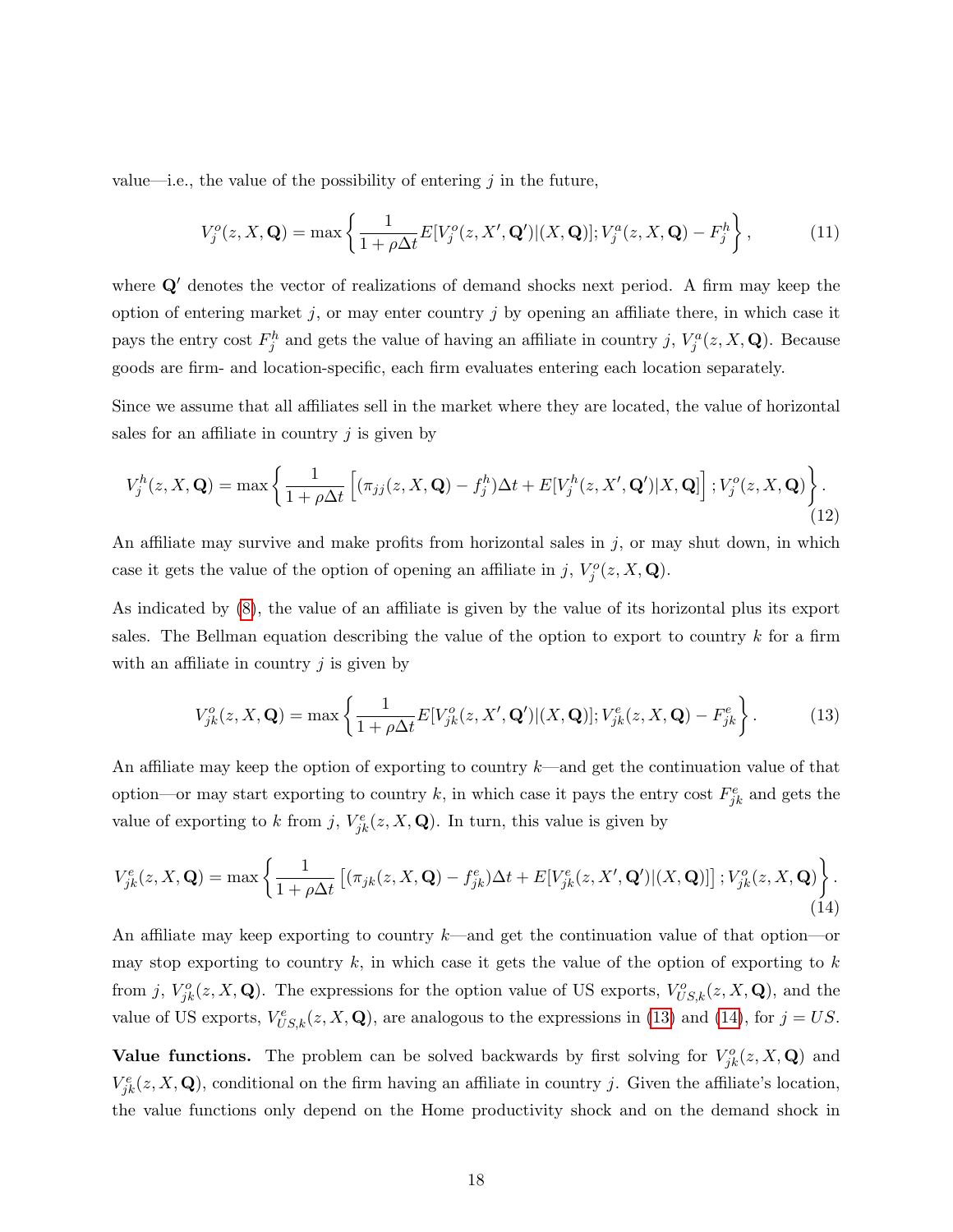value—i.e., the value of the possibility of entering  $j$  in the future,

$$
V_j^o(z, X, \mathbf{Q}) = \max\left\{\frac{1}{1 + \rho \Delta t} E[V_j^o(z, X', \mathbf{Q}')|(X, \mathbf{Q})]; V_j^a(z, X, \mathbf{Q}) - F_j^h\right\},\tag{11}
$$

where  $Q'$  denotes the vector of realizations of demand shocks next period. A firm may keep the option of entering market j, or may enter country j by opening an affiliate there, in which case it pays the entry cost  $F_j^h$  and gets the value of having an affiliate in country j,  $V_j^a(z, X, \mathbf{Q})$ . Because goods are firm- and location-specific, each firm evaluates entering each location separately.

Since we assume that all affiliates sell in the market where they are located, the value of horizontal sales for an affiliate in country  $j$  is given by

$$
V_j^h(z, X, \mathbf{Q}) = \max \left\{ \frac{1}{1 + \rho \Delta t} \left[ (\pi_{jj}(z, X, \mathbf{Q}) - f_j^h) \Delta t + E[V_j^h(z, X', \mathbf{Q}')|X, \mathbf{Q}] \right]; V_j^o(z, X, \mathbf{Q}) \right\}.
$$
\n(12)

An affiliate may survive and make profits from horizontal sales in  $j$ , or may shut down, in which case it gets the value of the option of opening an affiliate in j,  $V_j^o(z, X, \mathbf{Q})$ .

As indicated by [\(8\)](#page-17-1), the value of an affiliate is given by the value of its horizontal plus its export sales. The Bellman equation describing the value of the option to export to country  $k$  for a firm with an affiliate in country  $j$  is given by

<span id="page-18-0"></span>
$$
V_{jk}^o(z, X, \mathbf{Q}) = \max \left\{ \frac{1}{1 + \rho \Delta t} E[V_{jk}^o(z, X', \mathbf{Q}')|(X, \mathbf{Q})]; V_{jk}^e(z, X, \mathbf{Q}) - F_{jk}^e \right\}.
$$
 (13)

An affiliate may keep the option of exporting to country  $k$ —and get the continuation value of that option—or may start exporting to country k, in which case it pays the entry cost  $F_{jk}^e$  and gets the value of exporting to k from j,  $V_{jk}^e(z, X, \mathbf{Q})$ . In turn, this value is given by

<span id="page-18-1"></span>
$$
V_{jk}^{e}(z,X,\mathbf{Q}) = \max\left\{\frac{1}{1+\rho\Delta t}\left[(\pi_{jk}(z,X,\mathbf{Q})-f_{jk}^{e})\Delta t + E[V_{jk}^{e}(z,X',\mathbf{Q}')|(X,\mathbf{Q})]\right];V_{jk}^{o}(z,X,\mathbf{Q})\right\}.
$$
\n(14)

An affiliate may keep exporting to country  $k$ —and get the continuation value of that option—or may stop exporting to country  $k$ , in which case it gets the value of the option of exporting to  $k$ from j,  $V_{jk}^o(z, X, \mathbf{Q})$ . The expressions for the option value of US exports,  $V_{US,k}^o(z, X, \mathbf{Q})$ , and the value of US exports,  $V_{US,k}^e(z, X, \mathbf{Q})$ , are analogous to the expressions in [\(13\)](#page-18-0) and [\(14\)](#page-18-1), for  $j = US$ .

Value functions. The problem can be solved backwards by first solving for  $V_{jk}^o(z, X, \mathbf{Q})$  and  $V_{jk}^e(z, X, \mathbf{Q})$ , conditional on the firm having an affiliate in country j. Given the affiliate's location, the value functions only depend on the Home productivity shock and on the demand shock in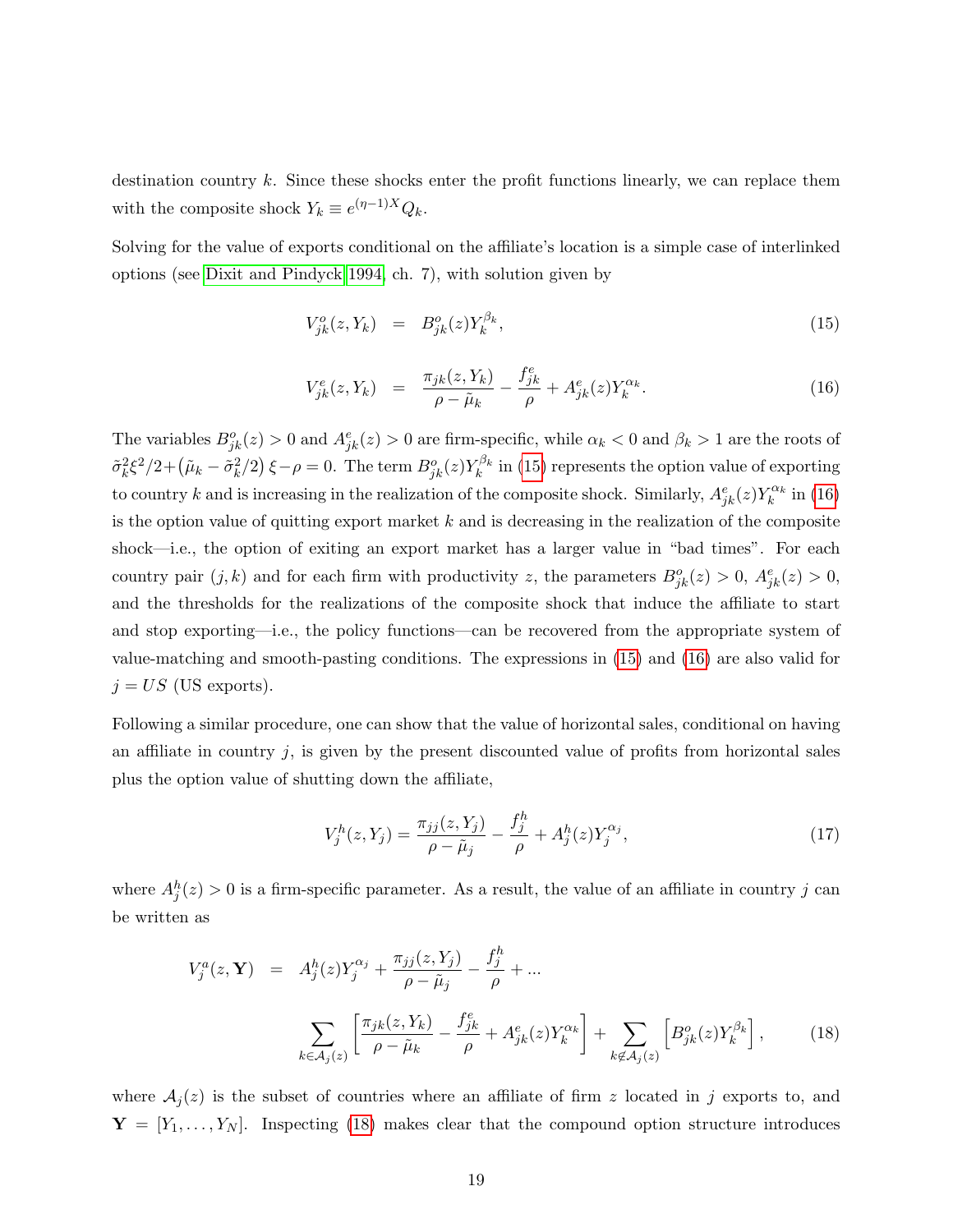destination country  $k$ . Since these shocks enter the profit functions linearly, we can replace them with the composite shock  $Y_k \equiv e^{(\eta - 1)X} Q_k$ .

Solving for the value of exports conditional on the affiliate's location is a simple case of interlinked options (see [Dixit and Pindyck 1994,](#page-42-0) ch. 7), with solution given by

<span id="page-19-0"></span>
$$
V_{jk}^o(z, Y_k) = B_{jk}^o(z) Y_k^{\beta_k}, \tag{15}
$$

$$
V_{jk}^{e}(z, Y_{k}) = \frac{\pi_{jk}(z, Y_{k})}{\rho - \tilde{\mu}_{k}} - \frac{f_{jk}^{e}}{\rho} + A_{jk}^{e}(z)Y_{k}^{\alpha_{k}}.
$$
 (16)

The variables  $B_{jk}^o(z) > 0$  and  $A_{jk}^e(z) > 0$  are firm-specific, while  $\alpha_k < 0$  and  $\beta_k > 1$  are the roots of  $\tilde{\sigma}_k^2 \xi^2/2 + (\tilde{\mu}_k - \tilde{\sigma}_k^2/2) \xi - \rho = 0$ . The term  $B_{jk}^o(z) Y_k^{\beta_k}$  in [\(15\)](#page-19-0) represents the option value of exporting to country k and is increasing in the realization of the composite shock. Similarly,  $A_{jk}^e(z)Y_k^{\alpha_k}$  in [\(16\)](#page-19-0) is the option value of quitting export market  $k$  and is decreasing in the realization of the composite shock—i.e., the option of exiting an export market has a larger value in "bad times". For each country pair  $(j, k)$  and for each firm with productivity z, the parameters  $B_{jk}^o(z) > 0$ ,  $A_{jk}^e(z) > 0$ , and the thresholds for the realizations of the composite shock that induce the affiliate to start and stop exporting—i.e., the policy functions—can be recovered from the appropriate system of value-matching and smooth-pasting conditions. The expressions in [\(15\)](#page-19-0) and [\(16\)](#page-19-0) are also valid for  $j = US$  (US exports).

Following a similar procedure, one can show that the value of horizontal sales, conditional on having an affiliate in country  $j$ , is given by the present discounted value of profits from horizontal sales plus the option value of shutting down the affiliate,

<span id="page-19-2"></span>
$$
V_j^h(z, Y_j) = \frac{\pi_{jj}(z, Y_j)}{\rho - \tilde{\mu}_j} - \frac{f_j^h}{\rho} + A_j^h(z) Y_j^{\alpha_j},\tag{17}
$$

where  $A_j^h(z) > 0$  is a firm-specific parameter. As a result, the value of an affiliate in country j can be written as

<span id="page-19-1"></span>
$$
V_j^a(z, \mathbf{Y}) = A_j^h(z) Y_j^{\alpha_j} + \frac{\pi_{jj}(z, Y_j)}{\rho - \tilde{\mu}_j} - \frac{f_j^h}{\rho} + \dots
$$

$$
\sum_{k \in A_j(z)} \left[ \frac{\pi_{jk}(z, Y_k)}{\rho - \tilde{\mu}_k} - \frac{f_{jk}^e}{\rho} + A_{jk}^e(z) Y_k^{\alpha_k} \right] + \sum_{k \notin A_j(z)} \left[ B_{jk}^o(z) Y_k^{\beta_k} \right], \tag{18}
$$

where  $A_i(z)$  is the subset of countries where an affiliate of firm z located in j exports to, and  $\mathbf{Y} = [Y_1, \ldots, Y_N].$  Inspecting [\(18\)](#page-19-1) makes clear that the compound option structure introduces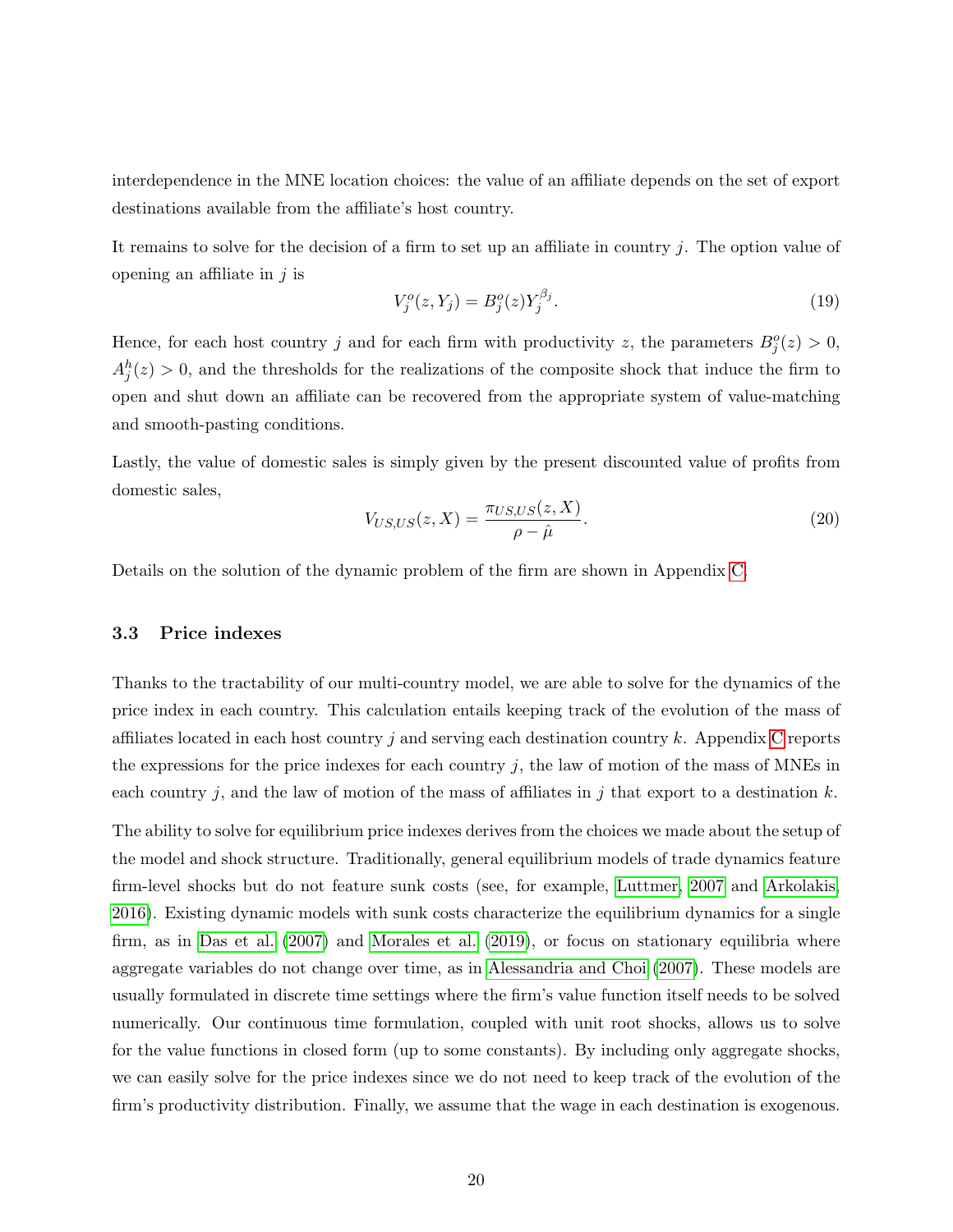interdependence in the MNE location choices: the value of an affiliate depends on the set of export destinations available from the affiliate's host country.

It remains to solve for the decision of a firm to set up an affiliate in country  $j$ . The option value of opening an affiliate in  $j$  is

$$
V_j^o(z, Y_j) = B_j^o(z) Y_j^{\beta_j}.
$$
\n(19)

Hence, for each host country j and for each firm with productivity z, the parameters  $B_j^o(z) > 0$ ,  $A_j^h(z) > 0$ , and the thresholds for the realizations of the composite shock that induce the firm to open and shut down an affiliate can be recovered from the appropriate system of value-matching and smooth-pasting conditions.

Lastly, the value of domestic sales is simply given by the present discounted value of profits from domestic sales,

$$
V_{US,US}(z, X) = \frac{\pi_{US,US}(z, X)}{\rho - \hat{\mu}}.
$$
\n(20)

Details on the solution of the dynamic problem of the firm are shown in Appendix [C.](#page-12-0)

### <span id="page-20-0"></span>3.3 Price indexes

Thanks to the tractability of our multi-country model, we are able to solve for the dynamics of the price index in each country. This calculation entails keeping track of the evolution of the mass of affiliates located in each host country j and serving each destination country k. Appendix [C](#page-12-0) reports the expressions for the price indexes for each country  $j$ , the law of motion of the mass of MNEs in each country j, and the law of motion of the mass of affiliates in j that export to a destination  $k$ .

The ability to solve for equilibrium price indexes derives from the choices we made about the setup of the model and shock structure. Traditionally, general equilibrium models of trade dynamics feature firm-level shocks but do not feature sunk costs (see, for example, [Luttmer, 2007](#page-43-10) and [Arkolakis,](#page-41-10) [2016\)](#page-41-10). Existing dynamic models with sunk costs characterize the equilibrium dynamics for a single firm, as in [Das et al.](#page-41-7) [\(2007\)](#page-41-7) and [Morales et al.](#page-43-9) [\(2019\)](#page-43-9), or focus on stationary equilibria where aggregate variables do not change over time, as in [Alessandria and Choi](#page-41-8) [\(2007\)](#page-41-8). These models are usually formulated in discrete time settings where the firm's value function itself needs to be solved numerically. Our continuous time formulation, coupled with unit root shocks, allows us to solve for the value functions in closed form (up to some constants). By including only aggregate shocks, we can easily solve for the price indexes since we do not need to keep track of the evolution of the firm's productivity distribution. Finally, we assume that the wage in each destination is exogenous.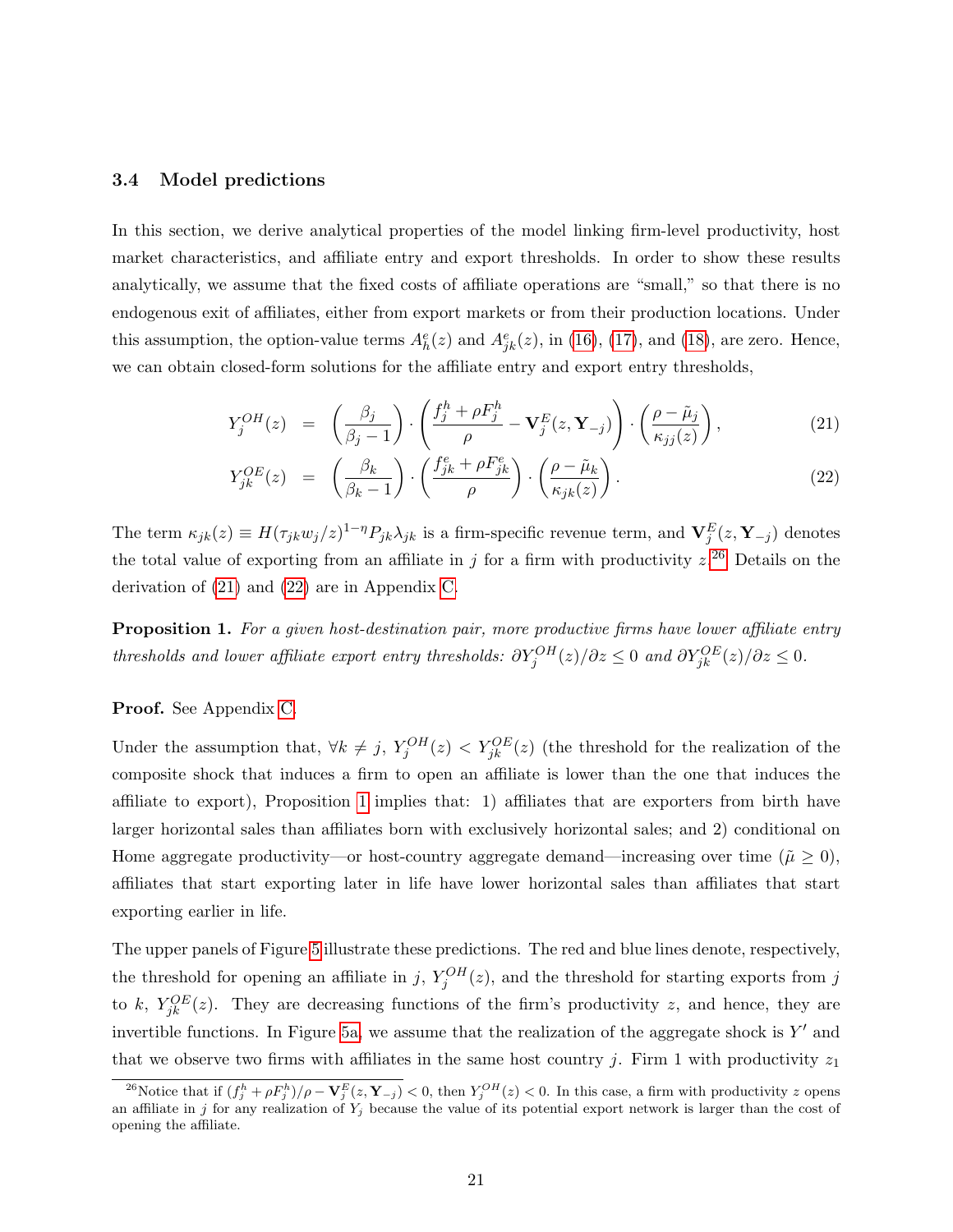#### <span id="page-21-3"></span>3.4 Model predictions

In this section, we derive analytical properties of the model linking firm-level productivity, host market characteristics, and affiliate entry and export thresholds. In order to show these results analytically, we assume that the fixed costs of affiliate operations are "small," so that there is no endogenous exit of affiliates, either from export markets or from their production locations. Under this assumption, the option-value terms  $A_h^e(z)$  and  $A_{jk}^e(z)$ , in [\(16\)](#page-19-0), [\(17\)](#page-19-2), and [\(18\)](#page-19-1), are zero. Hence, we can obtain closed-form solutions for the affiliate entry and export entry thresholds,

<span id="page-21-1"></span>
$$
Y_j^{OH}(z) = \left(\frac{\beta_j}{\beta_j - 1}\right) \cdot \left(\frac{f_j^h + \rho F_j^h}{\rho} - \mathbf{V}_j^E(z, \mathbf{Y}_{-j})\right) \cdot \left(\frac{\rho - \tilde{\mu}_j}{\kappa_{jj}(z)}\right),\tag{21}
$$

$$
Y_{jk}^{OE}(z) = \left(\frac{\beta_k}{\beta_k - 1}\right) \cdot \left(\frac{f_{jk}^e + \rho F_{jk}^e}{\rho}\right) \cdot \left(\frac{\rho - \tilde{\mu}_k}{\kappa_{jk}(z)}\right). \tag{22}
$$

The term  $\kappa_{jk}(z) \equiv H(\tau_{jk}w_j/z)^{1-\eta}P_{jk}\lambda_{jk}$  is a firm-specific revenue term, and  $\mathbf{V}_j^E(z, \mathbf{Y}_{-j})$  denotes the total value of exporting from an affiliate in j for a firm with productivity  $z^{26}$  $z^{26}$  $z^{26}$  Details on the derivation of [\(21\)](#page-21-1) and [\(22\)](#page-21-1) are in Appendix [C.](#page-12-0)

<span id="page-21-2"></span>**Proposition 1.** For a given host-destination pair, more productive firms have lower affiliate entry thresholds and lower affiliate export entry thresholds:  $\partial Y_j^{OH}(z)/\partial z \leq 0$  and  $\partial Y_{jk}^{OE}(z)/\partial z \leq 0$ .

### Proof. See Appendix [C.](#page-12-0)

Under the assumption that,  $\forall k \neq j$ ,  $Y_j^{OH}(z) < Y_{jk}^{OE}(z)$  (the threshold for the realization of the composite shock that induces a firm to open an affiliate is lower than the one that induces the affiliate to export), Proposition [1](#page-21-2) implies that: 1) affiliates that are exporters from birth have larger horizontal sales than affiliates born with exclusively horizontal sales; and 2) conditional on Home aggregate productivity—or host-country aggregate demand—increasing over time ( $\tilde{\mu} \ge 0$ ), affiliates that start exporting later in life have lower horizontal sales than affiliates that start exporting earlier in life.

The upper panels of Figure [5](#page-22-0) illustrate these predictions. The red and blue lines denote, respectively, the threshold for opening an affiliate in j,  $Y_j^{OH}(z)$ , and the threshold for starting exports from j to k,  $Y_{jk}^{OE}(z)$ . They are decreasing functions of the firm's productivity z, and hence, they are invertible functions. In Figure [5a,](#page-22-1) we assume that the realization of the aggregate shock is  $Y'$  and that we observe two firms with affiliates in the same host country j. Firm 1 with productivity  $z_1$ 

<span id="page-21-0"></span><sup>&</sup>lt;sup>26</sup>Notice that if  $(f_j^h + \rho F_j^h)/\rho - \mathbf{V}_j^E(z, \mathbf{Y}_{-j}) < 0$ , then  $Y_j^{OH}(z) < 0$ . In this case, a firm with productivity z opens an affiliate in j for any realization of  $Y_j$  because the value of its potential export network is larger than the cost of opening the affiliate.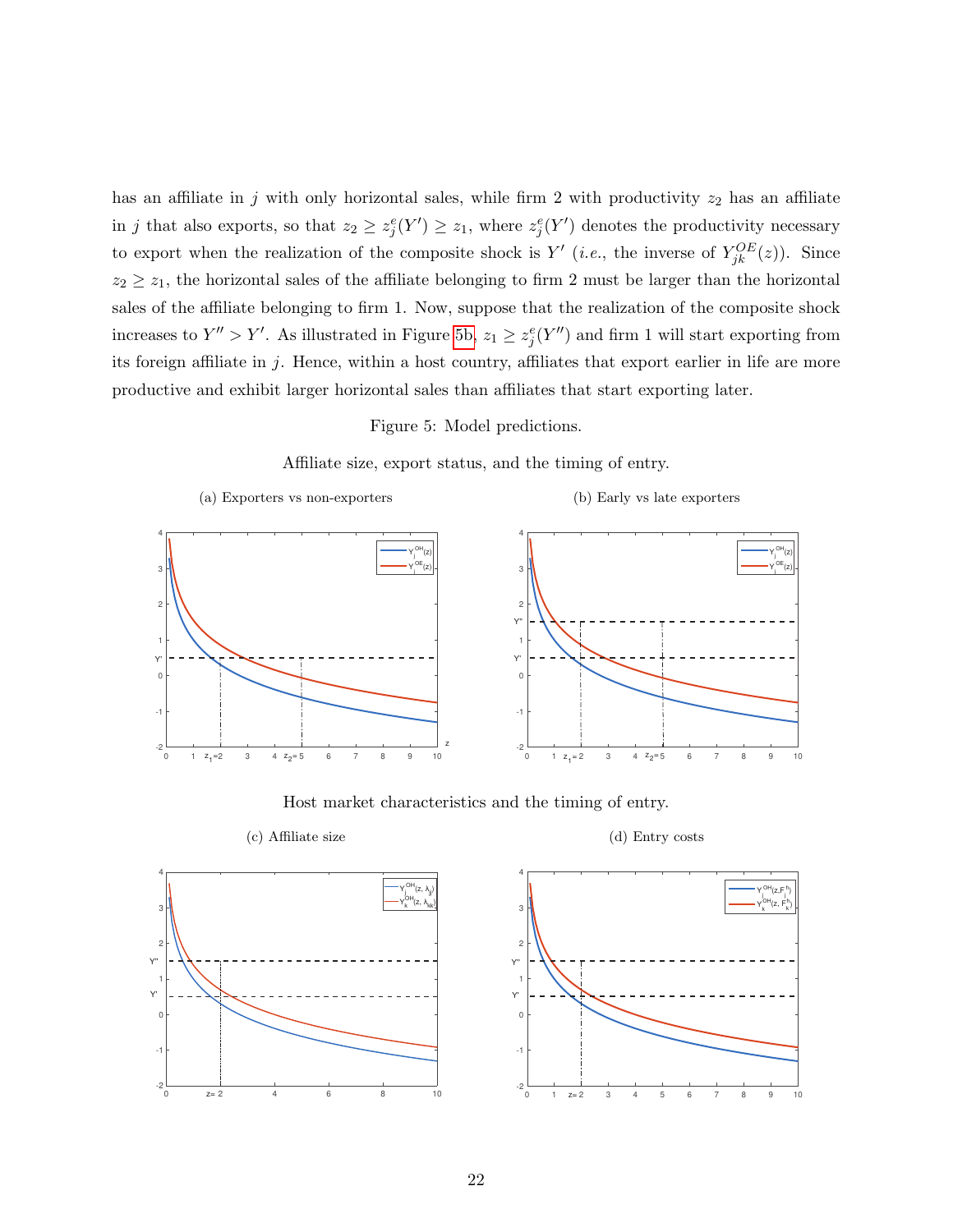has an affiliate in j with only horizontal sales, while firm 2 with productivity  $z_2$  has an affiliate in j that also exports, so that  $z_2 \geq z_j^e(Y') \geq z_1$ , where  $z_j^e(Y')$  denotes the productivity necessary to export when the realization of the composite shock is  $Y'$  (*i.e.*, the inverse of  $Y_{jk}^{OE}(z)$ ). Since  $z_2 \geq z_1$ , the horizontal sales of the affiliate belonging to firm 2 must be larger than the horizontal sales of the affiliate belonging to firm 1. Now, suppose that the realization of the composite shock increases to  $Y'' > Y'$ . As illustrated in Figure [5b,](#page-22-2)  $z_1 \geq z_j^e(Y'')$  and firm 1 will start exporting from its foreign affiliate in  $j$ . Hence, within a host country, affiliates that export earlier in life are more productive and exhibit larger horizontal sales than affiliates that start exporting later.

<span id="page-22-2"></span>Figure 5: Model predictions.



<span id="page-22-1"></span><span id="page-22-0"></span>

Host market characteristics and the timing of entry.





<span id="page-22-3"></span>

<span id="page-22-4"></span>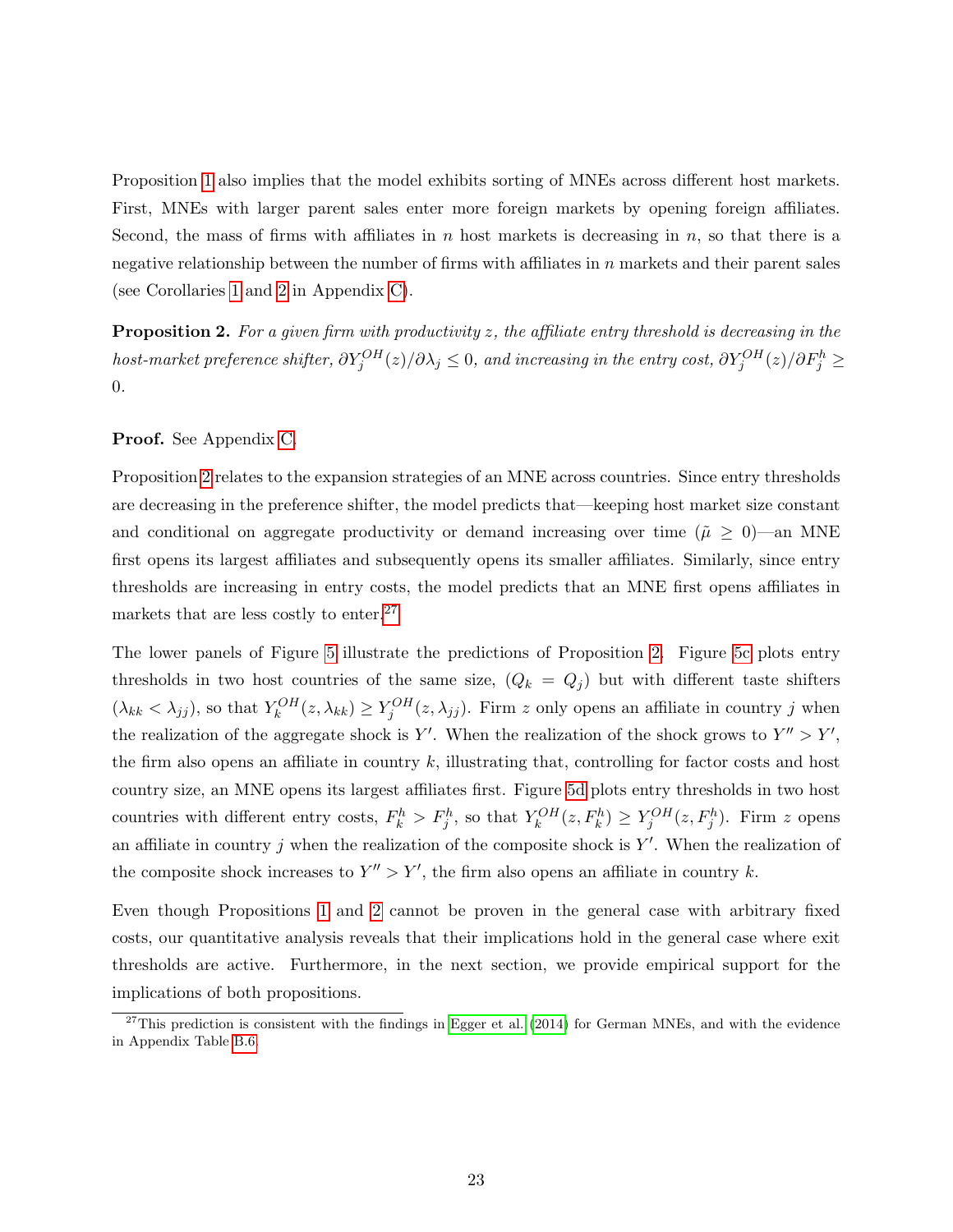Proposition [1](#page-21-2) also implies that the model exhibits sorting of MNEs across different host markets. First, MNEs with larger parent sales enter more foreign markets by opening foreign affiliates. Second, the mass of firms with affiliates in n host markets is decreasing in  $n$ , so that there is a negative relationship between the number of firms with affiliates in  $n$  markets and their parent sales (see Corollaries [1](#page-0-0) and [2](#page-0-0) in Appendix [C\)](#page-12-0).

<span id="page-23-0"></span>**Proposition 2.** For a given firm with productivity z, the affiliate entry threshold is decreasing in the host-market preference shifter,  $\partial Y^{OH}_j(z)/\partial \lambda_j\leq 0$ , and increasing in the entry cost,  $\partial Y^{OH}_j(z)/\partial F^{h}_j\geq 0$ 0.

#### Proof. See Appendix [C.](#page-12-0)

Proposition [2](#page-23-0) relates to the expansion strategies of an MNE across countries. Since entry thresholds are decreasing in the preference shifter, the model predicts that—keeping host market size constant and conditional on aggregate productivity or demand increasing over time ( $\tilde{\mu} \ge 0$ )—an MNE first opens its largest affiliates and subsequently opens its smaller affiliates. Similarly, since entry thresholds are increasing in entry costs, the model predicts that an MNE first opens affiliates in markets that are less costly to enter.<sup>[27](#page-23-1)</sup>

The lower panels of Figure [5](#page-22-0) illustrate the predictions of Proposition [2.](#page-23-0) Figure [5c](#page-22-3) plots entry thresholds in two host countries of the same size,  $(Q_k = Q_j)$  but with different taste shifters  $(\lambda_{kk} < \lambda_{jj})$ , so that  $Y_k^{OH}(z, \lambda_{kk}) \ge Y_j^{OH}(z, \lambda_{jj})$ . Firm z only opens an affiliate in country j when the realization of the aggregate shock is Y'. When the realization of the shock grows to  $Y'' > Y'$ , the firm also opens an affiliate in country  $k$ , illustrating that, controlling for factor costs and host country size, an MNE opens its largest affiliates first. Figure [5d](#page-22-4) plots entry thresholds in two host countries with different entry costs,  $F_k^h > F_j^h$ , so that  $Y_k^{OH}(z, F_k^h) \geq Y_j^{OH}(z, F_j^h)$ . Firm z opens an affiliate in country  $j$  when the realization of the composite shock is  $Y'$ . When the realization of the composite shock increases to  $Y'' > Y'$ , the firm also opens an affiliate in country k.

Even though Propositions [1](#page-21-2) and [2](#page-23-0) cannot be proven in the general case with arbitrary fixed costs, our quantitative analysis reveals that their implications hold in the general case where exit thresholds are active. Furthermore, in the next section, we provide empirical support for the implications of both propositions.

<span id="page-23-1"></span> $27$ This prediction is consistent with the findings in [Egger et al.](#page-42-8) [\(2014\)](#page-42-8) for German MNEs, and with the evidence in Appendix Table [B.6.](#page-0-0)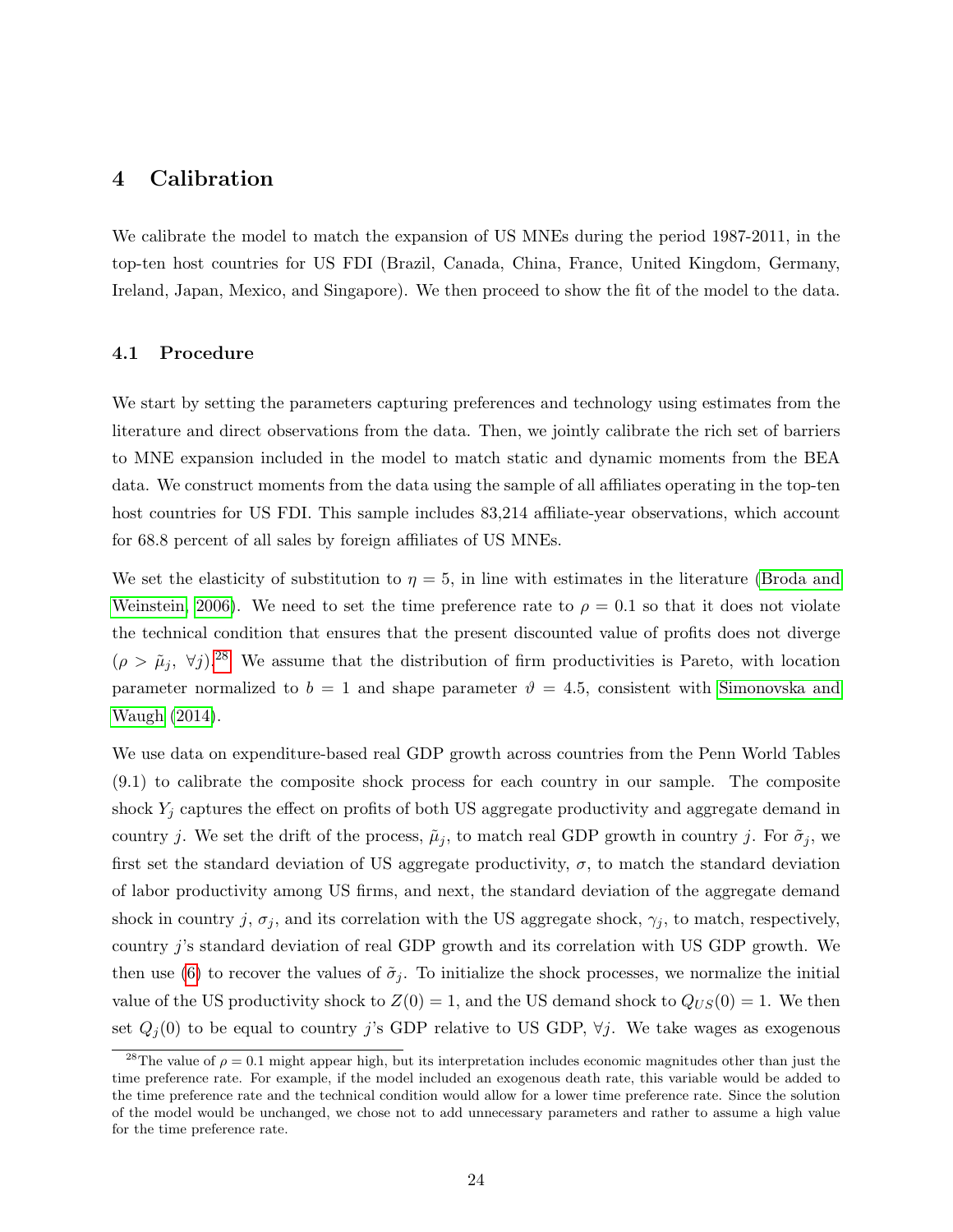## 4 Calibration

We calibrate the model to match the expansion of US MNEs during the period 1987-2011, in the top-ten host countries for US FDI (Brazil, Canada, China, France, United Kingdom, Germany, Ireland, Japan, Mexico, and Singapore). We then proceed to show the fit of the model to the data.

#### 4.1 Procedure

We start by setting the parameters capturing preferences and technology using estimates from the literature and direct observations from the data. Then, we jointly calibrate the rich set of barriers to MNE expansion included in the model to match static and dynamic moments from the BEA data. We construct moments from the data using the sample of all affiliates operating in the top-ten host countries for US FDI. This sample includes  $83,214$  affiliate-year observations, which account for 68.8 percent of all sales by foreign affiliates of US MNEs.

We set the elasticity of substitution to  $\eta = 5$ , in line with estimates in the literature [\(Broda and](#page-41-13) [Weinstein, 2006\)](#page-41-13). We need to set the time preference rate to  $\rho = 0.1$  so that it does not violate the technical condition that ensures that the present discounted value of profits does not diverge  $(\rho > \tilde{\mu}_j, \forall j).^{28}$  $(\rho > \tilde{\mu}_j, \forall j).^{28}$  $(\rho > \tilde{\mu}_j, \forall j).^{28}$  We assume that the distribution of firm productivities is Pareto, with location parameter normalized to  $b = 1$  and shape parameter  $\vartheta = 4.5$ , consistent with [Simonovska and](#page-43-11) [Waugh](#page-43-11) [\(2014\)](#page-43-11).

We use data on expenditure-based real GDP growth across countries from the Penn World Tables (9.1) to calibrate the composite shock process for each country in our sample. The composite shock  $Y_i$  captures the effect on profits of both US aggregate productivity and aggregate demand in country j. We set the drift of the process,  $\tilde{\mu}_j$ , to match real GDP growth in country j. For  $\tilde{\sigma}_j$ , we first set the standard deviation of US aggregate productivity,  $\sigma$ , to match the standard deviation of labor productivity among US firms, and next, the standard deviation of the aggregate demand shock in country j,  $\sigma_j$ , and its correlation with the US aggregate shock,  $\gamma_j$ , to match, respectively, country j's standard deviation of real GDP growth and its correlation with US GDP growth. We then use [\(6\)](#page-16-0) to recover the values of  $\tilde{\sigma}_j$ . To initialize the shock processes, we normalize the initial value of the US productivity shock to  $Z(0) = 1$ , and the US demand shock to  $Q_{US}(0) = 1$ . We then set  $Q_i(0)$  to be equal to country j's GDP relative to US GDP,  $\forall j$ . We take wages as exogenous

<span id="page-24-0"></span><sup>&</sup>lt;sup>28</sup>The value of  $\rho = 0.1$  might appear high, but its interpretation includes economic magnitudes other than just the time preference rate. For example, if the model included an exogenous death rate, this variable would be added to the time preference rate and the technical condition would allow for a lower time preference rate. Since the solution of the model would be unchanged, we chose not to add unnecessary parameters and rather to assume a high value for the time preference rate.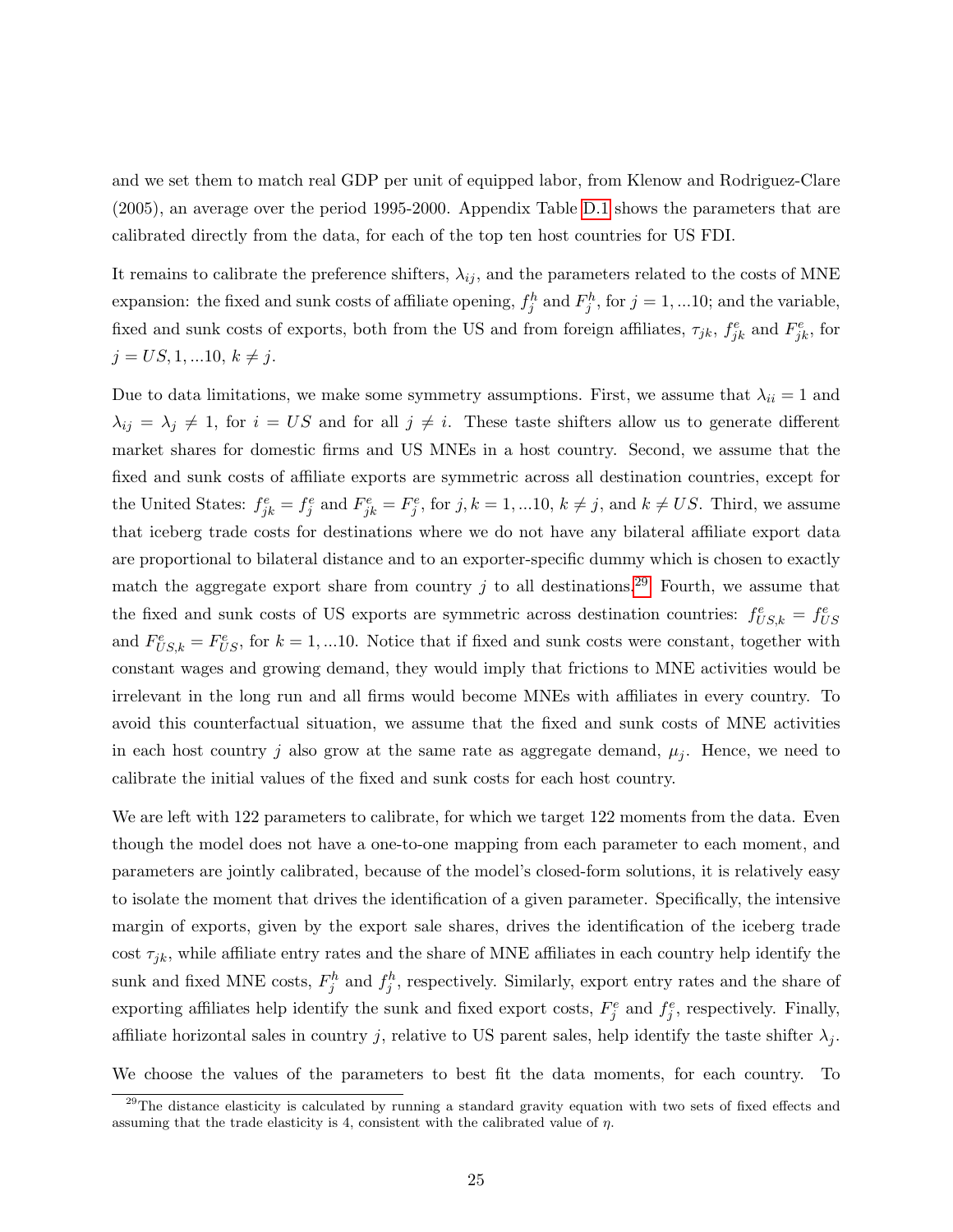and we set them to match real GDP per unit of equipped labor, from Klenow and Rodriguez-Clare (2005), an average over the period 1995-2000. Appendix Table [D.1](#page-30-1) shows the parameters that are calibrated directly from the data, for each of the top ten host countries for US FDI.

It remains to calibrate the preference shifters,  $\lambda_{ij}$ , and the parameters related to the costs of MNE expansion: the fixed and sunk costs of affiliate opening,  $f_j^h$  and  $F_j^h$ , for  $j = 1, ... 10$ ; and the variable, fixed and sunk costs of exports, both from the US and from foreign affiliates,  $\tau_{jk}$ ,  $f_{jk}^e$  and  $F_{jk}^e$ , for  $j = US, 1, ... 10, k \neq j.$ 

Due to data limitations, we make some symmetry assumptions. First, we assume that  $\lambda_{ii} = 1$  and  $\lambda_{ij} = \lambda_j \neq 1$ , for  $i = US$  and for all  $j \neq i$ . These taste shifters allow us to generate different market shares for domestic firms and US MNEs in a host country. Second, we assume that the fixed and sunk costs of affiliate exports are symmetric across all destination countries, except for the United States:  $f_{jk}^e = f_j^e$  and  $F_{jk}^e = F_j^e$ , for  $j, k = 1, ... 10, k \neq j$ , and  $k \neq US$ . Third, we assume that iceberg trade costs for destinations where we do not have any bilateral affiliate export data are proportional to bilateral distance and to an exporter-specific dummy which is chosen to exactly match the aggregate export share from country j to all destinations.<sup>[29](#page-25-0)</sup> Fourth, we assume that the fixed and sunk costs of US exports are symmetric across destination countries:  $f_{US,k}^e = f_{US}^e$ and  $F_{US,k}^e = F_{US}^e$ , for  $k = 1,...10$ . Notice that if fixed and sunk costs were constant, together with constant wages and growing demand, they would imply that frictions to MNE activities would be irrelevant in the long run and all firms would become MNEs with affiliates in every country. To avoid this counterfactual situation, we assume that the fixed and sunk costs of MNE activities in each host country j also grow at the same rate as aggregate demand,  $\mu_j$ . Hence, we need to calibrate the initial values of the fixed and sunk costs for each host country.

We are left with 122 parameters to calibrate, for which we target 122 moments from the data. Even though the model does not have a one-to-one mapping from each parameter to each moment, and parameters are jointly calibrated, because of the model's closed-form solutions, it is relatively easy to isolate the moment that drives the identification of a given parameter. Specifically, the intensive margin of exports, given by the export sale shares, drives the identification of the iceberg trade cost  $\tau_{jk}$ , while affiliate entry rates and the share of MNE affiliates in each country help identify the sunk and fixed MNE costs,  $F_j^h$  and  $f_j^h$ , respectively. Similarly, export entry rates and the share of exporting affiliates help identify the sunk and fixed export costs,  $F_j^e$  and  $f_j^e$ , respectively. Finally, affiliate horizontal sales in country j, relative to US parent sales, help identify the taste shifter  $\lambda_j$ .

We choose the values of the parameters to best fit the data moments, for each country. To

<span id="page-25-0"></span> $29$ The distance elasticity is calculated by running a standard gravity equation with two sets of fixed effects and assuming that the trade elasticity is 4, consistent with the calibrated value of  $\eta$ .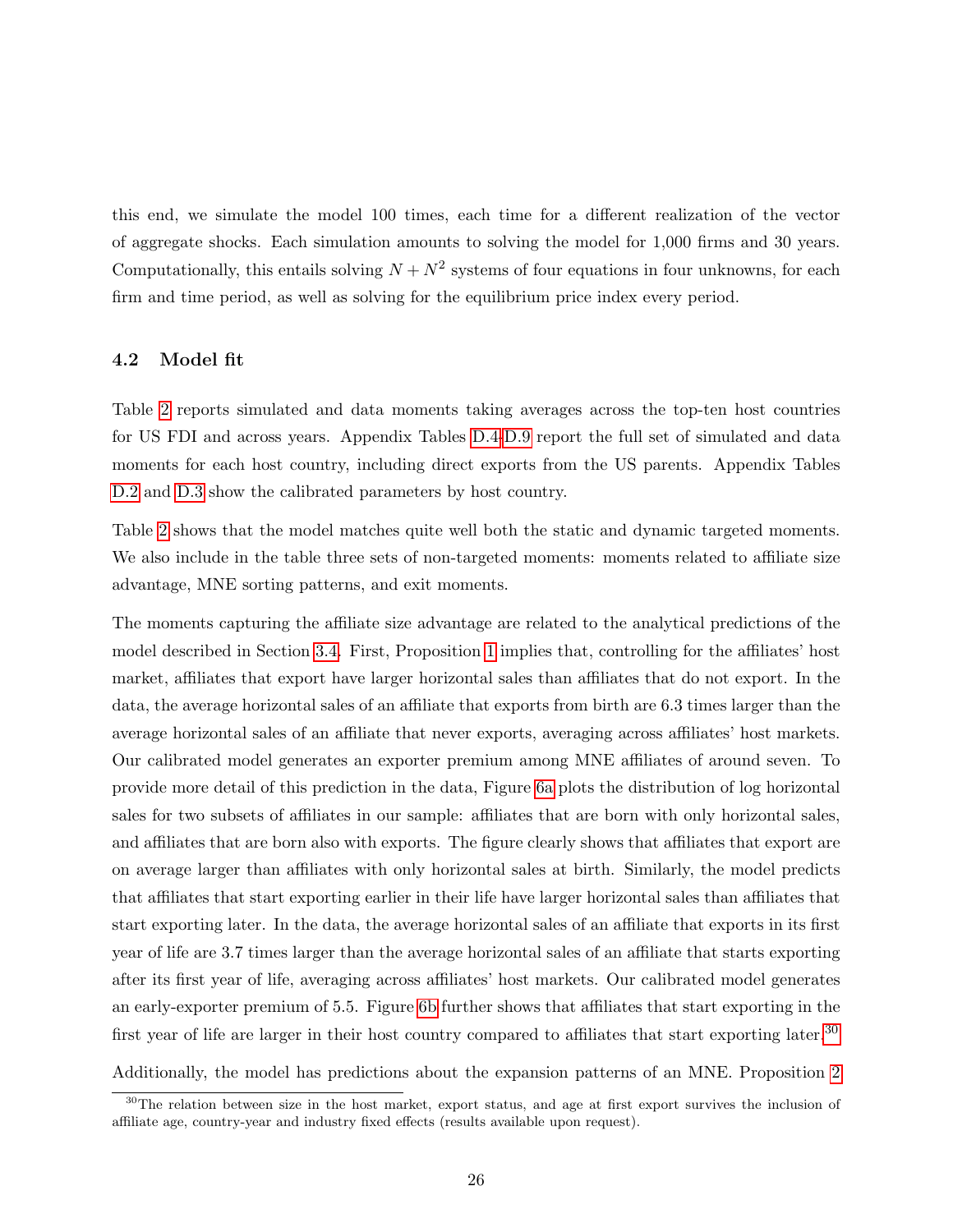this end, we simulate the model 100 times, each time for a different realization of the vector of aggregate shocks. Each simulation amounts to solving the model for 1,000 firms and 30 years. Computationally, this entails solving  $N + N^2$  systems of four equations in four unknowns, for each firm and time period, as well as solving for the equilibrium price index every period.

### 4.2 Model fit

Table [2](#page-27-0) reports simulated and data moments taking averages across the top-ten host countries for US FDI and across years. Appendix Tables [D.4-D.9](#page-0-0) report the full set of simulated and data moments for each host country, including direct exports from the US parents. Appendix Tables [D.2](#page-32-0) and [D.3](#page-0-0) show the calibrated parameters by host country.

Table [2](#page-27-0) shows that the model matches quite well both the static and dynamic targeted moments. We also include in the table three sets of non-targeted moments: moments related to affiliate size advantage, MNE sorting patterns, and exit moments.

The moments capturing the affiliate size advantage are related to the analytical predictions of the model described in Section [3.4.](#page-21-3) First, Proposition [1](#page-21-2) implies that, controlling for the affiliates' host market, affiliates that export have larger horizontal sales than affiliates that do not export. In the data, the average horizontal sales of an affiliate that exports from birth are 6.3 times larger than the average horizontal sales of an affiliate that never exports, averaging across affiliates' host markets. Our calibrated model generates an exporter premium among MNE affiliates of around seven. To provide more detail of this prediction in the data, Figure [6a](#page-28-0) plots the distribution of log horizontal sales for two subsets of affiliates in our sample: affiliates that are born with only horizontal sales, and affiliates that are born also with exports. The figure clearly shows that affiliates that export are on average larger than affiliates with only horizontal sales at birth. Similarly, the model predicts that affiliates that start exporting earlier in their life have larger horizontal sales than affiliates that start exporting later. In the data, the average horizontal sales of an affiliate that exports in its first year of life are 3.7 times larger than the average horizontal sales of an affiliate that starts exporting after its first year of life, averaging across affiliates' host markets. Our calibrated model generates an early-exporter premium of 5.5. Figure [6b](#page-28-1) further shows that affiliates that start exporting in the first year of life are larger in their host country compared to affiliates that start exporting later.<sup>[30](#page-26-0)</sup>

Additionally, the model has predictions about the expansion patterns of an MNE. Proposition [2](#page-23-0)

<span id="page-26-0"></span><sup>&</sup>lt;sup>30</sup>The relation between size in the host market, export status, and age at first export survives the inclusion of affiliate age, country-year and industry fixed effects (results available upon request).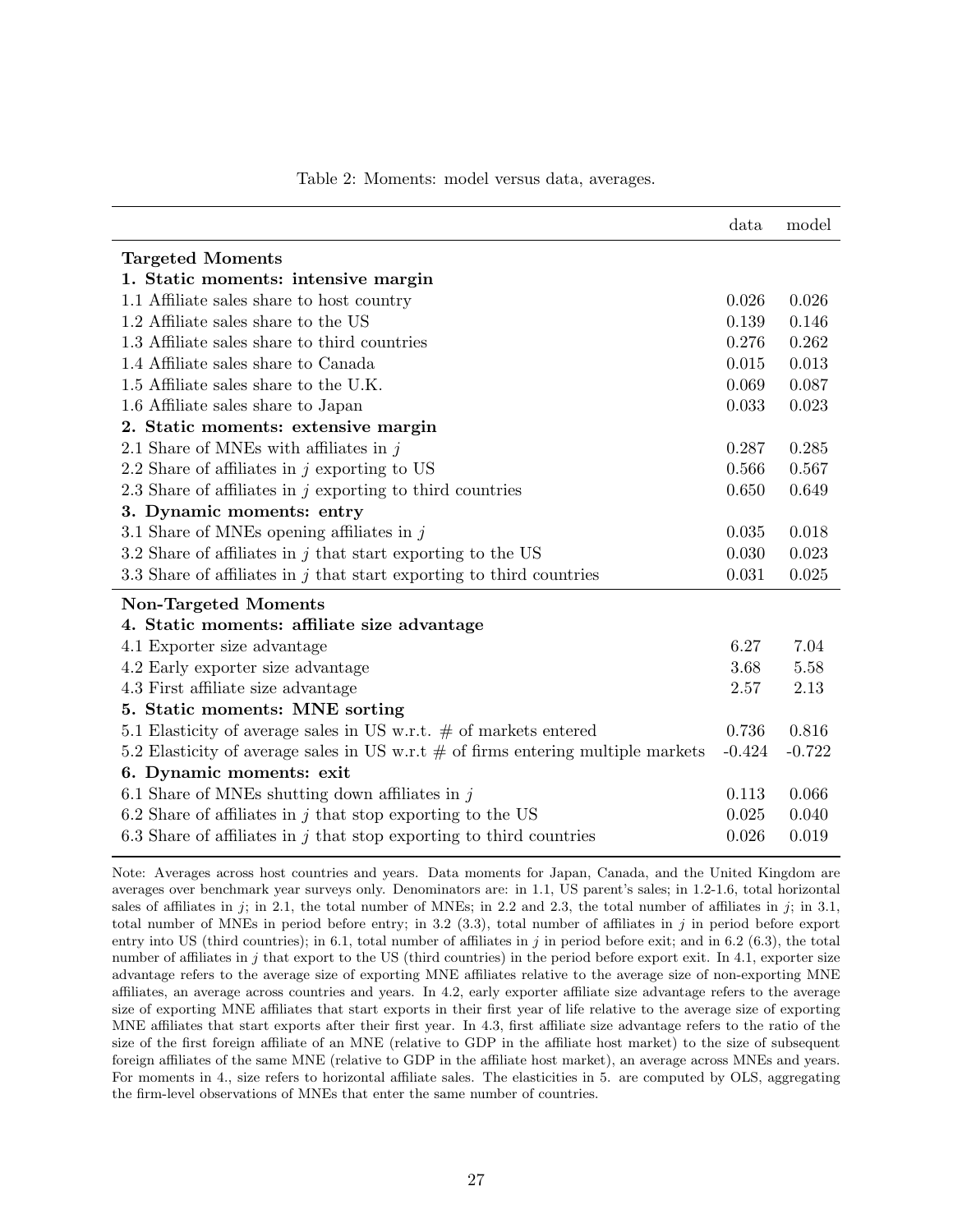<span id="page-27-0"></span>

|                                                                                    | data     | model    |
|------------------------------------------------------------------------------------|----------|----------|
| <b>Targeted Moments</b>                                                            |          |          |
| 1. Static moments: intensive margin                                                |          |          |
| 1.1 Affiliate sales share to host country                                          | 0.026    | 0.026    |
| 1.2 Affiliate sales share to the US                                                | 0.139    | 0.146    |
| 1.3 Affiliate sales share to third countries                                       | 0.276    | 0.262    |
| 1.4 Affiliate sales share to Canada                                                | 0.015    | 0.013    |
| 1.5 Affiliate sales share to the U.K.                                              | 0.069    | 0.087    |
| 1.6 Affiliate sales share to Japan                                                 | 0.033    | 0.023    |
| 2. Static moments: extensive margin                                                |          |          |
| 2.1 Share of MNEs with affiliates in $j$                                           | 0.287    | 0.285    |
| 2.2 Share of affiliates in $j$ exporting to US                                     | 0.566    | 0.567    |
| 2.3 Share of affiliates in $j$ exporting to third countries                        | 0.650    | 0.649    |
| 3. Dynamic moments: entry                                                          |          |          |
| 3.1 Share of MNEs opening affiliates in $j$                                        | 0.035    | 0.018    |
| 3.2 Share of affiliates in $j$ that start exporting to the US                      | 0.030    | 0.023    |
| 3.3 Share of affiliates in $j$ that start exporting to third countries             | 0.031    | 0.025    |
| <b>Non-Targeted Moments</b>                                                        |          |          |
| 4. Static moments: affiliate size advantage                                        |          |          |
| 4.1 Exporter size advantage                                                        | 6.27     | 7.04     |
| 4.2 Early exporter size advantage                                                  | 3.68     | 5.58     |
| 4.3 First affiliate size advantage                                                 | 2.57     | 2.13     |
| 5. Static moments: MNE sorting                                                     |          |          |
| 5.1 Elasticity of average sales in US w.r.t. $\#$ of markets entered               | 0.736    | 0.816    |
| 5.2 Elasticity of average sales in US w.r.t $#$ of firms entering multiple markets | $-0.424$ | $-0.722$ |
| 6. Dynamic moments: exit                                                           |          |          |
| 6.1 Share of MNEs shutting down affiliates in $j$                                  | 0.113    | 0.066    |
| 6.2 Share of affiliates in $j$ that stop exporting to the US                       | 0.025    | 0.040    |
| 6.3 Share of affiliates in $j$ that stop exporting to third countries              | 0.026    | 0.019    |

#### Table 2: Moments: model versus data, averages.

Note: Averages across host countries and years. Data moments for Japan, Canada, and the United Kingdom are averages over benchmark year surveys only. Denominators are: in 1.1, US parent's sales; in 1.2-1.6, total horizontal sales of affiliates in j; in 2.1, the total number of MNEs; in 2.2 and 2.3, the total number of affiliates in j; in 3.1, total number of MNEs in period before entry; in 3.2 (3.3), total number of affiliates in  $j$  in period before export entry into US (third countries); in 6.1, total number of affiliates in j in period before exit; and in 6.2 (6.3), the total number of affiliates in j that export to the US (third countries) in the period before export exit. In 4.1, exporter size advantage refers to the average size of exporting MNE affiliates relative to the average size of non-exporting MNE affiliates, an average across countries and years. In 4.2, early exporter affiliate size advantage refers to the average size of exporting MNE affiliates that start exports in their first year of life relative to the average size of exporting MNE affiliates that start exports after their first year. In 4.3, first affiliate size advantage refers to the ratio of the size of the first foreign affiliate of an MNE (relative to GDP in the affiliate host market) to the size of subsequent foreign affiliates of the same MNE (relative to GDP in the affiliate host market), an average across MNEs and years. For moments in 4., size refers to horizontal affiliate sales. The elasticities in 5. are computed by OLS, aggregating the firm-level observations of MNEs that enter the same number of countries.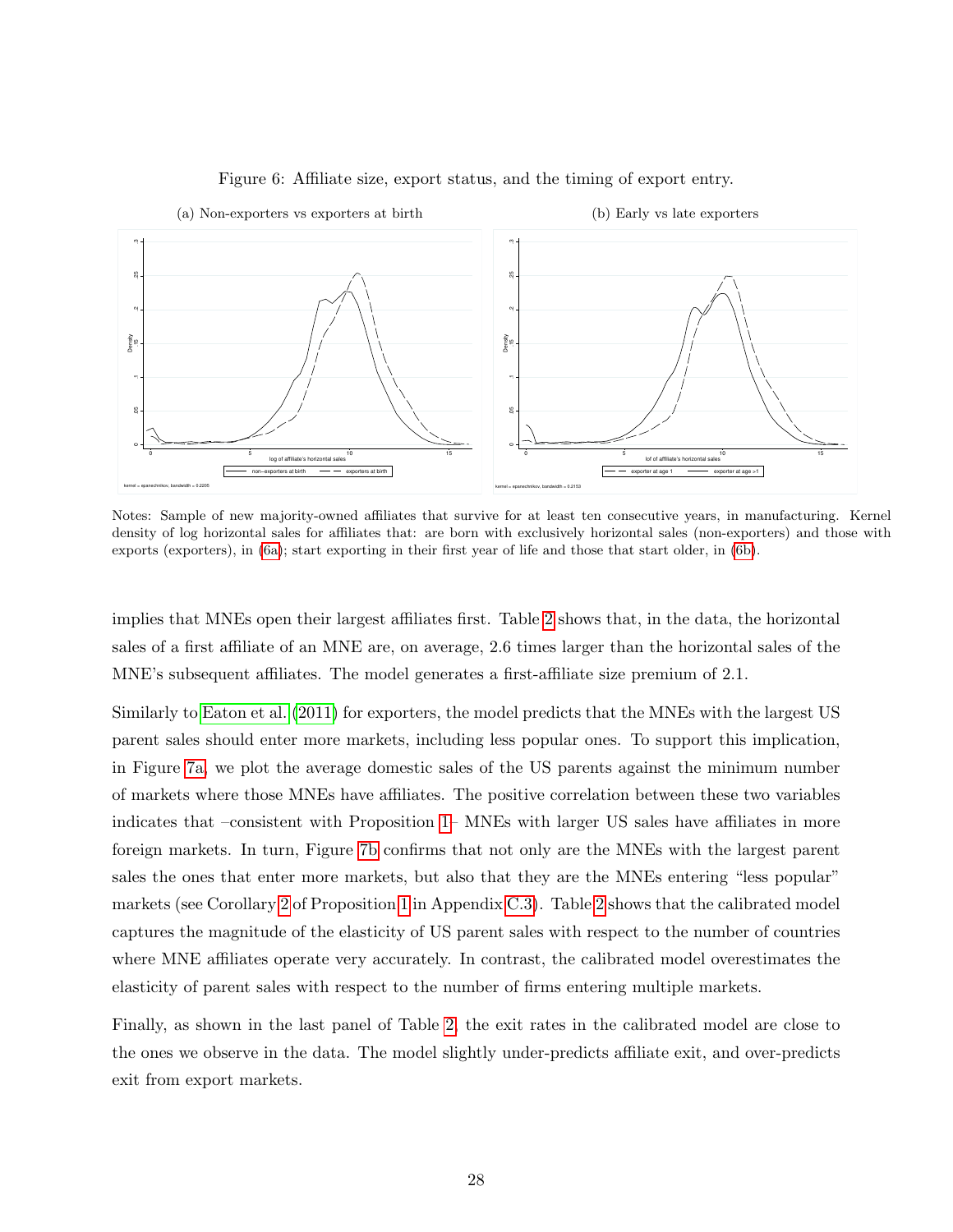<span id="page-28-0"></span>

#### <span id="page-28-1"></span>Figure 6: Affiliate size, export status, and the timing of export entry.

Notes: Sample of new majority-owned affiliates that survive for at least ten consecutive years, in manufacturing. Kernel density of log horizontal sales for affiliates that: are born with exclusively horizontal sales (non-exporters) and those with exports (exporters), in [\(6a\)](#page-28-0); start exporting in their first year of life and those that start older, in [\(6b\)](#page-28-1).

implies that MNEs open their largest affiliates first. Table [2](#page-27-0) shows that, in the data, the horizontal sales of a first affiliate of an MNE are, on average, 2.6 times larger than the horizontal sales of the MNE's subsequent affiliates. The model generates a first-affiliate size premium of 2.1.

Similarly to [Eaton et al.](#page-42-1) [\(2011\)](#page-42-1) for exporters, the model predicts that the MNEs with the largest US parent sales should enter more markets, including less popular ones. To support this implication, in Figure [7a,](#page-29-0) we plot the average domestic sales of the US parents against the minimum number of markets where those MNEs have affiliates. The positive correlation between these two variables indicates that –consistent with Proposition [1–](#page-21-2) MNEs with larger US sales have affiliates in more foreign markets. In turn, Figure [7b](#page-29-1) confirms that not only are the MNEs with the largest parent sales the ones that enter more markets, but also that they are the MNEs entering "less popular" markets (see Corollary [2](#page-0-0) of Proposition [1](#page-21-2) in Appendix [C.3\)](#page-20-0). Table [2](#page-27-0) shows that the calibrated model captures the magnitude of the elasticity of US parent sales with respect to the number of countries where MNE affiliates operate very accurately. In contrast, the calibrated model overestimates the elasticity of parent sales with respect to the number of firms entering multiple markets.

Finally, as shown in the last panel of Table [2,](#page-27-0) the exit rates in the calibrated model are close to the ones we observe in the data. The model slightly under-predicts affiliate exit, and over-predicts exit from export markets.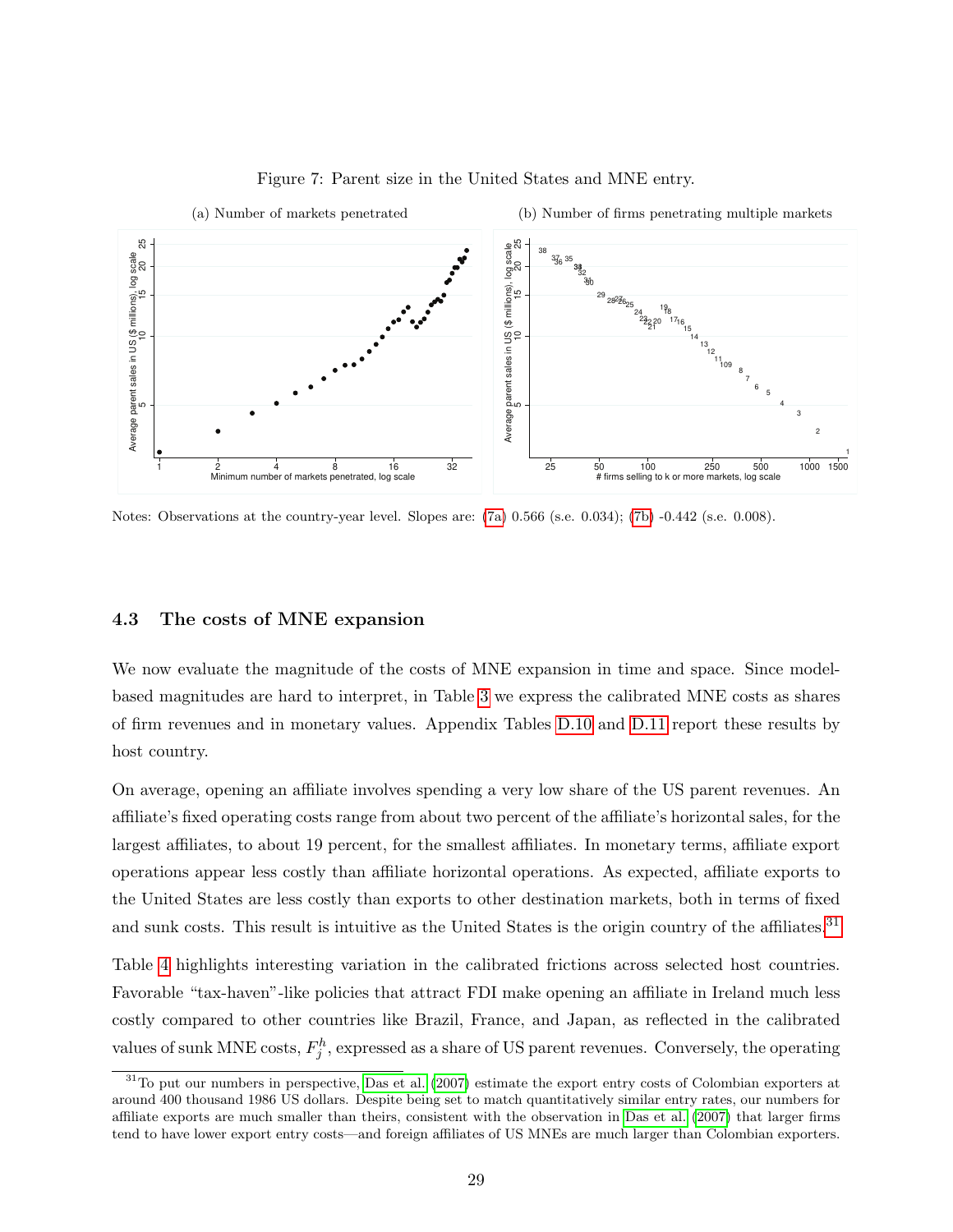<span id="page-29-0"></span>

#### <span id="page-29-1"></span>Figure 7: Parent size in the United States and MNE entry.

Notes: Observations at the country-year level. Slopes are: [\(7a\)](#page-29-0) 0.566 (s.e. 0.034); [\(7b\)](#page-29-1) -0.442 (s.e. 0.008).

#### 4.3 The costs of MNE expansion

We now evaluate the magnitude of the costs of MNE expansion in time and space. Since modelbased magnitudes are hard to interpret, in Table [3](#page-30-0) we express the calibrated MNE costs as shares of firm revenues and in monetary values. Appendix Tables [D.10](#page-0-0) and [D.11](#page-0-0) report these results by host country.

On average, opening an affiliate involves spending a very low share of the US parent revenues. An affiliate's fixed operating costs range from about two percent of the affiliate's horizontal sales, for the largest affiliates, to about 19 percent, for the smallest affiliates. In monetary terms, affiliate export operations appear less costly than affiliate horizontal operations. As expected, affiliate exports to the United States are less costly than exports to other destination markets, both in terms of fixed and sunk costs. This result is intuitive as the United States is the origin country of the affiliates.<sup>[31](#page-29-2)</sup>

Table [4](#page-30-1) highlights interesting variation in the calibrated frictions across selected host countries. Favorable "tax-haven"-like policies that attract FDI make opening an affiliate in Ireland much less costly compared to other countries like Brazil, France, and Japan, as reflected in the calibrated values of sunk MNE costs,  $F_j^h$ , expressed as a share of US parent revenues. Conversely, the operating

<span id="page-29-2"></span> $31$ To put our numbers in perspective, [Das et al.](#page-41-7) [\(2007\)](#page-41-7) estimate the export entry costs of Colombian exporters at around 400 thousand 1986 US dollars. Despite being set to match quantitatively similar entry rates, our numbers for affiliate exports are much smaller than theirs, consistent with the observation in [Das et al.](#page-41-7) [\(2007\)](#page-41-7) that larger firms tend to have lower export entry costs—and foreign affiliates of US MNEs are much larger than Colombian exporters.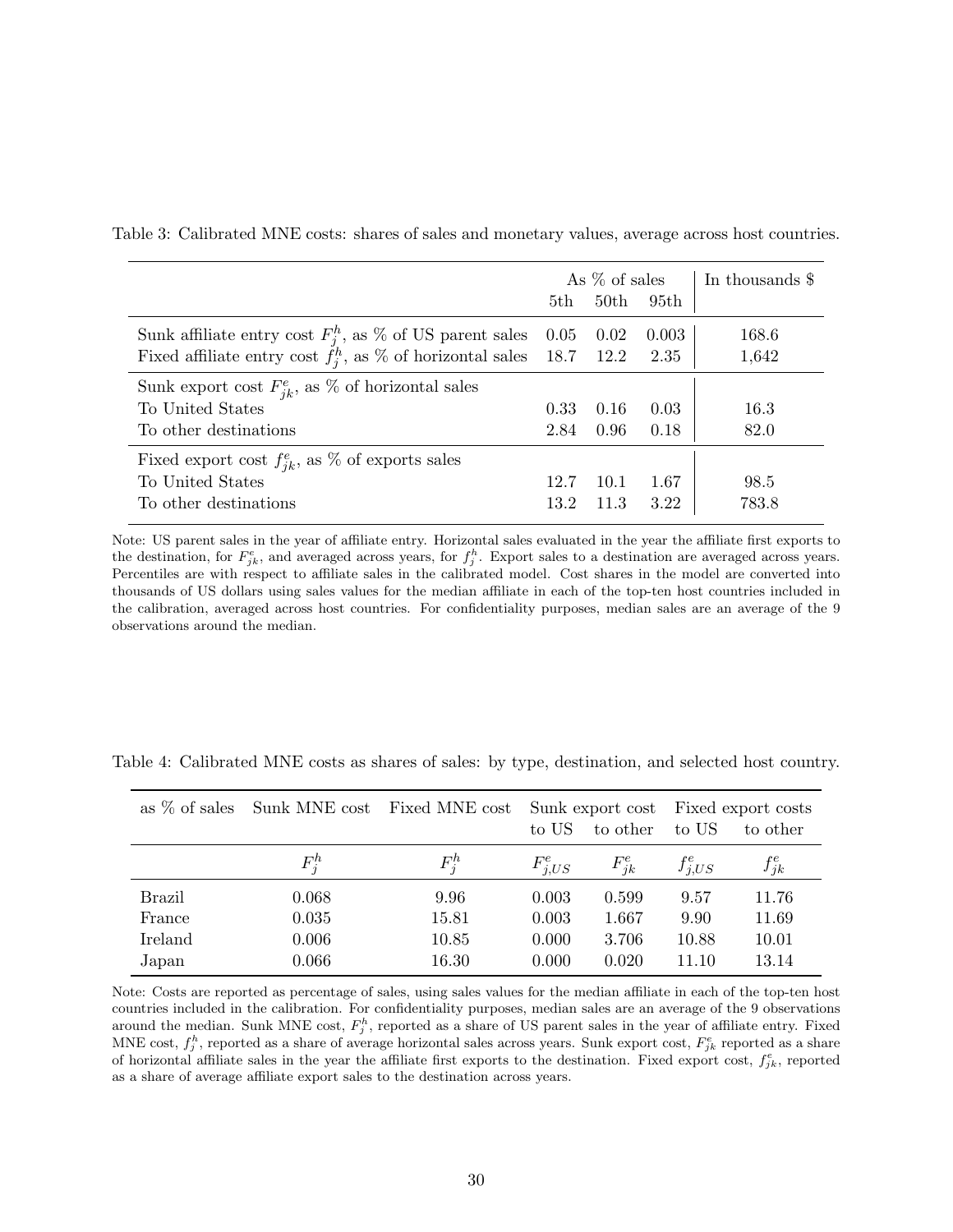|                                                                         | As $\%$ of sales |      |       | In thousands \$ |
|-------------------------------------------------------------------------|------------------|------|-------|-----------------|
|                                                                         | 5th              | 50th | 95th  |                 |
| Sunk affiliate entry cost $F_i^h$ , as % of US parent sales 0.05        |                  | 0.02 | 0.003 | 168.6           |
| Fixed affiliate entry cost $f_i^h$ , as % of horizontal sales 18.7 12.2 |                  |      | 2.35  | 1,642           |
| Sunk export cost $F_{ik}^e$ , as % of horizontal sales                  |                  |      |       |                 |
| To United States                                                        | 0.33             | 0.16 | 0.03  | 16.3            |
| To other destinations                                                   | 2.84             | 0.96 | 0.18  | 82.0            |
| Fixed export cost $f_{ik}^e$ , as % of exports sales                    |                  |      |       |                 |
| To United States                                                        | 12.7             | 10.1 | 1.67  | 98.5            |
| To other destinations                                                   | 13.2             | 11.3 | 3.22  | 783.8           |

<span id="page-30-0"></span>Table 3: Calibrated MNE costs: shares of sales and monetary values, average across host countries.

Note: US parent sales in the year of affiliate entry. Horizontal sales evaluated in the year the affiliate first exports to the destination, for  $F_{jk}^e$ , and averaged across years, for  $f_j^h$ . Export sales to a destination are averaged across years. Percentiles are with respect to affiliate sales in the calibrated model. Cost shares in the model are converted into thousands of US dollars using sales values for the median affiliate in each of the top-ten host countries included in the calibration, averaged across host countries. For confidentiality purposes, median sales are an average of the 9 observations around the median.

|               |         | as % of sales Sunk MNE cost Fixed MNE cost | to other<br>to US |            | Sunk export cost Fixed export costs<br>to US<br>to other |            |
|---------------|---------|--------------------------------------------|-------------------|------------|----------------------------------------------------------|------------|
|               | $F_i^h$ | $F_i^h$                                    | $F_{i,US}^e$      | $F_{ik}^e$ | $f_{i,US}^e$                                             | $f_{jk}^e$ |
| <b>Brazil</b> | 0.068   | 9.96                                       | 0.003             | 0.599      | 9.57                                                     | 11.76      |
| France        | 0.035   | 15.81                                      | 0.003             | 1.667      | 9.90                                                     | 11.69      |
| Ireland       | 0.006   | 10.85                                      | 0.000             | 3.706      | 10.88                                                    | 10.01      |
| Japan         | 0.066   | 16.30                                      | 0.000             | 0.020      | 11.10                                                    | 13.14      |

<span id="page-30-1"></span>Table 4: Calibrated MNE costs as shares of sales: by type, destination, and selected host country.

Note: Costs are reported as percentage of sales, using sales values for the median affiliate in each of the top-ten host countries included in the calibration. For confidentiality purposes, median sales are an average of the 9 observations around the median. Sunk MNE cost,  $F_j^h$ , reported as a share of US parent sales in the year of affiliate entry. Fixed MNE cost,  $f_j^h$ , reported as a share of average horizontal sales across years. Sunk export cost,  $F_{jk}^e$  reported as a share of horizontal affiliate sales in the year the affiliate first exports to the destination. Fixed export cost,  $f_{jk}^e$ , reported as a share of average affiliate export sales to the destination across years.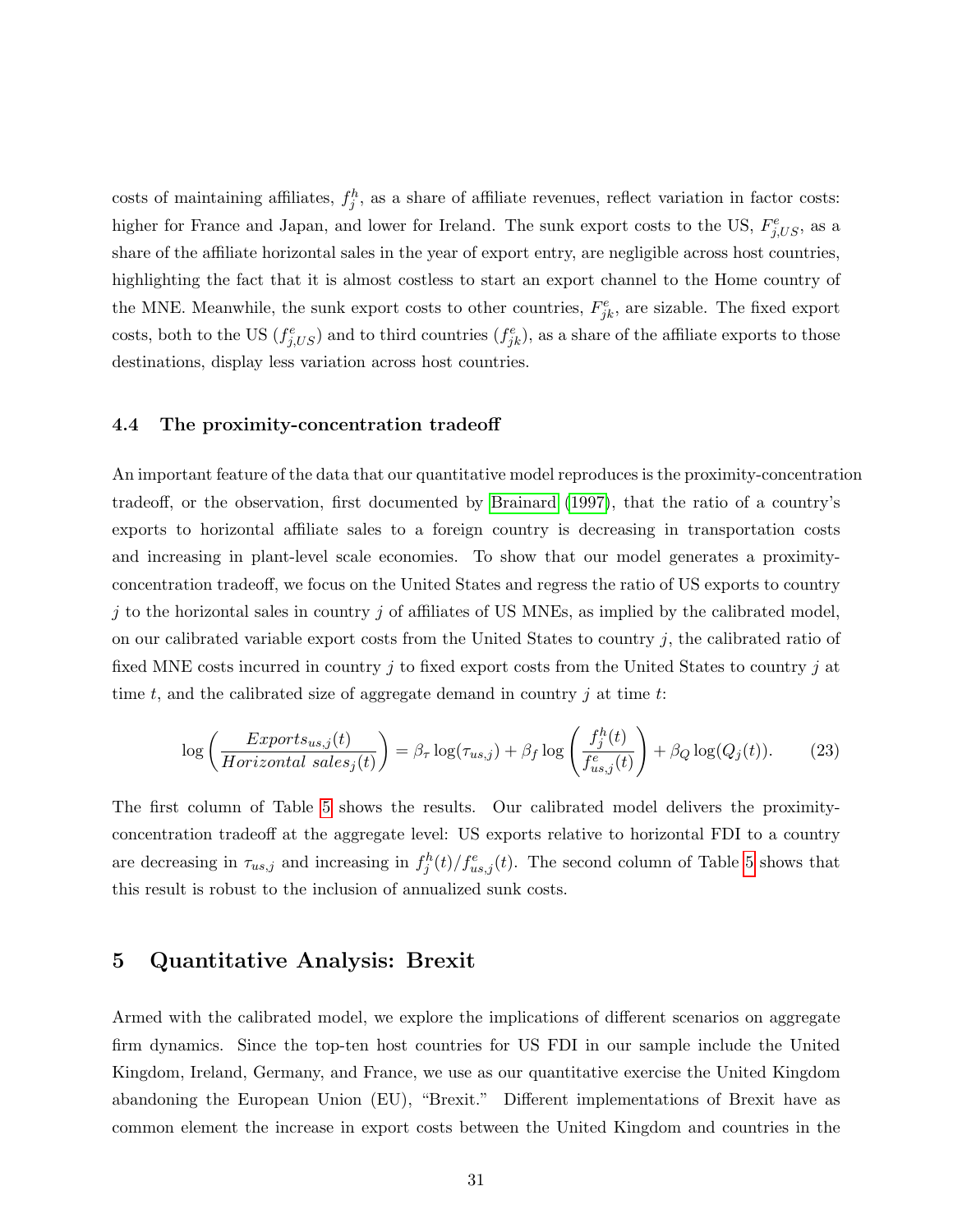costs of maintaining affiliates,  $f_j^h$ , as a share of affiliate revenues, reflect variation in factor costs: higher for France and Japan, and lower for Ireland. The sunk export costs to the US,  $F_{j,US}^e$ , as a share of the affiliate horizontal sales in the year of export entry, are negligible across host countries, highlighting the fact that it is almost costless to start an export channel to the Home country of the MNE. Meanwhile, the sunk export costs to other countries,  $F_{jk}^e$ , are sizable. The fixed export costs, both to the US  $(f_{j,US}^e)$  and to third countries  $(f_{jk}^e)$ , as a share of the affiliate exports to those destinations, display less variation across host countries.

#### 4.4 The proximity-concentration tradeoff

An important feature of the data that our quantitative model reproduces is the proximity-concentration tradeoff, or the observation, first documented by [Brainard](#page-41-1) [\(1997\)](#page-41-1), that the ratio of a country's exports to horizontal affiliate sales to a foreign country is decreasing in transportation costs and increasing in plant-level scale economies. To show that our model generates a proximityconcentration tradeoff, we focus on the United States and regress the ratio of US exports to country j to the horizontal sales in country j of affiliates of US MNEs, as implied by the calibrated model, on our calibrated variable export costs from the United States to country  $j$ , the calibrated ratio of fixed MNE costs incurred in country  $j$  to fixed export costs from the United States to country  $j$  at time t, and the calibrated size of aggregate demand in country  $j$  at time t:

<span id="page-31-0"></span>
$$
\log\left(\frac{Exports_{us,j}(t)}{Horizontal\,\,sales_j(t)}\right) = \beta_\tau \log(\tau_{us,j}) + \beta_f \log\left(\frac{f_j^h(t)}{f_{us,j}^e(t)}\right) + \beta_Q \log(Q_j(t)).\tag{23}
$$

The first column of Table [5](#page-32-0) shows the results. Our calibrated model delivers the proximityconcentration tradeoff at the aggregate level: US exports relative to horizontal FDI to a country are decreasing in  $\tau_{us,j}$  and increasing in  $f_j^h(t)/f_{us,j}^e(t)$ . The second column of Table [5](#page-32-0) shows that this result is robust to the inclusion of annualized sunk costs.

## 5 Quantitative Analysis: Brexit

Armed with the calibrated model, we explore the implications of different scenarios on aggregate firm dynamics. Since the top-ten host countries for US FDI in our sample include the United Kingdom, Ireland, Germany, and France, we use as our quantitative exercise the United Kingdom abandoning the European Union (EU), "Brexit." Different implementations of Brexit have as common element the increase in export costs between the United Kingdom and countries in the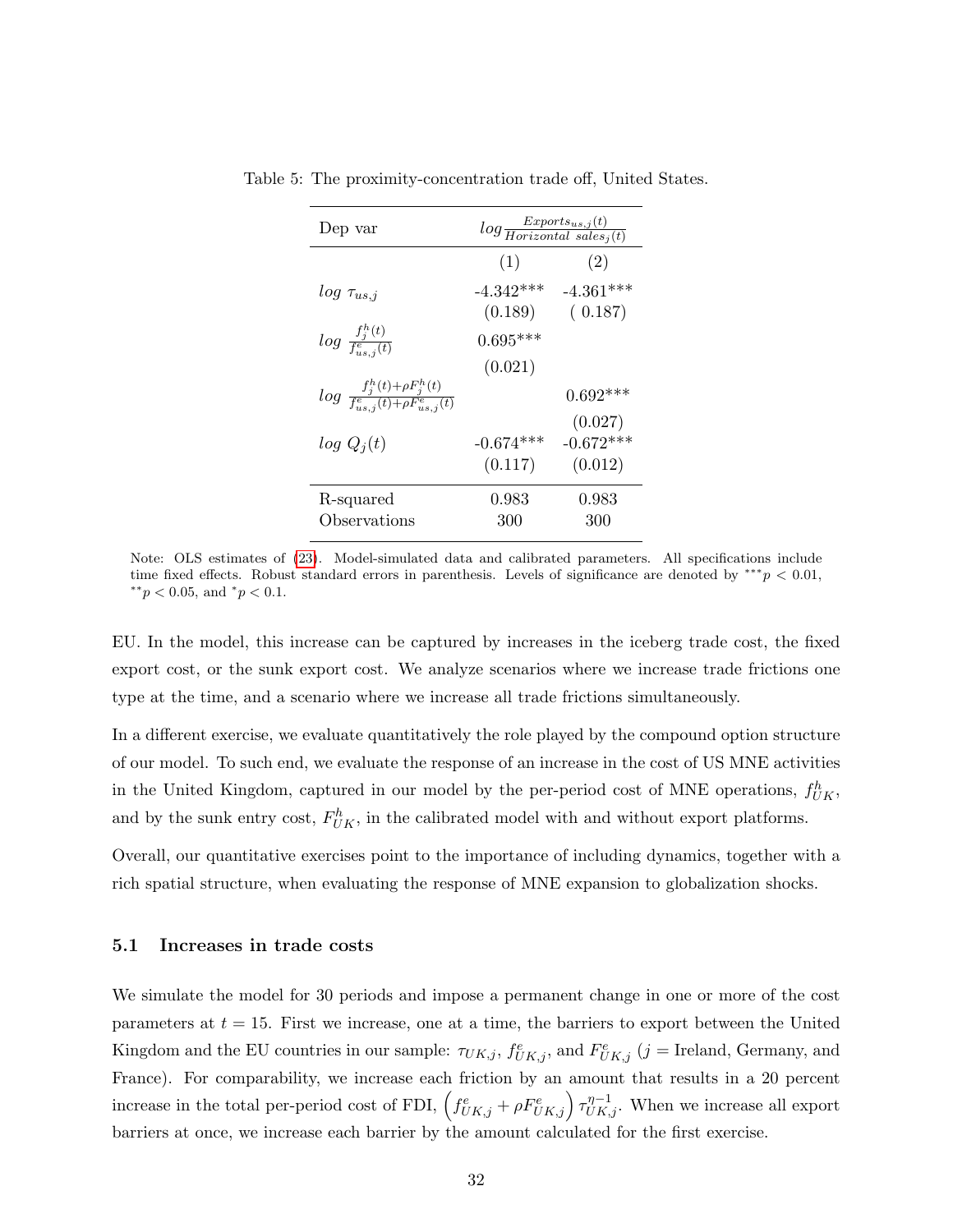| Dep var                                                                   | $log \frac{Exports_{us,j}(t)}{Horizontal\; sales_j(t)}$ |             |  |  |
|---------------------------------------------------------------------------|---------------------------------------------------------|-------------|--|--|
|                                                                           | (1)                                                     | (2)         |  |  |
| $log \tau_{us,j}$                                                         | $-4.342***$                                             | $-4.361***$ |  |  |
|                                                                           | (0.189)                                                 | (0.187)     |  |  |
| $log~\frac{f_j^h(t)}{f_{us~\boldsymbol{\cdot}}^e~(t)}$                    | $0.695***$                                              |             |  |  |
|                                                                           | (0.021)                                                 |             |  |  |
| $log \frac{f_j^n(t) + \rho F_j^n(t)}{f_{ws,i}^e(t) + \rho F_{ws,i}^e(t)}$ |                                                         | $0.692***$  |  |  |
|                                                                           |                                                         | (0.027)     |  |  |
| $log Q_i(t)$                                                              | $-0.674***$                                             | $-0.672***$ |  |  |
|                                                                           | (0.117)                                                 | (0.012)     |  |  |
| R-squared                                                                 | 0.983                                                   | 0.983       |  |  |
| Observations                                                              | 300                                                     | 300         |  |  |

<span id="page-32-0"></span>Table 5: The proximity-concentration trade off, United States.

Note: OLS estimates of [\(23\)](#page-31-0). Model-simulated data and calibrated parameters. All specifications include time fixed effects. Robust standard errors in parenthesis. Levels of significance are denoted by  $**p < 0.01$ ,  $*$ <sup>\*</sup> $p$  < 0.05, and  $*$  $p$  < 0.1.

EU. In the model, this increase can be captured by increases in the iceberg trade cost, the fixed export cost, or the sunk export cost. We analyze scenarios where we increase trade frictions one type at the time, and a scenario where we increase all trade frictions simultaneously.

In a different exercise, we evaluate quantitatively the role played by the compound option structure of our model. To such end, we evaluate the response of an increase in the cost of US MNE activities in the United Kingdom, captured in our model by the per-period cost of MNE operations,  $f_{UK}^h$ , and by the sunk entry cost,  $F_{UK}^h$ , in the calibrated model with and without export platforms.

Overall, our quantitative exercises point to the importance of including dynamics, together with a rich spatial structure, when evaluating the response of MNE expansion to globalization shocks.

#### 5.1 Increases in trade costs

We simulate the model for 30 periods and impose a permanent change in one or more of the cost parameters at  $t = 15$ . First we increase, one at a time, the barriers to export between the United Kingdom and the EU countries in our sample:  $\tau_{UK,j}$ ,  $f_{UK,j}^e$ , and  $F_{UK,j}^e$  (j = Ireland, Germany, and France). For comparability, we increase each friction by an amount that results in a 20 percent increase in the total per-period cost of FDI,  $\left(f_{UK,j}^e + \rho F_{UK,j}^e\right) \tau_{UK,j}^{\eta-1}$ . When we increase all export barriers at once, we increase each barrier by the amount calculated for the first exercise.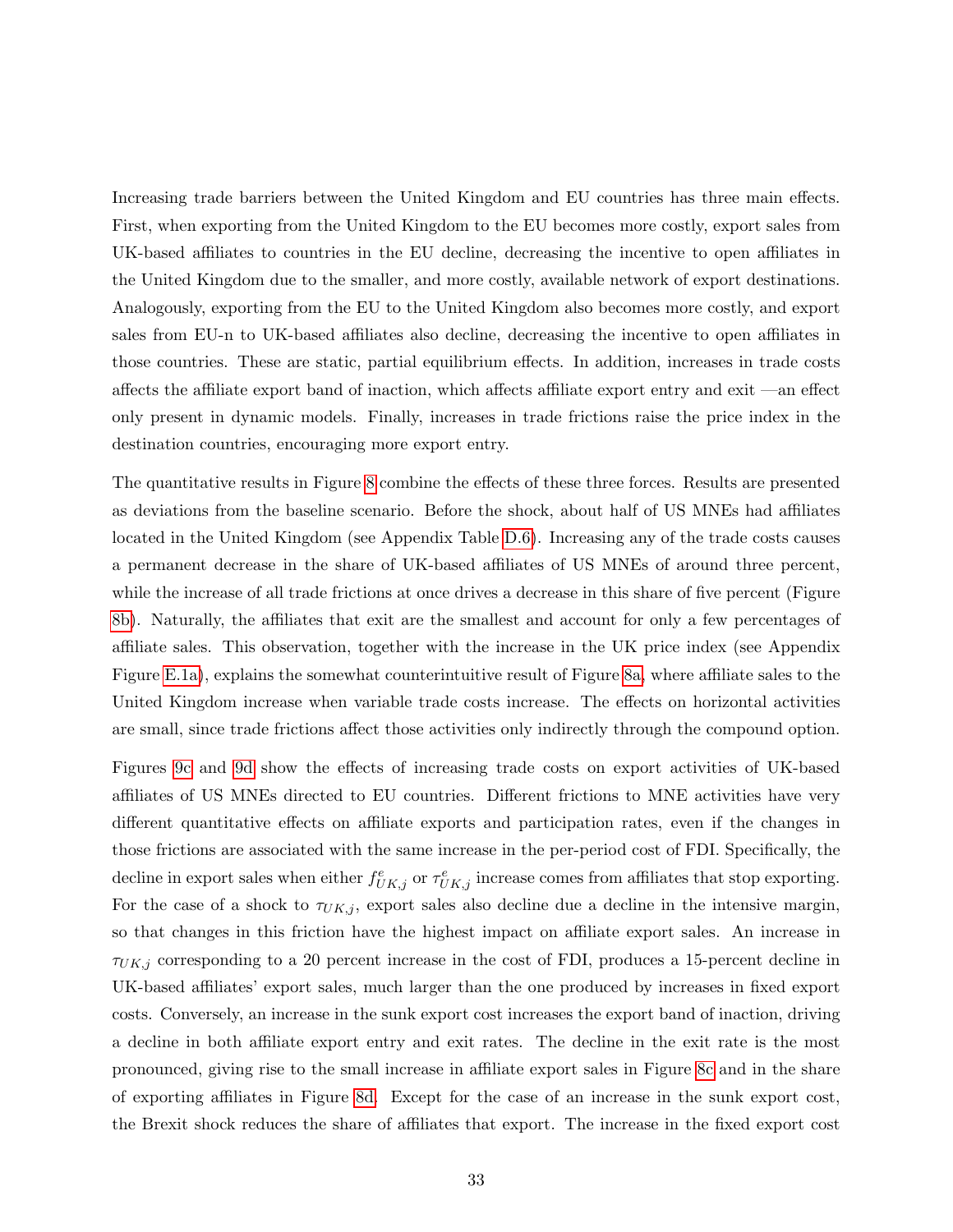Increasing trade barriers between the United Kingdom and EU countries has three main effects. First, when exporting from the United Kingdom to the EU becomes more costly, export sales from UK-based affiliates to countries in the EU decline, decreasing the incentive to open affiliates in the United Kingdom due to the smaller, and more costly, available network of export destinations. Analogously, exporting from the EU to the United Kingdom also becomes more costly, and export sales from EU-n to UK-based affiliates also decline, decreasing the incentive to open affiliates in those countries. These are static, partial equilibrium effects. In addition, increases in trade costs affects the affiliate export band of inaction, which affects affiliate export entry and exit —an effect only present in dynamic models. Finally, increases in trade frictions raise the price index in the destination countries, encouraging more export entry.

The quantitative results in Figure [8](#page-34-0) combine the effects of these three forces. Results are presented as deviations from the baseline scenario. Before the shock, about half of US MNEs had affiliates located in the United Kingdom (see Appendix Table [D.6\)](#page-0-0). Increasing any of the trade costs causes a permanent decrease in the share of UK-based affiliates of US MNEs of around three percent, while the increase of all trade frictions at once drives a decrease in this share of five percent (Figure [8b\)](#page-34-1). Naturally, the affiliates that exit are the smallest and account for only a few percentages of affiliate sales. This observation, together with the increase in the UK price index (see Appendix Figure [E.1a\)](#page-0-0), explains the somewhat counterintuitive result of Figure [8a,](#page-34-2) where affiliate sales to the United Kingdom increase when variable trade costs increase. The effects on horizontal activities are small, since trade frictions affect those activities only indirectly through the compound option.

Figures [9c](#page-36-0) and [9d](#page-36-1) show the effects of increasing trade costs on export activities of UK-based affiliates of US MNEs directed to EU countries. Different frictions to MNE activities have very different quantitative effects on affiliate exports and participation rates, even if the changes in those frictions are associated with the same increase in the per-period cost of FDI. Specifically, the decline in export sales when either  $f_{UK,j}^e$  or  $\tau_{UK,j}^e$  increase comes from affiliates that stop exporting. For the case of a shock to  $\tau_{UK,j}$ , export sales also decline due a decline in the intensive margin, so that changes in this friction have the highest impact on affiliate export sales. An increase in  $\tau_{UK,i}$  corresponding to a 20 percent increase in the cost of FDI, produces a 15-percent decline in UK-based affiliates' export sales, much larger than the one produced by increases in fixed export costs. Conversely, an increase in the sunk export cost increases the export band of inaction, driving a decline in both affiliate export entry and exit rates. The decline in the exit rate is the most pronounced, giving rise to the small increase in affiliate export sales in Figure [8c](#page-34-3) and in the share of exporting affiliates in Figure [8d.](#page-34-4) Except for the case of an increase in the sunk export cost, the Brexit shock reduces the share of affiliates that export. The increase in the fixed export cost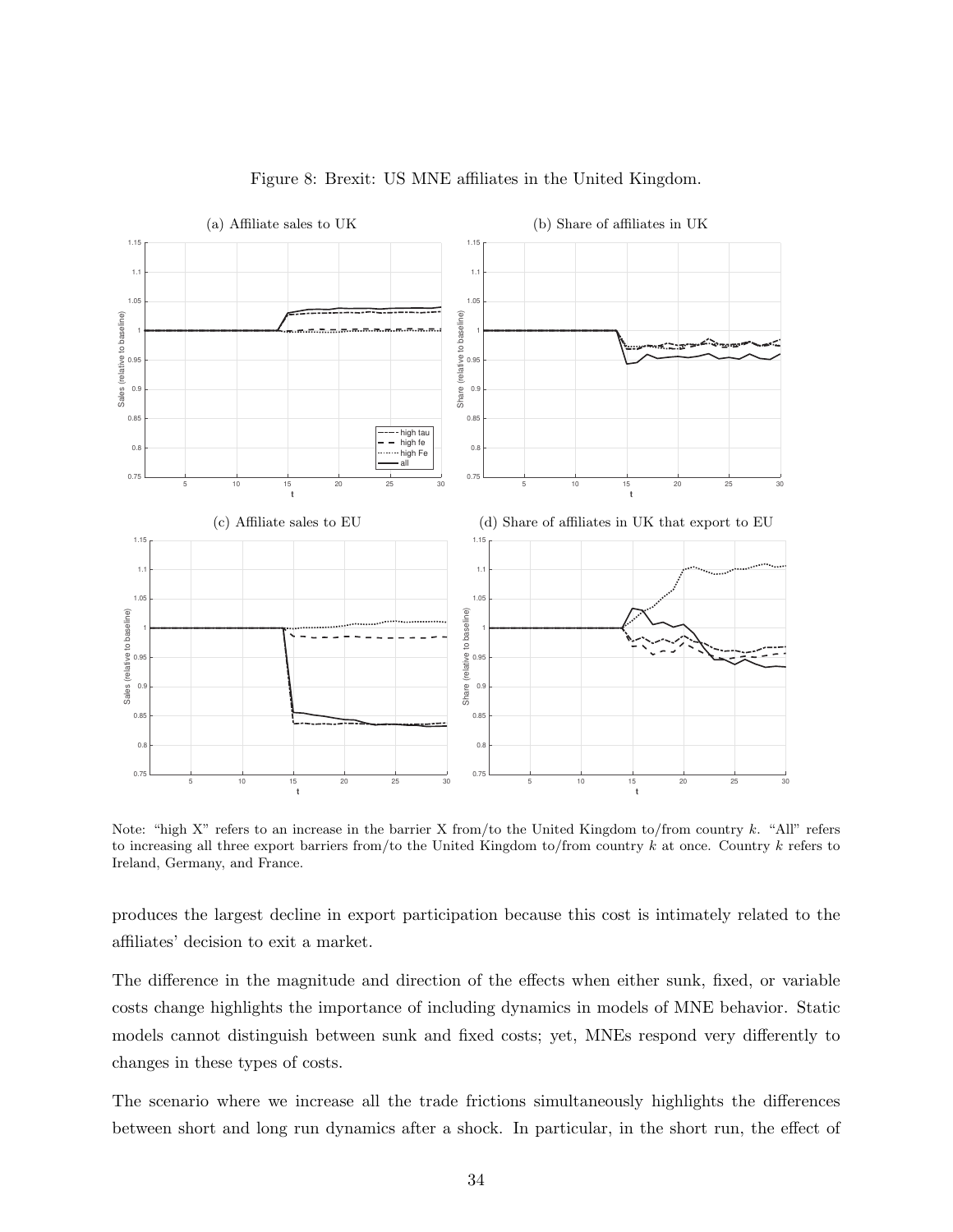<span id="page-34-2"></span><span id="page-34-0"></span>

<span id="page-34-4"></span><span id="page-34-1"></span>Figure 8: Brexit: US MNE affiliates in the United Kingdom.

<span id="page-34-3"></span>Note: "high X" refers to an increase in the barrier X from/to the United Kingdom to/from country k. "All" refers to increasing all three export barriers from/to the United Kingdom to/from country  $k$  at once. Country  $k$  refers to Ireland, Germany, and France.

produces the largest decline in export participation because this cost is intimately related to the affiliates' decision to exit a market.

The difference in the magnitude and direction of the effects when either sunk, fixed, or variable costs change highlights the importance of including dynamics in models of MNE behavior. Static models cannot distinguish between sunk and fixed costs; yet, MNEs respond very differently to changes in these types of costs.

The scenario where we increase all the trade frictions simultaneously highlights the differences between short and long run dynamics after a shock. In particular, in the short run, the effect of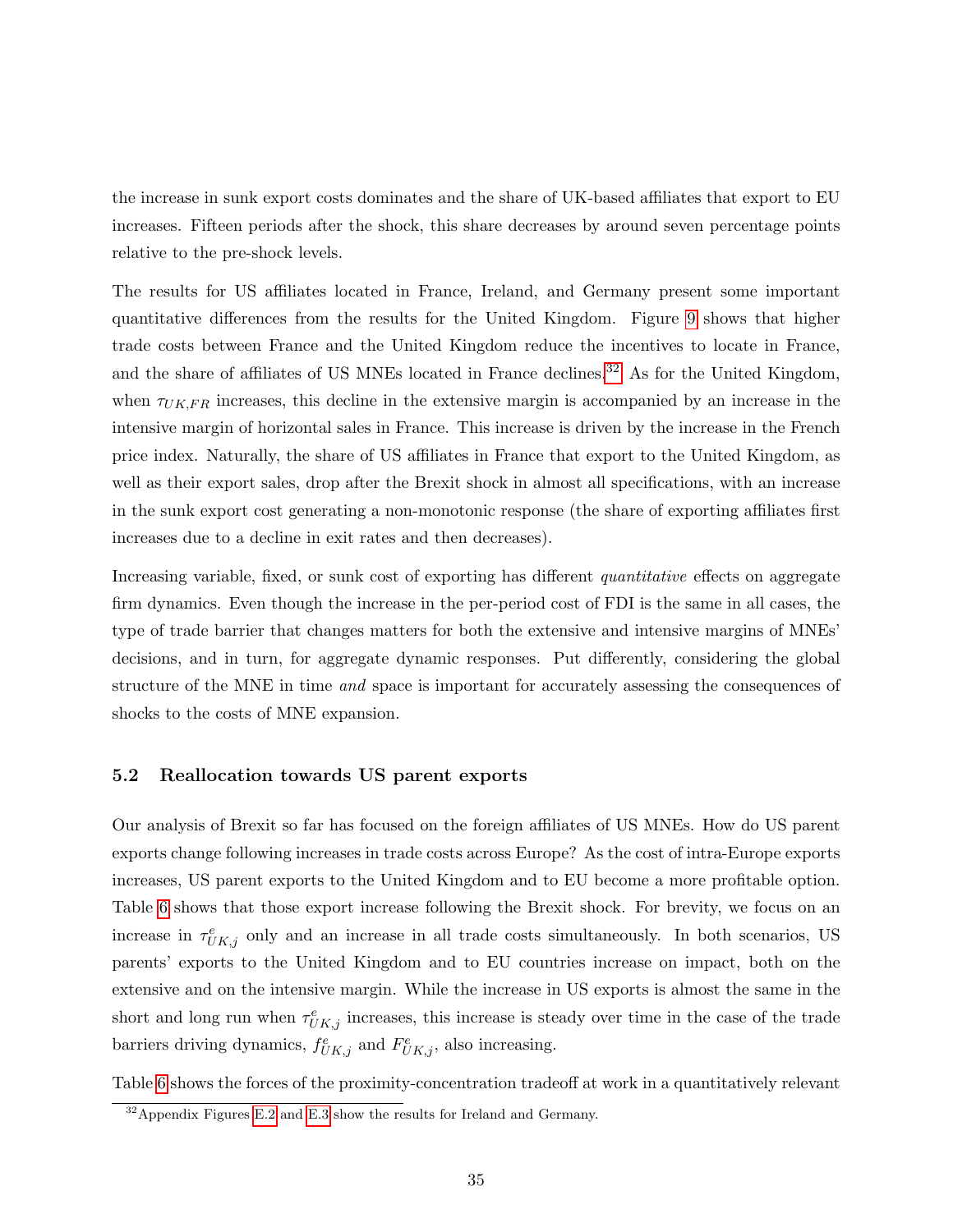the increase in sunk export costs dominates and the share of UK-based affiliates that export to EU increases. Fifteen periods after the shock, this share decreases by around seven percentage points relative to the pre-shock levels.

The results for US affiliates located in France, Ireland, and Germany present some important quantitative differences from the results for the United Kingdom. Figure [9](#page-36-2) shows that higher trade costs between France and the United Kingdom reduce the incentives to locate in France, and the share of affiliates of US MNEs located in France declines.<sup>[32](#page-35-0)</sup> As for the United Kingdom, when  $\tau_{UK,FR}$  increases, this decline in the extensive margin is accompanied by an increase in the intensive margin of horizontal sales in France. This increase is driven by the increase in the French price index. Naturally, the share of US affiliates in France that export to the United Kingdom, as well as their export sales, drop after the Brexit shock in almost all specifications, with an increase in the sunk export cost generating a non-monotonic response (the share of exporting affiliates first increases due to a decline in exit rates and then decreases).

Increasing variable, fixed, or sunk cost of exporting has different *quantitative* effects on aggregate firm dynamics. Even though the increase in the per-period cost of FDI is the same in all cases, the type of trade barrier that changes matters for both the extensive and intensive margins of MNEs' decisions, and in turn, for aggregate dynamic responses. Put differently, considering the global structure of the MNE in time *and* space is important for accurately assessing the consequences of shocks to the costs of MNE expansion.

#### 5.2 Reallocation towards US parent exports

Our analysis of Brexit so far has focused on the foreign affiliates of US MNEs. How do US parent exports change following increases in trade costs across Europe? As the cost of intra-Europe exports increases, US parent exports to the United Kingdom and to EU become a more profitable option. Table [6](#page-37-0) shows that those export increase following the Brexit shock. For brevity, we focus on an increase in  $\tau_{UK,j}^e$  only and an increase in all trade costs simultaneously. In both scenarios, US parents' exports to the United Kingdom and to EU countries increase on impact, both on the extensive and on the intensive margin. While the increase in US exports is almost the same in the short and long run when  $\tau_{UK,j}^e$  increases, this increase is steady over time in the case of the trade barriers driving dynamics,  $f_{UK,j}^e$  and  $F_{UK,j}^e$ , also increasing.

Table [6](#page-37-0) shows the forces of the proximity-concentration tradeoff at work in a quantitatively relevant

<span id="page-35-0"></span><sup>&</sup>lt;sup>32</sup> Appendix Figures [E.2](#page-0-0) and [E.3](#page-0-0) show the results for Ireland and Germany.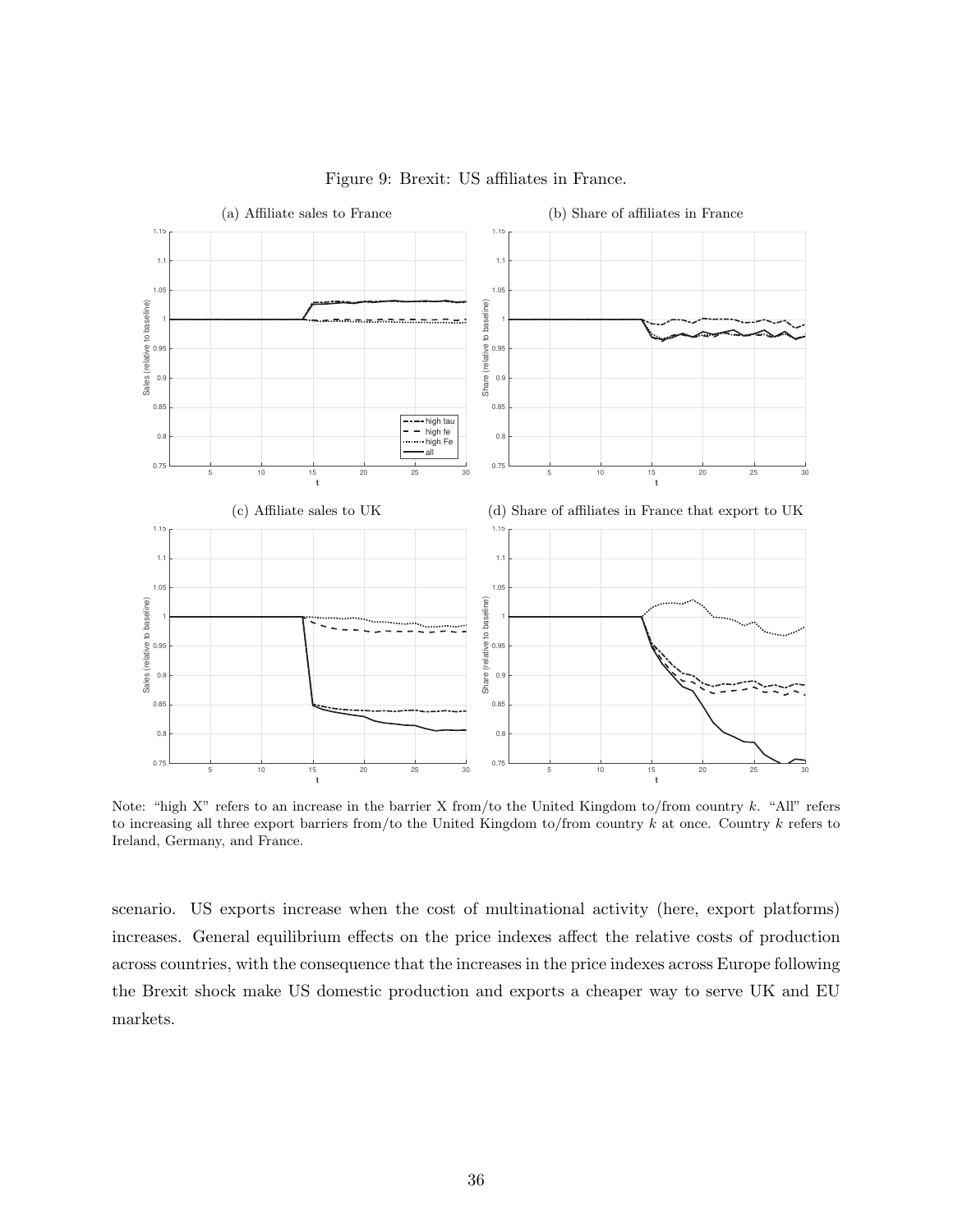<span id="page-36-2"></span>

## <span id="page-36-1"></span>Figure 9: Brexit: US affiliates in France.

<span id="page-36-0"></span>Note: "high X" refers to an increase in the barrier X from/to the United Kingdom to/from country k. "All" refers to increasing all three export barriers from/to the United Kingdom to/from country  $k$  at once. Country  $k$  refers to Ireland, Germany, and France.

scenario. US exports increase when the cost of multinational activity (here, export platforms) increases. General equilibrium effects on the price indexes affect the relative costs of production across countries, with the consequence that the increases in the price indexes across Europe following the Brexit shock make US domestic production and exports a cheaper way to serve UK and EU markets.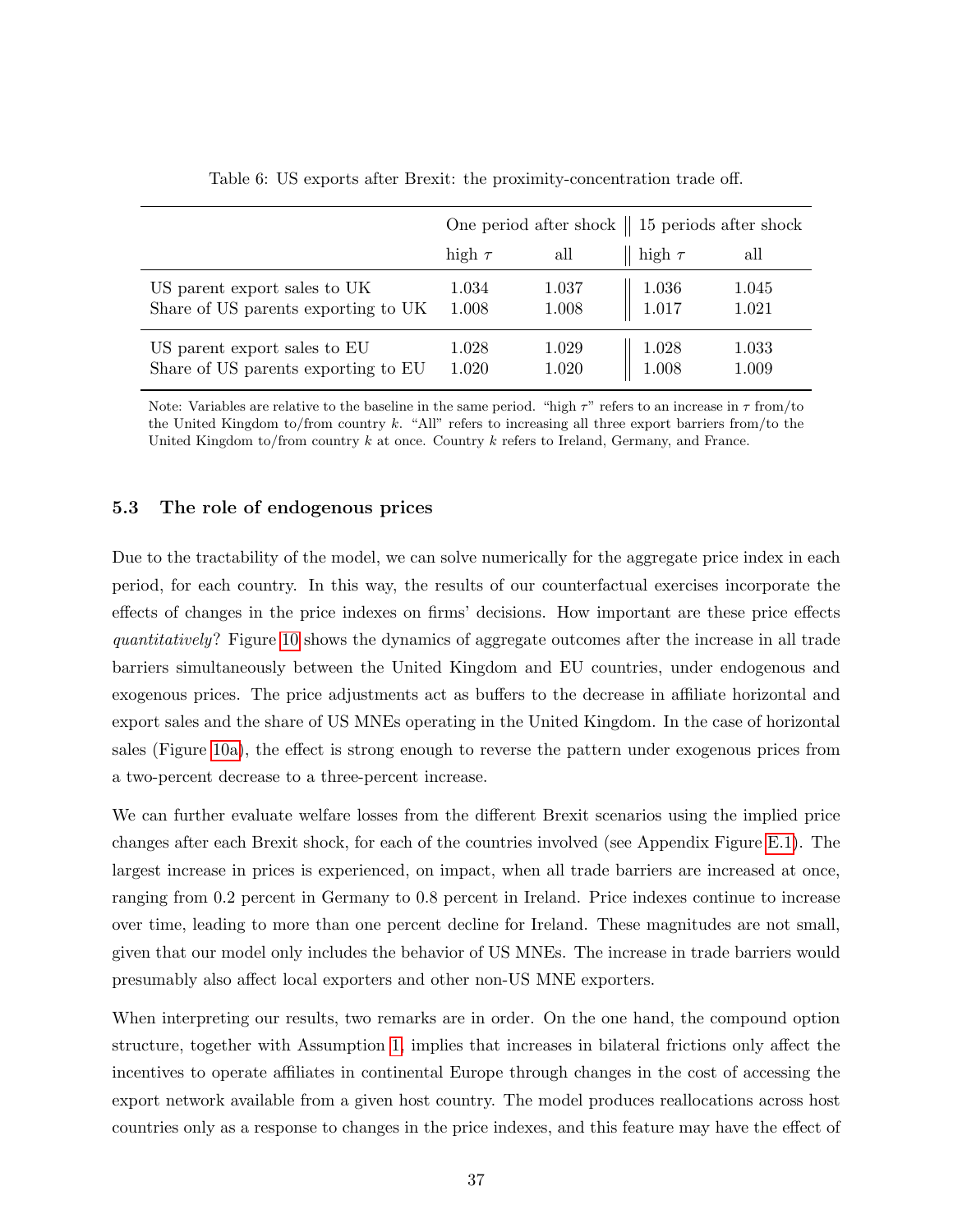<span id="page-37-0"></span>

|                                                                     |                |                                               | One period after shock $\parallel$ 15 periods after shock |                |  |
|---------------------------------------------------------------------|----------------|-----------------------------------------------|-----------------------------------------------------------|----------------|--|
|                                                                     | high $\tau$    | all                                           | high $\tau$                                               | all            |  |
| US parent export sales to UK<br>Share of US parents exporting to UK | 1.034<br>1.008 | $\begin{array}{c} 1.037 \ 1.008 \end{array}$  | $1.036$<br>$1.017$                                        | 1.045<br>1.021 |  |
| US parent export sales to EU<br>Share of US parents exporting to EU | 1.028<br>1.020 | $\begin{array}{c} 1.029 \\ 1.020 \end{array}$ | 1.028<br>1.008                                            | 1.033<br>1.009 |  |

Table 6: US exports after Brexit: the proximity-concentration trade off.

Note: Variables are relative to the baseline in the same period. "high  $\tau$ " refers to an increase in  $\tau$  from/to the United Kingdom to/from country k. "All" refers to increasing all three export barriers from/to the United Kingdom to/from country  $k$  at once. Country  $k$  refers to Ireland, Germany, and France.

### 5.3 The role of endogenous prices

Due to the tractability of the model, we can solve numerically for the aggregate price index in each period, for each country. In this way, the results of our counterfactual exercises incorporate the effects of changes in the price indexes on firms' decisions. How important are these price effects quantitatively? Figure [10](#page-38-0) shows the dynamics of aggregate outcomes after the increase in all trade barriers simultaneously between the United Kingdom and EU countries, under endogenous and exogenous prices. The price adjustments act as buffers to the decrease in affiliate horizontal and export sales and the share of US MNEs operating in the United Kingdom. In the case of horizontal sales (Figure [10a\)](#page-38-1), the effect is strong enough to reverse the pattern under exogenous prices from a two-percent decrease to a three-percent increase.

We can further evaluate welfare losses from the different Brexit scenarios using the implied price changes after each Brexit shock, for each of the countries involved (see Appendix Figure [E.1\)](#page-0-0). The largest increase in prices is experienced, on impact, when all trade barriers are increased at once, ranging from 0.2 percent in Germany to 0.8 percent in Ireland. Price indexes continue to increase over time, leading to more than one percent decline for Ireland. These magnitudes are not small, given that our model only includes the behavior of US MNEs. The increase in trade barriers would presumably also affect local exporters and other non-US MNE exporters.

When interpreting our results, two remarks are in order. On the one hand, the compound option structure, together with Assumption [1,](#page-13-0) implies that increases in bilateral frictions only affect the incentives to operate affiliates in continental Europe through changes in the cost of accessing the export network available from a given host country. The model produces reallocations across host countries only as a response to changes in the price indexes, and this feature may have the effect of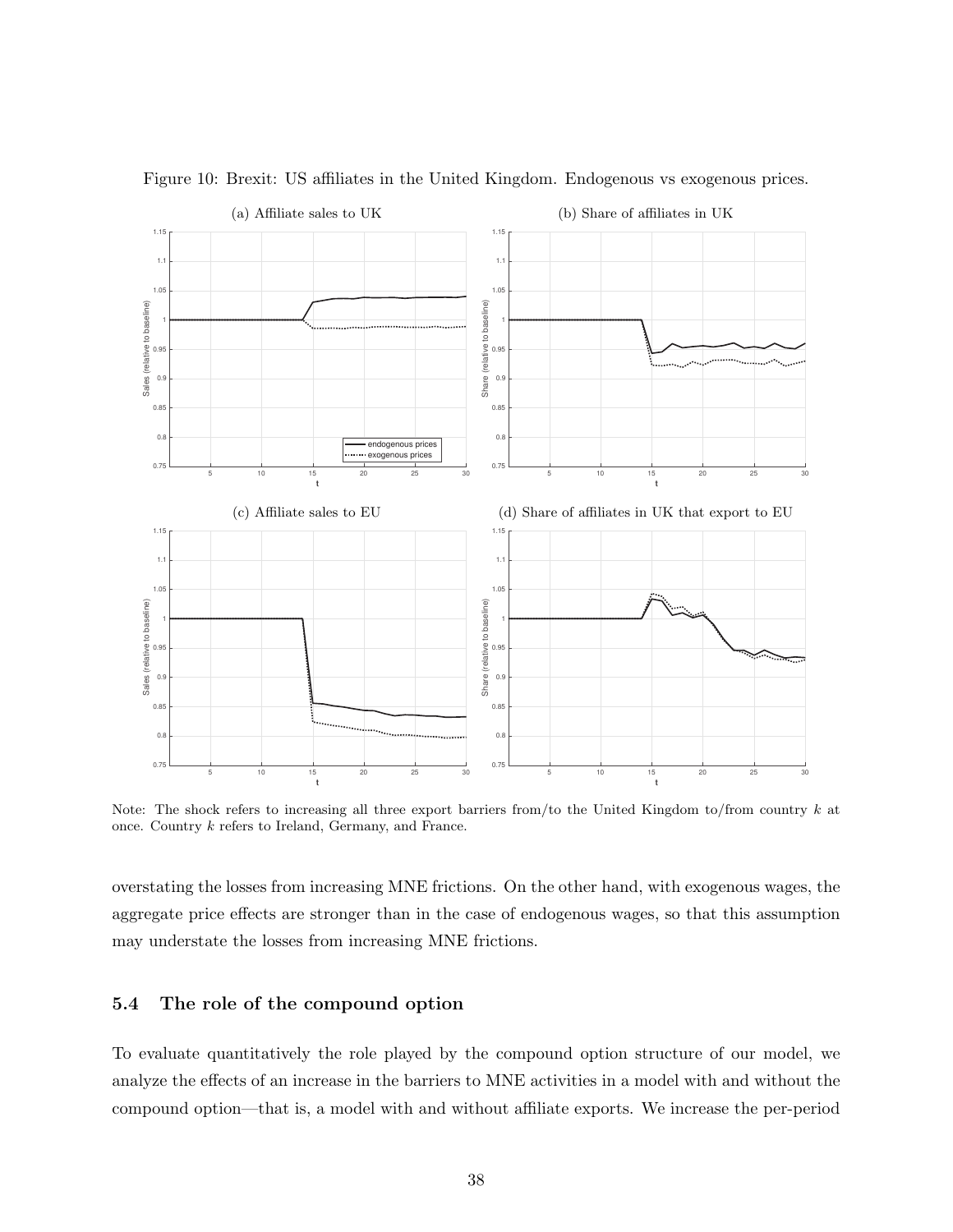<span id="page-38-1"></span>

<span id="page-38-0"></span>Figure 10: Brexit: US affiliates in the United Kingdom. Endogenous vs exogenous prices.

Note: The shock refers to increasing all three export barriers from/to the United Kingdom to/from country  $k$  at once. Country k refers to Ireland, Germany, and France.

overstating the losses from increasing MNE frictions. On the other hand, with exogenous wages, the aggregate price effects are stronger than in the case of endogenous wages, so that this assumption may understate the losses from increasing MNE frictions.

## 5.4 The role of the compound option

To evaluate quantitatively the role played by the compound option structure of our model, we analyze the effects of an increase in the barriers to MNE activities in a model with and without the compound option—that is, a model with and without affiliate exports. We increase the per-period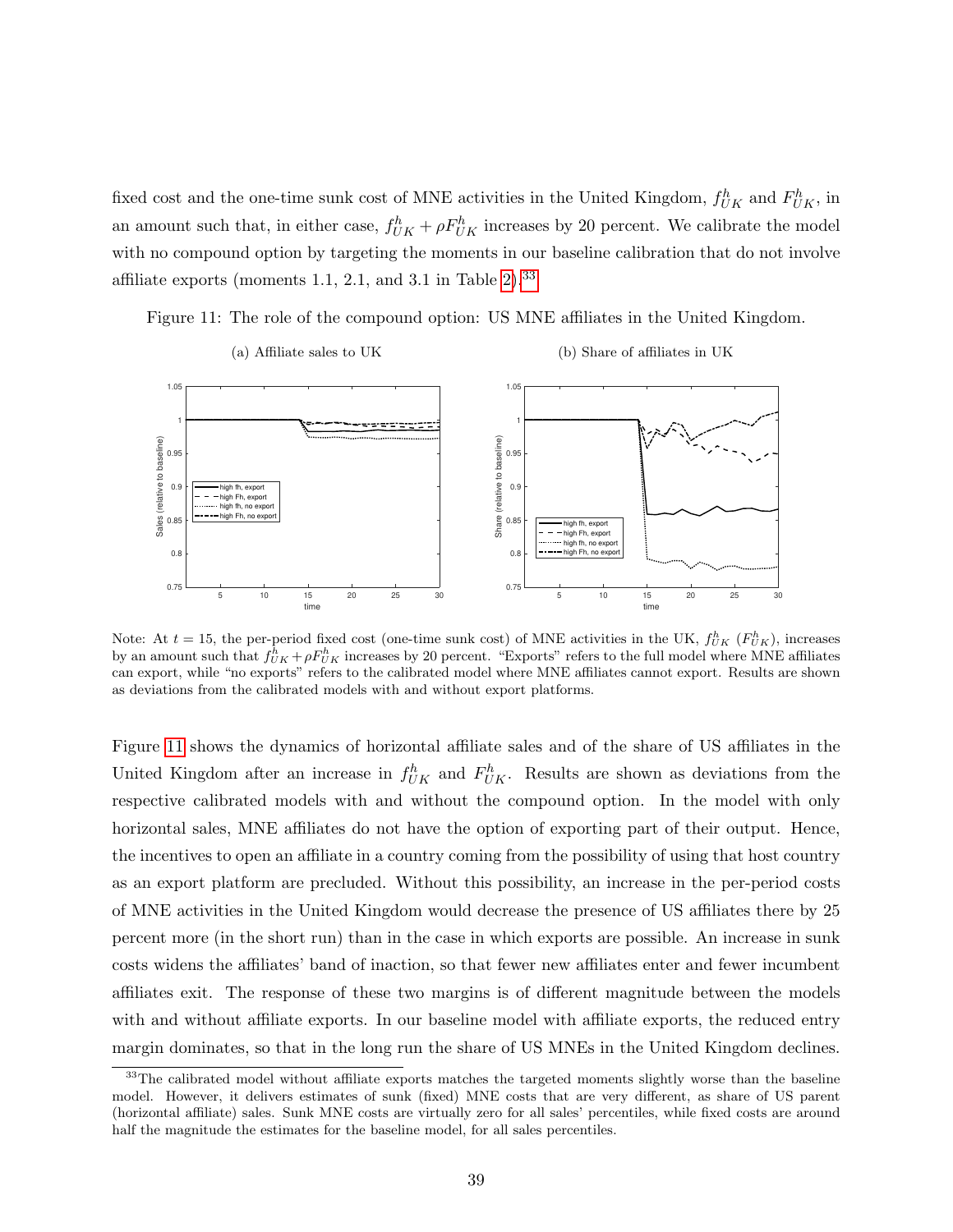fixed cost and the one-time sunk cost of MNE activities in the United Kingdom,  $f_{UK}^h$  and  $F_{UK}^h$ , in an amount such that, in either case,  $f_{UK}^h + \rho F_{UK}^h$  increases by 20 percent. We calibrate the model with no compound option by targeting the moments in our baseline calibration that do not involve affiliate exports (moments 1.1, 2.1, and 3.1 in Table  $2^{\frac{33}{2}}$  $2^{\frac{33}{2}}$  $2^{\frac{33}{2}}$ 

<span id="page-39-1"></span>



(b) Share of affiliates in UK



Note: At  $t = 15$ , the per-period fixed cost (one-time sunk cost) of MNE activities in the UK,  $f_{UK}^h$  ( $F_{UK}^h$ ), increases by an amount such that  $f_{UK}^h + \rho F_{UK}^h$  increases by 20 percent. "Exports" refers to the full model where MNE affiliates can export, while "no exports" refers to the calibrated model where MNE affiliates cannot export. Results are shown as deviations from the calibrated models with and without export platforms.

Figure [11](#page-39-1) shows the dynamics of horizontal affiliate sales and of the share of US affiliates in the United Kingdom after an increase in  $f_{UK}^h$  and  $F_{UK}^h$ . Results are shown as deviations from the respective calibrated models with and without the compound option. In the model with only horizontal sales, MNE affiliates do not have the option of exporting part of their output. Hence, the incentives to open an affiliate in a country coming from the possibility of using that host country as an export platform are precluded. Without this possibility, an increase in the per-period costs of MNE activities in the United Kingdom would decrease the presence of US affiliates there by 25 percent more (in the short run) than in the case in which exports are possible. An increase in sunk costs widens the affiliates' band of inaction, so that fewer new affiliates enter and fewer incumbent affiliates exit. The response of these two margins is of different magnitude between the models with and without affiliate exports. In our baseline model with affiliate exports, the reduced entry margin dominates, so that in the long run the share of US MNEs in the United Kingdom declines.

<span id="page-39-0"></span><sup>&</sup>lt;sup>33</sup>The calibrated model without affiliate exports matches the targeted moments slightly worse than the baseline model. However, it delivers estimates of sunk (fixed) MNE costs that are very different, as share of US parent (horizontal affiliate) sales. Sunk MNE costs are virtually zero for all sales' percentiles, while fixed costs are around half the magnitude the estimates for the baseline model, for all sales percentiles.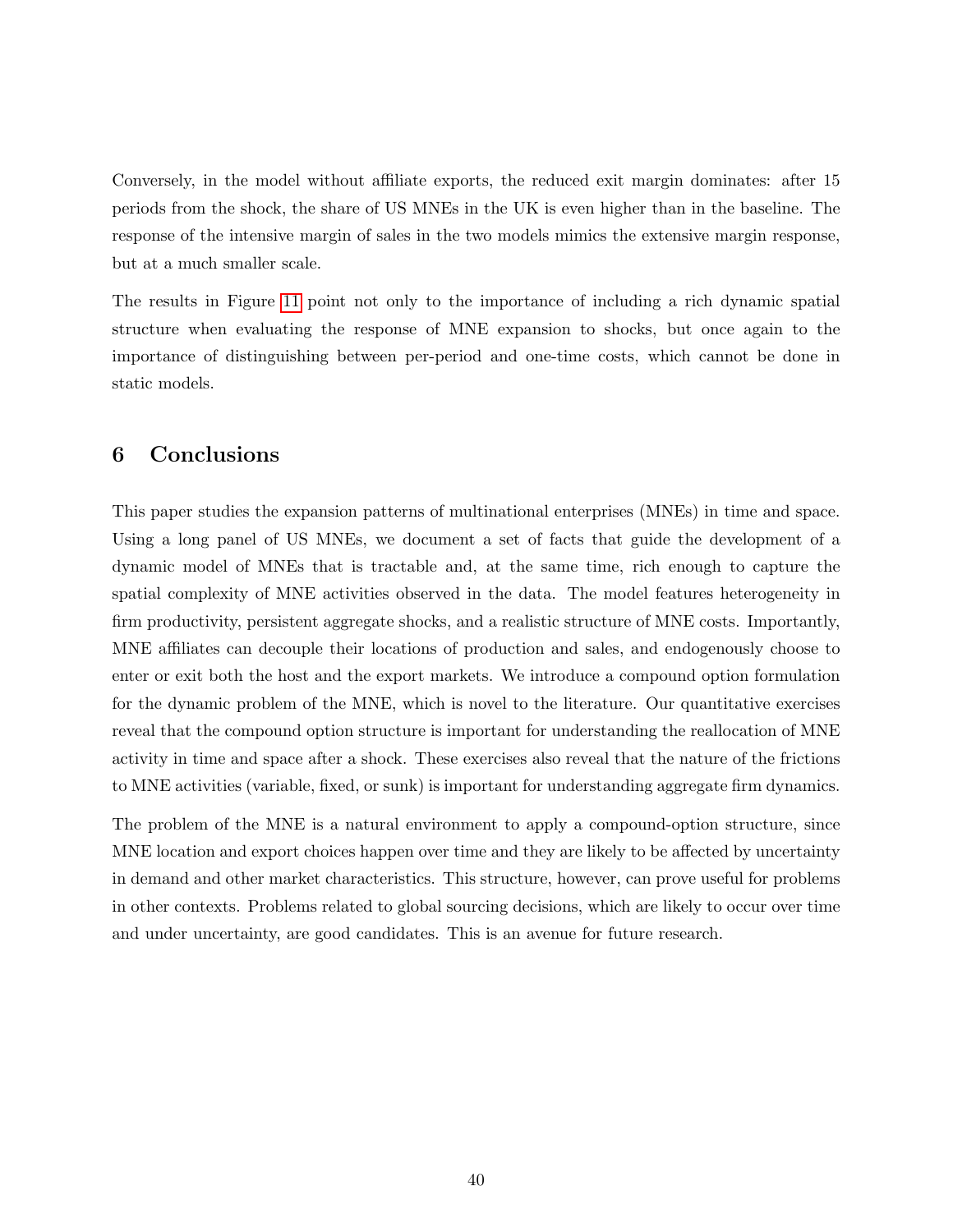Conversely, in the model without affiliate exports, the reduced exit margin dominates: after 15 periods from the shock, the share of US MNEs in the UK is even higher than in the baseline. The response of the intensive margin of sales in the two models mimics the extensive margin response, but at a much smaller scale.

The results in Figure [11](#page-39-1) point not only to the importance of including a rich dynamic spatial structure when evaluating the response of MNE expansion to shocks, but once again to the importance of distinguishing between per-period and one-time costs, which cannot be done in static models.

## 6 Conclusions

This paper studies the expansion patterns of multinational enterprises (MNEs) in time and space. Using a long panel of US MNEs, we document a set of facts that guide the development of a dynamic model of MNEs that is tractable and, at the same time, rich enough to capture the spatial complexity of MNE activities observed in the data. The model features heterogeneity in firm productivity, persistent aggregate shocks, and a realistic structure of MNE costs. Importantly, MNE affiliates can decouple their locations of production and sales, and endogenously choose to enter or exit both the host and the export markets. We introduce a compound option formulation for the dynamic problem of the MNE, which is novel to the literature. Our quantitative exercises reveal that the compound option structure is important for understanding the reallocation of MNE activity in time and space after a shock. These exercises also reveal that the nature of the frictions to MNE activities (variable, fixed, or sunk) is important for understanding aggregate firm dynamics.

The problem of the MNE is a natural environment to apply a compound-option structure, since MNE location and export choices happen over time and they are likely to be affected by uncertainty in demand and other market characteristics. This structure, however, can prove useful for problems in other contexts. Problems related to global sourcing decisions, which are likely to occur over time and under uncertainty, are good candidates. This is an avenue for future research.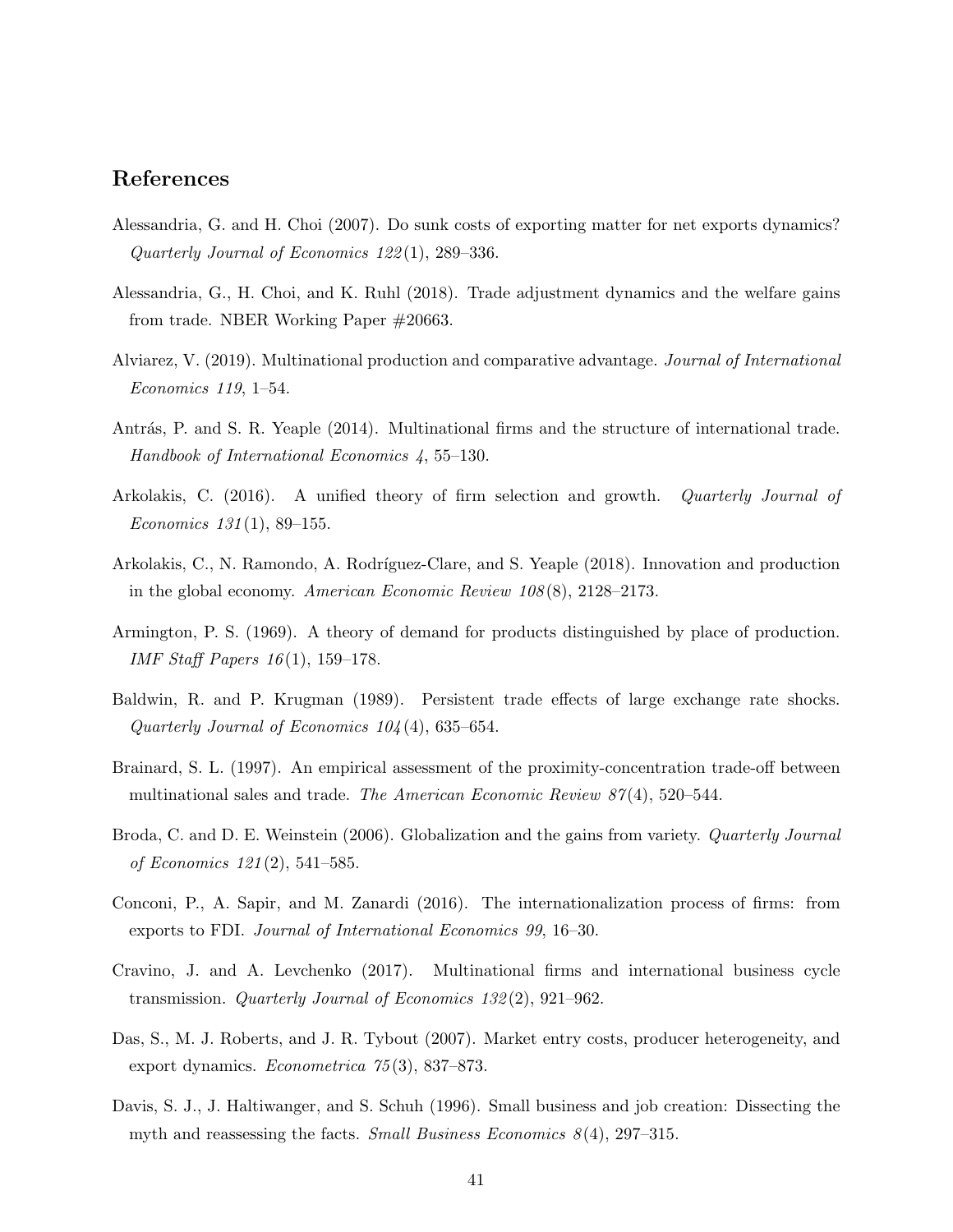## References

- <span id="page-41-8"></span>Alessandria, G. and H. Choi (2007). Do sunk costs of exporting matter for net exports dynamics? Quarterly Journal of Economics 122 (1), 289–336.
- <span id="page-41-9"></span>Alessandria, G., H. Choi, and K. Ruhl (2018). Trade adjustment dynamics and the welfare gains from trade. NBER Working Paper #20663.
- <span id="page-41-3"></span>Alviarez, V. (2019). Multinational production and comparative advantage. Journal of International Economics 119, 1–54.
- <span id="page-41-0"></span>Antrás, P. and S. R. Yeaple (2014). Multinational firms and the structure of international trade. Handbook of International Economics 4, 55–130.
- <span id="page-41-10"></span>Arkolakis, C. (2016). A unified theory of firm selection and growth. Quarterly Journal of Economics  $131(1)$ , 89–155.
- <span id="page-41-2"></span>Arkolakis, C., N. Ramondo, A. Rodríguez-Clare, and S. Yeaple (2018). Innovation and production in the global economy. American Economic Review 108 (8), 2128–2173.
- <span id="page-41-11"></span>Armington, P. S. (1969). A theory of demand for products distinguished by place of production. IMF Staff Papers 16 (1), 159–178.
- <span id="page-41-6"></span>Baldwin, R. and P. Krugman (1989). Persistent trade effects of large exchange rate shocks. Quarterly Journal of Economics 104 (4), 635–654.
- <span id="page-41-1"></span>Brainard, S. L. (1997). An empirical assessment of the proximity-concentration trade-off between multinational sales and trade. The American Economic Review  $87(4)$ , 520–544.
- <span id="page-41-13"></span>Broda, C. and D. E. Weinstein (2006). Globalization and the gains from variety. *Quarterly Journal* of Economics 121 (2), 541–585.
- <span id="page-41-4"></span>Conconi, P., A. Sapir, and M. Zanardi (2016). The internationalization process of firms: from exports to FDI. Journal of International Economics 99, 16–30.
- <span id="page-41-12"></span>Cravino, J. and A. Levchenko (2017). Multinational firms and international business cycle transmission. Quarterly Journal of Economics 132 (2), 921–962.
- <span id="page-41-7"></span>Das, S., M. J. Roberts, and J. R. Tybout (2007). Market entry costs, producer heterogeneity, and export dynamics. Econometrica 75 (3), 837–873.
- <span id="page-41-5"></span>Davis, S. J., J. Haltiwanger, and S. Schuh (1996). Small business and job creation: Dissecting the myth and reassessing the facts. Small Business Economics  $8(4)$ , 297–315.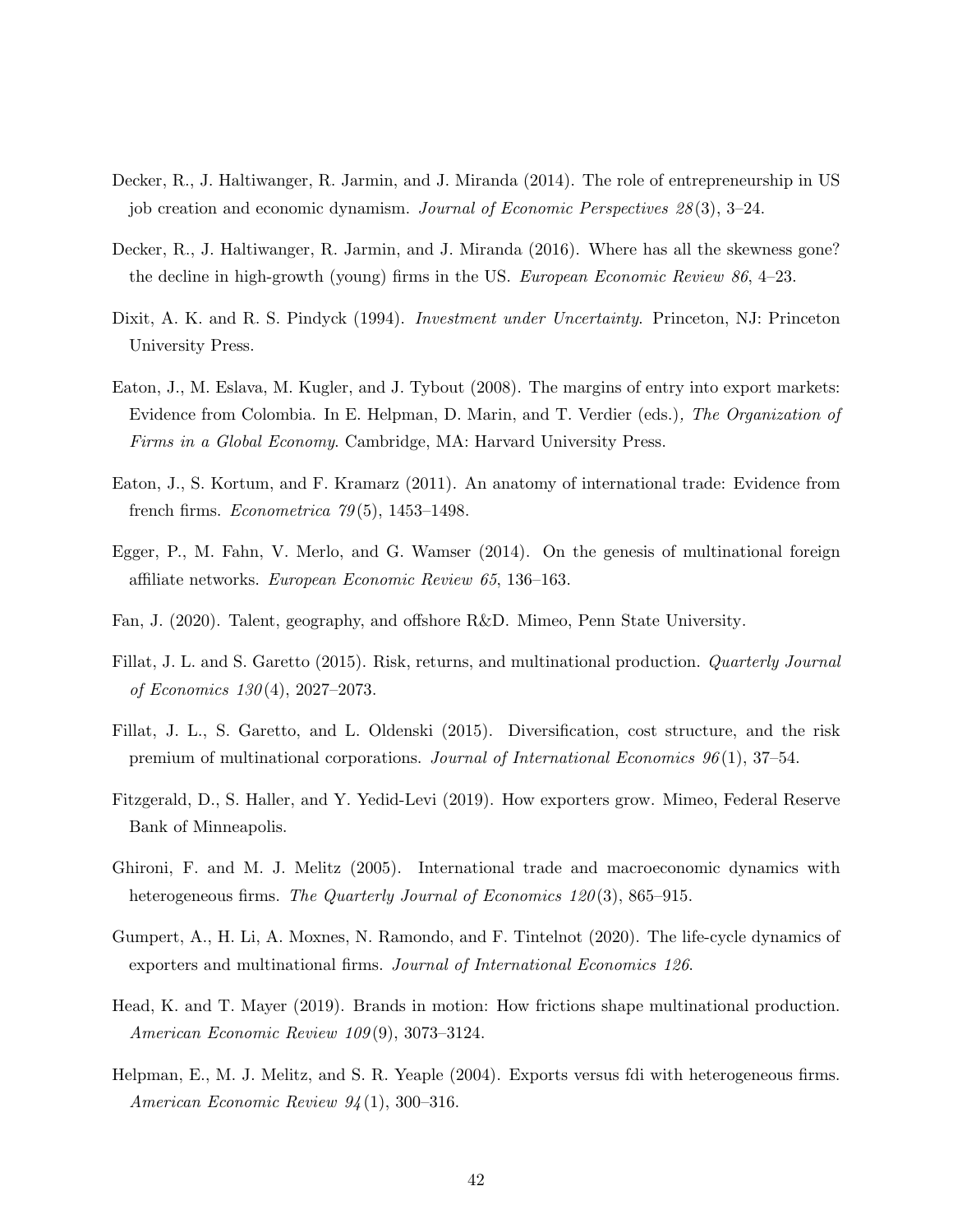- <span id="page-42-9"></span>Decker, R., J. Haltiwanger, R. Jarmin, and J. Miranda (2014). The role of entrepreneurship in US job creation and economic dynamism. Journal of Economic Perspectives  $28(3)$ , 3–24.
- <span id="page-42-10"></span>Decker, R., J. Haltiwanger, R. Jarmin, and J. Miranda (2016). Where has all the skewness gone? the decline in high-growth (young) firms in the US. European Economic Review 86, 4–23.
- <span id="page-42-0"></span>Dixit, A. K. and R. S. Pindyck (1994). Investment under Uncertainty. Princeton, NJ: Princeton University Press.
- <span id="page-42-11"></span>Eaton, J., M. Eslava, M. Kugler, and J. Tybout (2008). The margins of entry into export markets: Evidence from Colombia. In E. Helpman, D. Marin, and T. Verdier (eds.), The Organization of Firms in a Global Economy. Cambridge, MA: Harvard University Press.
- <span id="page-42-1"></span>Eaton, J., S. Kortum, and F. Kramarz (2011). An anatomy of international trade: Evidence from french firms. *Econometrica*  $79(5)$ , 1453–1498.
- <span id="page-42-8"></span>Egger, P., M. Fahn, V. Merlo, and G. Wamser (2014). On the genesis of multinational foreign affiliate networks. European Economic Review 65, 136–163.
- <span id="page-42-2"></span>Fan, J. (2020). Talent, geography, and offshore R&D. Mimeo, Penn State University.
- <span id="page-42-5"></span>Fillat, J. L. and S. Garetto (2015). Risk, returns, and multinational production. *Quarterly Journal* of Economics  $130(4)$ ,  $2027-2073$ .
- <span id="page-42-6"></span>Fillat, J. L., S. Garetto, and L. Oldenski (2015). Diversification, cost structure, and the risk premium of multinational corporations. Journal of International Economics 96 (1), 37–54.
- <span id="page-42-12"></span>Fitzgerald, D., S. Haller, and Y. Yedid-Levi (2019). How exporters grow. Mimeo, Federal Reserve Bank of Minneapolis.
- <span id="page-42-13"></span>Ghironi, F. and M. J. Melitz (2005). International trade and macroeconomic dynamics with heterogeneous firms. The Quarterly Journal of Economics 120(3), 865–915.
- <span id="page-42-4"></span>Gumpert, A., H. Li, A. Moxnes, N. Ramondo, and F. Tintelnot (2020). The life-cycle dynamics of exporters and multinational firms. Journal of International Economics 126.
- <span id="page-42-3"></span>Head, K. and T. Mayer (2019). Brands in motion: How frictions shape multinational production. American Economic Review 109 (9), 3073–3124.
- <span id="page-42-7"></span>Helpman, E., M. J. Melitz, and S. R. Yeaple (2004). Exports versus fdi with heterogeneous firms. American Economic Review 94 (1), 300–316.